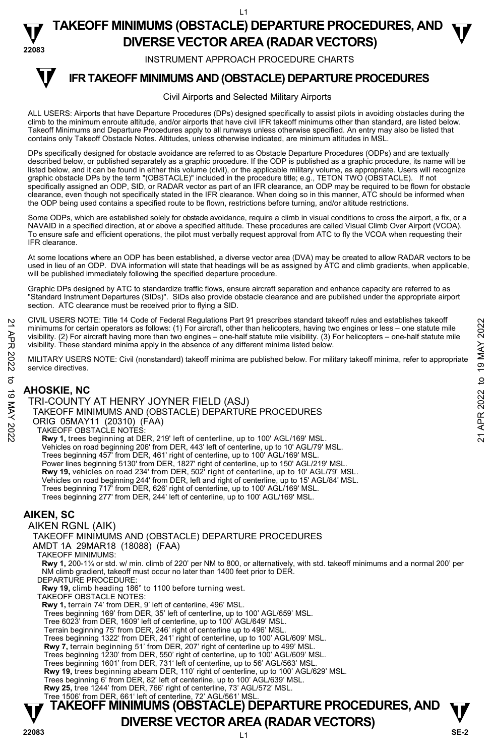**TAKEOFF MINIMUMS (OBSTACLE) DEPARTURE PROCEDURES, AND**  $\Psi$ **DIVERSE VECTOR AREA (RADAR VECTORS) 22083** 

INSTRUMENT APPROACH PROCEDURE CHARTS

#### **IFR TAKEOFF MINIMUMS AND (OBSTACLE) DEPARTURE PROCEDURES T**

#### Civil Airports and Selected Military Airports

ALL USERS: Airports that have Departure Procedures (DPs) designed specifically to assist pilots in avoiding obstacles during the climb to the minimum enroute altitude, and/or airports that have civil IFR takeoff minimums other than standard, are listed below. Takeoff Minimums and Departure Procedures apply to all runways unless otherwise specified. An entry may also be listed that contains only Takeoff Obstacle Notes. Altitudes, unless otherwise indicated, are minimum altitudes in MSL.

DPs specifically designed for obstacle avoidance are referred to as Obstacle Departure Procedures (ODPs) and are textually described below, or published separately as a graphic procedure. If the ODP is published as a graphic procedure, its name will be listed below, and it can be found in either this volume (civil), or the applicable military volume, as appropriate. Users will recognize<br>graphic obstacle DPs by the term "(OBSTACLE)" included in the procedure title; e.g., specifically assigned an ODP, SID, or RADAR vector as part of an IFR clearance, an ODP may be required to be flown for obstacle clearance, even though not specifically stated in the IFR clearance. When doing so in this manner, ATC should be informed when the ODP being used contains a specified route to be flown, restrictions before turning, and/or altitude restrictions.

Some ODPs, which are established solely for obstacle avoidance, require a climb in visual conditions to cross the airport, a fix, or a NAVAID in a specified direction, at or above a specified altitude. These procedures are called Visual Climb Over Airport (VCOA). To ensure safe and efficient operations, the pilot must verbally request approval from ATC to fly the VCOA when requesting their IFR clearance.

At some locations where an ODP has been established, a diverse vector area (DVA) may be created to allow RADAR vectors to be used in lieu of an ODP. DVA information will state that headings will be as assigned by ATC and climb gradients, when applicable, will be published immediately following the specified departure procedure.

Graphic DPs designed by ATC to standardize traffic flows, ensure aircraft separation and enhance capacity are referred to as "Standard Instrument Departures (SIDs)". SIDs also provide obstacle clearance and are published under the appropriate airport section. ATC clearance must be received prior to flying a SID.

CIVIL USERS NOTE: Title 14 Code of Federal Regulations Part 91 prescribes standard takeoff rules and establishes takeoff minimums for certain operators as follows: (1) For aircraft, other than helicopters, having two engines or less – one statute mile<br>visibility. (2) For aircraft having more than two engines – one-half statute mile visibilit visibility. These standard minima apply in the absence of any different minima listed below.

MILITARY USERS NOTE: Civil (nonstandard) takeoff minima are published below. For military takeoff minima, refer to appropriate service directives.

## **AHOSKIE, NC**

TRI-COUNTY AT HENRY JOYNER FIELD (ASJ) TAKEOFF MINIMUMS AND (OBSTACLE) DEPARTURE PROCEDURES ORIG 05MAY11 (20310) (FAA) TAKEOFF OBSTACLE NOTES: **Rwy 1,** trees beginning at DER, 219' left of centerline, up to 100' AGL/169' MSL. Vehicles on road beginning 206' from DER, 443' left of centerline, up to 10' AGL/79' MSL. Trees beginning 457' from DER, 461' right of centerline, up to 100' AGL/169' MSL. Power lines beginning 5130' from DER, 1827' right of centerline, up to 150' AGL/219' MSL.<br>**Rwy 19,** vehicles on road 234' from DER, 502' right of centerline, up to 10' AGL/79' MSL. Vehicles on road beginning 244' from DER, left and right of centerline, up to 15' AGL/84' MSL. Trees beginning 717' from DER, 626' right of centerline, up to 100' AGL/169' MSL. Trees beginning 277' from DER, 244' left of centerline, up to 100' AGL/169' MSL. 21 CIVIL USERS NOTE: The 14 Code of Federal Regulations Part 91 prescinces standard takeoff minimums for certain operators as follows: (1) For aircraft, due than helicopters, having two engines or less – one-half statute

### **AIKEN, SC**

AIKEN RGNL (AIK) TAKEOFF MINIMUMS AND (OBSTACLE) DEPARTURE PROCEDURES AMDT 1A 29MAR18 (18088) (FAA) TAKEOFF MINIMUMS: **Rwy 1,** 200-1¼ or std. w/ min. climb of 220' per NM to 800, or alternatively, with std. takeoff minimums and a normal 200' per NM climb gradient, takeoff must occur no later than 1400 feet prior to DER. DEPARTURE PROCEDURE: **Rwy 19,** climb heading 186° to 1100 before turning west. TAKEOFF OBSTACLE NOTES: **Rwy 1,** terrain 74' from DER, 9' left of centerline, 496' MSL. Trees beginning 169' from DER, 35' left of centerline, up to 100' AGL/659' MSL. Tree 6023' from DER, 1609' left of centerline, up to 100' AGL/649' MSL. Terrain beginning 75' from DER, 246' right of centerline up to 496' MSL. Trees beginning 1322' from DER, 241' right of centerline, up to 100' AGL/609' MSL. **Rwy 7,** terrain beginning 51' from DER, 207' right of centerline up to 499' MSL. Trees beginning 1230' from DER, 550' right of centerline, up to 100' AGL/609' MSL. Trees beginning 1601' from DER, 731' left of centerline, up to 56' AGL/563' MSL. **Rwy 19,** trees beginning abeam DER, 110' right of centerline, up to 100' AGL/629' MSL. Trees beginning 6' from DER, 82' left of centerline, up to 100' AGL/639' MSL. **Rwy 25,** tree 1244' from DER, 766' right of centerline, 73' AGL/572' MSL. Tree 1506' from DER, 661' left of centerline, 72' AGL/561' MSL.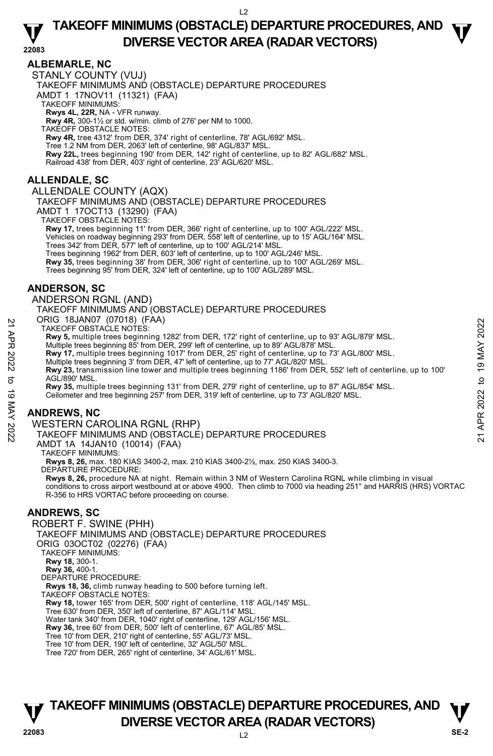## **TAKEOFF MINIMUMS (OBSTACLE) DEPARTURE PROCEDURES, AND**  $\Psi$ **DIVERSE VECTOR AREA (RADAR VECTORS) 22083**

### **ALBEMARLE, NC**

STANLY COUNTY (VUJ) TAKEOFF MINIMUMS AND (OBSTACLE) DEPARTURE PROCEDURES AMDT 1 17NOV11 (11321) (FAA) TAKEOFF MINIMUMS: **Rwys 4L, 22R,** NA - VFR runway. **Rwy 4R,** 300-1½ or std. w/min. climb of 276' per NM to 1000. TAKEOFF OBSTACLE NOTES: **Rwy 4R,** tree 4312' from DER, 374' right of centerline, 78' AGL/692' MSL. Tree 1.2 NM from DER, 2063' left of centerline, 98' AGL/837' MSL. **Rwy 22L,** trees beginning 190' from DER, 142' right of centerline, up to 82' AGL/682' MSL. Railroad 438' from DER, 403' right of centerline, 23' AGL/620' MSL.

### **ALLENDALE, SC**

#### ALLENDALE COUNTY (AQX)

TAKEOFF MINIMUMS AND (OBSTACLE) DEPARTURE PROCEDURES

AMDT 1 17OCT13 (13290) (FAA)

TAKEOFF OBSTACLE NOTES:

**Rwy 17,** trees beginning 11' from DER, 366' right of centerline, up to 100' AGL/222' MSL.<br>Vehicles on roadway beginning 293' from DER, 558' left of centerline, up to 15' AGL/164' MSL. Trees 342' from DER, 577' left of centerline, up to 100' AGL/214' MSL. Trees beginning 1962' from DER, 603' left of centerline, up to 100' AGL/246' MSL.

**Rwy 35,** trees beginning 38' from DER, 306' right of centerline, up to 100' AGL/269' MSL.

Trees beginning 95' from DER, 324' left of centerline, up to 100' AGL/289' MSL.

### **ANDERSON, SC**

ANDERSON RGNL (AND)

TAKEOFF MINIMUMS AND (OBSTACLE) DEPARTURE PROCEDURES

ORIG 18JAN07 (07018) (FAA)

TAKEOFF OBSTACLE NOTES:

**Rwy 5,** multiple trees beginning 1282' from DER, 172' right of centerline, up to 93' AGL/879' MSL.<br>Multiple trees beginning 85' from DER, 299' left of centerline, up to 89' AGL/878' MSL.

**Rwy 17,** multiple trees beginning 1017' from DER, 25' right of centerline, up to 73' AGL/800' MSL.

Multiple trees beginning 3' from DER, 47' left of centerline, up to 77' AGL/820' MSL.

**Rwy 23,** transmission line tower and multiple trees beginning 1186' from DER, 552' left of centerline, up to 100' AGL/890' MSL. TAKEOFF OBJAND (UV LOT) (FAA)<br>
TAKEOFF OBSTACLE NOTES:<br>
TAKEOFF OBSTACLE NOTES:<br>
Multiple trees beginning 12B2' from DER, 279' left of centerline, up to 89' AGL/879' MSL.<br>
Multiple trees beginning 3' from DER, 29' left of

**Rwy 35,** multiple trees beginning 131' from DER, 279' right of centerline, up to 87' AGL/854' MSL.

Ceilometer and tree beginning 257' from DER, 319' left of centerline, up to 73' AGL/820' MSL.

## **ANDREWS, NC**

WESTERN CAROLINA RGNL (RHP)

TAKEOFF MINIMUMS AND (OBSTACLE) DEPARTURE PROCEDURES

AMDT 1A 14JAN10 (10014) (FAA)

TAKEOFF MINIMUMS:

**Rwys 8, 26,** max. 180 KIAS 3400-2, max. 210 KIAS 3400-2½, max. 250 KIAS 3400-3. DEPARTURE PROCEDURE:

**Rwys 8, 26,** procedure NA at night. Remain within 3 NM of Western Carolina RGNL while climbing in visual conditions to cross airport westbound at or above 4900. Then climb to 7000 via heading 251° and HARRIS (HRS) VORTAC R-356 to HRS VORTAC before proceeding on course.

### **ANDREWS, SC**

ROBERT F. SWINE (PHH) TAKEOFF MINIMUMS AND (OBSTACLE) DEPARTURE PROCEDURES ORIG 03OCT02 (02276) (FAA) TAKEOFF MINIMUMS: **Rwy 18,** 300-1. **Rwy 36,** 400-1. DEPARTURE PROCEDURE: **Rwys 18, 36,** climb runway heading to 500 before turning left. TAKEOFF OBSTACLE NOTES: **Rwy 18,** tower 165' from DER, 500' right of centerline, 118' AGL/145' MSL. Tree 630' from DER, 350' left of centerline, 87' AGL/114' MSL. Water tank 340' from DER, 1040' right of centerline, 129' AGL/156' MSL. **Rwy 36,** tree 60' from DER, 500' left of centerline, 67' AGL/85' MSL. Tree 10' from DER, 210' right of centerline, 55' AGL/73' MSL. Tree 10' from DER, 190' left of centerline, 32' AGL/50' MSL. Tree 720' from DER, 265' right of centerline, 34' AGL/61' MSL.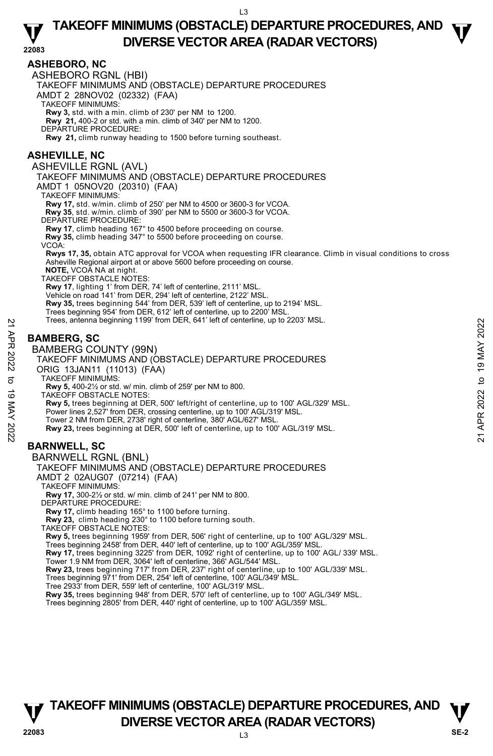## **TAKEOFF MINIMUMS (OBSTACLE) DEPARTURE PROCEDURES, AND**  $\Psi$ **DIVERSE VECTOR AREA (RADAR VECTORS) 22083**

#### **ASHEBORO, NC**

ASHEBORO RGNL (HBI)

TAKEOFF MINIMUMS AND (OBSTACLE) DEPARTURE PROCEDURES

AMDT 2 28NOV02 (02332) (FAA)

TAKEOFF MINIMUMS:

**Rwy 3,** std. with a min. climb of 230' per NM to 1200. **Rwy 21,** 400-2 or std. with a min. climb of 340' per NM to 1200.

DEPARTURE PROCEDURE:

**Rwy 21,** climb runway heading to 1500 before turning southeast.

#### **ASHEVILLE, NC**

ASHEVILLE RGNL (AVL)

TAKEOFF MINIMUMS AND (OBSTACLE) DEPARTURE PROCEDURES

AMDT 1 05NOV20 (20310) (FAA)

TAKEOFF MINIMUMS:

**Rwy 17,** std. w/min. climb of 250' per NM to 4500 or 3600-3 for VCOA.

**Rwy 35**, std. w/min. climb of 390' per NM to 5500 or 3600-3 for VCOA.

DEPARTURE PROCEDURE:

**Rwy 17**, climb heading 167° to 4500 before proceeding on course. **Rwy 35,** climb heading 347° to 5500 before proceeding on course.

VCOA:

**Rwys 17, 35,** obtain ATC approval for VCOA when requesting IFR clearance. Climb in visual conditions to cross Asheville Regional airport at or above 5600 before proceeding on course.

**NOTE,** VCOA NA at night.

TAKEOFF OBSTACLE NOTES:

**Rwy 17**, lighting 1' from DER, 74' left of centerline, 2111' MSL.<br>Vehicle on road 141' from DER, 294' left of centerline, 2122' MSL.

**Rwy 35,** trees beginning 544' from DER, 539' left of centerline, up to 2194' MSL.

- Trees beginning 954' from DER, 612' left of centerline, up to 2200' MSL.
- Trees, antenna beginning 1199' from DER, 641' left of centerline, up to 2203' MSL.

## **BAMBERG, SC**



TAKEOFF MINIMUMS AND (OBSTACLE) DEPARTURE PROCEDURES

AMDT 2 02AUG07 (07214) (FAA)

TAKEOFF MINIMUMS:

**Rwy 17,** 300-2½ or std. w/ min. climb of 241' per NM to 800.

DEPARTURE PROCEDURE:

**Rwy 17,** climb heading 165° to 1100 before turning.

**Rwy 23,** climb heading 230° to 1100 before turning south.

TAKEOFF OBSTACLE NOTES:

**Rwy 5,** trees beginning 1959' from DER, 506' right of centerline, up to 100' AGL/329' MSL.<br>Trees beginning 2458' from DER, 440' left of centerline, up to 100' AGL/359' MSL.

**Rwy 17,** trees beginning 3225' from DER, 1092' right of centerline, up to 100' AGL/ 339' MSL.

Tower 1.9 NM from DER, 3064' left of centerline, 366' AGL/544' MSL.

**Rwy 23,** trees beginning 717' from DER, 237' right of centerline, up to 100' AGL/339' MSL.<br>Trees beginning 971' from DER, 254' left of centerline, 100' AGL/349' MSL.

- 
- Tree 2933' from DER, 559' left of centerline, 100' AGL/319' MSL.

**Rwy 35,** trees beginning 948' from DER, 570' left of centerline, up to 100' AGL/349' MSL.

Trees beginning 2805' from DER, 440' right of centerline, up to 100' AGL/359' MSL.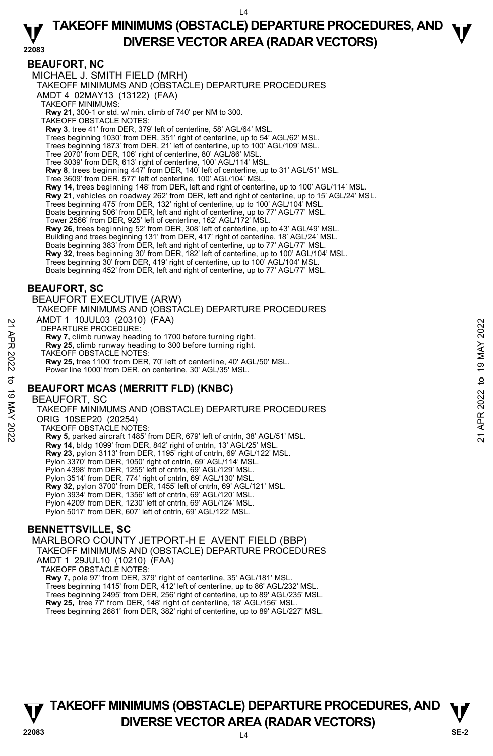**TAKEOFF MINIMUMS (OBSTACLE) DEPARTURE PROCEDURES, AND**  $\Psi$ **DIVERSE VECTOR AREA (RADAR VECTORS) 22083** 

#### **BEAUFORT, NC**

MICHAEL J. SMITH FIELD (MRH) TAKEOFF MINIMUMS AND (OBSTACLE) DEPARTURE PROCEDURES AMDT 4 02MAY13 (13122) (FAA) TAKEOFF MINIMUMS: **Rwy 21,** 300-1 or std. w/ min. climb of 740' per NM to 300. TAKEOFF OBSTACLE NOTES: **Rwy 3**, tree 41' from DER, 379' left of centerline, 58' AGL/64' MSL. Trees beginning 1030' from DER, 351' right of centerline, up to 54' AGL/62' MSL. Trees beginning 1873' from DER, 21' left of centerline, up to 100' AGL/109' MSL. Tree 2070' from DER, 106' right of centerline, 80' AGL/86' MSL. Tree 3039' from DER, 613' right of centerline, 100' AGL/114' MSL. **Rwy 8**, trees beginning 447' from DER, 140' left of centerline, up to 31' AGL/51' MSL. Tree 3609' from DER, 577' left of centerline, 100' AGL/104' MSL. **Rwy 14**, trees beginning 148' from DER, left and right of centerline, up to 100' AGL/114' MSL. **Rwy 21**, vehicles on roadway 262' from DER, left and right of centerline, up to 15' AGL/24' MSL. Trees beginning 475' from DER, 132' right of centerline, up to 100' AGL/104' MSL. Boats beginning 506' from DER, left and right of centerline, up to 77' AGL/77' MSL. Tower 2566' from DER, 925' left of centerline, 162' AGL/172' MSL. **Rwy 26**, trees beginning 52' from DER, 308' left of centerline, up to 43' AGL/49' MSL. Building and trees beginning 131' from DER, 417' right of centerline, 18' AGL/24' MSL. Boats beginning 383' from DER, left and right of centerline, up to 77' AGL/77' MSL. **Rwy 32**, trees beginning 30' from DER, 182' left of centerline, up to 100' AGL/104' MSL. Trees beginning 30' from DER, 419' right of centerline, up to 100' AGL/104' MSL. Boats beginning 452' from DER, left and right of centerline, up to 77' AGL/77' MSL.

#### **BEAUFORT, SC**

BEAUFORT EXECUTIVE (ARW) TAKEOFF MINIMUMS AND (OBSTACLE) DEPARTURE PROCEDURES AMDT 1 10JUL03 (20310) (FAA)

DEPARTURE PROCEDURE:

**Rwy 7,** climb runway heading to 1700 before turning right. **Rwy 25,** climb runway heading to 300 before turning right.

TAKEOFF OBSTACLE NOTES:

**Rwy 25,** tree 1100' from DER, 70' left of centerline, 40' AGL/50' MSL. Power line 1000' from DER, on centerline, 30' AGL/35' MSL.

#### **BEAUFORT MCAS (MERRITT FLD) (KNBC)**

BEAUFORT, SC

TAKEOFF MINIMUMS AND (OBSTACLE) DEPARTURE PROCEDURES ORIG 10SEP20 (20254) TAKEOFF OBSTACLE NOTES: **Rwy 5,** parked aircraft 1485' from DER, 679' left of cntrln, 38' AGL/51' MSL. **Rwy 14,** bldg 1099' from DER, 842' right of cntrln, 13' AGL/25' MSL. **Rwy 23,** pylon 3113' from DER, 1195' right of cntrln, 69' AGL/122' MSL.<br>Pylon 3370' from DER, 1050' right of cntrln, 69' AGL/114' MSL. Pylon 4398' from DER, 1255' left of cntrln, 69' AGL/129' MSL. Pylon 3514' from DER, 774' right of cntrln, 69' AGL/130' MSL. **Rwy 32,** pylon 3700' from DER, 1455' left of cntrln, 69' AGL/121' MSL. Pylon 3934' from DER, 1356' left of cntrln, 69' AGL/120' MSL. Pylon 4209' from DER, 1230' left of cntrln, 69' AGL/124' MSL. 22 AND THE TROUGHOS (2021) (FAA)<br>
22 APR 2022 TARTURE PROCEDURE:<br>
22 Rwy 7, climb runway heading to 1700 before turning right.<br>
22 TAKEOFF OBSTACLE NOTES:<br>
22 TAKEOFF OBSTACLE NOTES:<br>
23 Rwy 25, tree 1100' from DER, 70' l

Pylon 5017' from DER, 607' left of cntrln, 69' AGL/122' MSL.

### **BENNETTSVILLE, SC**

MARLBORO COUNTY JETPORT-H E AVENT FIELD (BBP) TAKEOFF MINIMUMS AND (OBSTACLE) DEPARTURE PROCEDURES AMDT 1 29JUL10 (10210) (FAA) TAKEOFF OBSTACLE NOTES: **Rwy 7,** pole 97' from DER, 379' right of centerline, 35' AGL/181' MSL.

Trees beginning 1415' from DER, 412' left of centerline, up to 86' AGL/232' MSL. Trees beginning 2495' from DER, 256' right of centerline, up to 89' AGL/235' MSL. **Rwy 25,** tree 77' from DER, 148' right of centerline, 18' AGL/156' MSL. Trees beginning 2681' from DER, 382' right of centerline, up to 89' AGL/227' MSL.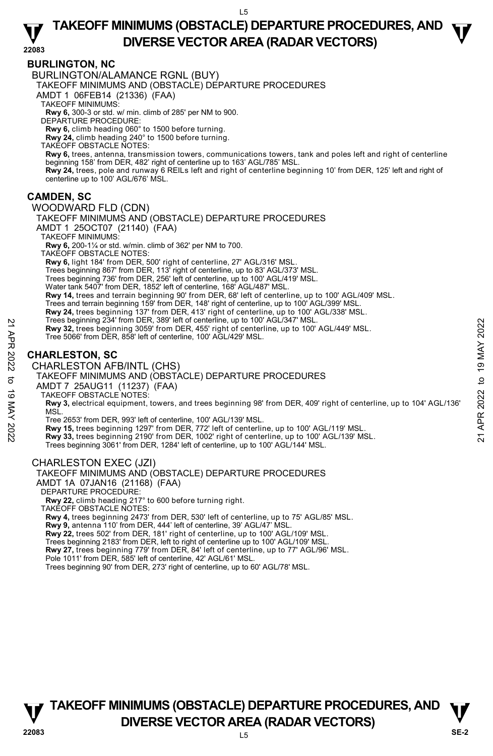## **TAKEOFF MINIMUMS (OBSTACLE) DEPARTURE PROCEDURES, AND**  $\Psi$ **DIVERSE VECTOR AREA (RADAR VECTORS) 22083**

#### **BURLINGTON, NC**

BURLINGTON/ALAMANCE RGNL (BUY)

TAKEOFF MINIMUMS AND (OBSTACLE) DEPARTURE PROCEDURES

AMDT 1 06FEB14 (21336) (FAA)

TAKEOFF MINIMUMS:

**Rwy 6,** 300-3 or std. w/ min. climb of 285' per NM to 900. DEPARTURE PROCEDURE:

**Rwy 6,** climb heading 060° to 1500 before turning.

**Rwy 24,** climb heading 240° to 1500 before turning.

TAKEOFF OBSTACLE NOTES:

**Rwy 6,** trees, antenna, transmission towers, communications towers, tank and poles left and right of centerline beginning 158' from DER, 482' right of centerline up to 163' AGL/785' MSL. **Rwy 24,** trees, pole and runway 6 REILs left and right of centerline beginning 10' from DER, 125' left and right of<br>centerline up to 100' AGL/676' MSL.

### **CAMDEN, SC**

WOODWARD FLD (CDN)

TAKEOFF MINIMUMS AND (OBSTACLE) DEPARTURE PROCEDURES AMDT 1 25OCT07 (21140) (FAA)

TAKEOFF MINIMUMS:

**Rwy 6,** 200-1¼ or std. w/min. climb of 362' per NM to 700.

TAKEOFF OBSTACLE NOTES:

**Rwy 6,** light 184' from DER, 500' right of centerline, 27' AGL/316' MSL.

Trees beginning 867' from DER, 113' right of centerline, up to 83' AGL/373' MSL.

Trees beginning 736' from DER, 256' left of centerline, up to 100' AGL/419' MSL.

Water tank 5407' from DER, 1852' left of centerline, 168' AGL/487' MSL.

**Rwy 14,** trees and terrain beginning 90' from DER, 68' left of centerline, up to 100' AGL/409' MSL.

- Trees and terrain beginning 159' from DER, 148' right of centerline, up to 100' AGL/399' MSL.
- **Rwy 24,** trees beginning 137' from DER, 413' right of centerline, up to 100' AGL/338' MSL.
- Trees beginning 234' from DER, 389' left of centerline, up to 100' AGL/347' MSL.
- **Rwy 32,** trees beginning 3059' from DER, 455' right of centerline, up to 100' AGL/449' MSL. Tree 5066' from DER, 858' left of centerline, 100' AGL/429' MSL.

### **CHARLESTON, SC**

CHARLESTON AFB/INTL (CHS)

TAKEOFF MINIMUMS AND (OBSTACLE) DEPARTURE PROCEDURES

AMDT 7 25AUG11 (11237) (FAA)

TAKEOFF OBSTACLE NOTES:

**Rwy 3,** electrical equipment, towers, and trees beginning 98' from DER, 409' right of centerline, up to 104' AGL/136' MSL Trees beginning 3059' from DER, 453' eith of centerline, up to 100' AGL/449' MSL.<br>
The 5066' from DER, 858' left of centerline, 100' AGL/429' MSL.<br>
Tree 5066' from DER, 858' left of centerline, 100' AGL/429' MSL.<br>
CHARLEST

Tree 2653' from DER, 993' left of centerline, 100' AGL/139' MSL.

- 
- Trees beginning 3061' from DER, 1284' left of centerline, up to 100' AGL/144' MSL.

#### CHARLESTON EXEC (JZI)

TAKEOFF MINIMUMS AND (OBSTACLE) DEPARTURE PROCEDURES AMDT 1A 07JAN16 (21168) (FAA) DEPARTURE PROCEDURE: **Rwy 22,** climb heading 217° to 600 before turning right. TAKEOFF OBSTACLE NOTES: **Rwy 4,** trees beginning 2473' from DER, 530' left of centerline, up to 75' AGL/85' MSL. **Rwy 9,** antenna 110' from DER, 444' left of centerline, 39' AGL/47' MSL. **Rwy 22,** trees 502' from DER, 181' right of centerline, up to 100' AGL/109' MSL.

Trees beginning 2183' from DER, left to right of centerline up to 100' AGL/109' MSL **Rwy 27,** trees beginning 779' from DER, 84' left of centerline, up to 77' AGL/96' MSL.

Pole 1011' from DER, 585' left of centerline, 42' AGL/61' MSL.

Trees beginning 90' from DER, 273' right of centerline, up to 60' AGL/78' MSL.

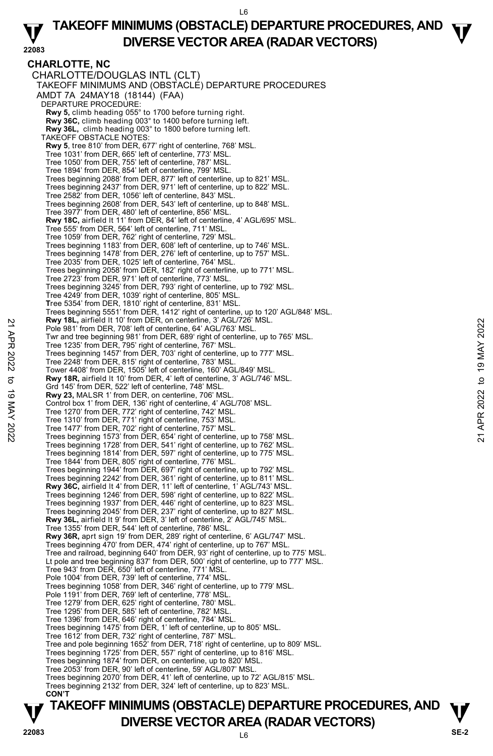## **TAKEOFF MINIMUMS (OBSTACLE) DEPARTURE PROCEDURES, AND**  $\Psi$ **DIVERSE VECTOR AREA (RADAR VECTORS) 22083**

**CHARLOTTE, NC**  CHARLOTTE/DOUGLAS INTL (CLT) TAKEOFF MINIMUMS AND (OBSTACLE) DEPARTURE PROCEDURES AMDT 7A 24MAY18 (18144) (FAA) DEPARTURE PROCEDURE: **Rwy 5,** climb heading 055° to 1700 before turning right. **Rwy 36C,** climb heading 003° to 1400 before turning left. **Rwy 36L,** climb heading 003° to 1800 before turning left. TAKEOFF OBSTACLE NOTES: **Rwy 5**, tree 810' from DER, 677' right of centerline, 768' MSL. Tree 1031' from DER, 665' left of centerline, 773' MSL. Tree 1050' from DER, 755' left of centerline, 787' MSL. Tree 1894' from DER, 854' left of centerline, 799' MSL. Trees beginning 2088' from DER, 877' left of centerline, up to 821' MSL. Trees beginning 2437' from DER, 971' left of centerline, up to 822' MSL. Tree 2582' from DER, 1056' left of centerline, 843' MSL. Trees beginning 2608' from DER, 543' left of centerline, up to 848' MSL. Tree 3977' from DER, 480' left of centerline, 856' MSL. **Rwy 18C,** airfield lt 11' from DER, 84' left of centerline, 4' AGL/695' MSL. Tree 555' from DER, 564' left of centerline, 711' MSL. Tree 1059' from DER, 762' right of centerline, 729' MSL. Trees beginning 1183' from DER, 608' left of centerline, up to 746' MSL. Trees beginning 1478' from DER, 276' left of centerline, up to 757' MSL. Tree 2035' from DER, 1025' left of centerline, 764' MSL. Trees beginning 2058' from DER, 182' right of centerline, up to 771' MSL. Tree 2723' from DER, 971' left of centerline, 773' MSL. Trees beginning 3245' from DER, 793' right of centerline, up to 792' MSL. Tree 4249' from DER, 1039' right of centerline, 805' MSL. **T**ree 5354' from DER, 1810' right of centerline, 831' MSL. Trees beginning 5551' from DER, 1412' right of centerline, up to 120' AGL/848' MSL. **Rwy 18L,** airfield lt 10' from DER, on centerline, 3' AGL/726' MSL. Pole 981' from DER, 708' left of centerline, 64' AGL/763' MSL. Twr and tree beginning 981' from DER, 689' right of centerline, up to 765' MSL. Tree 1235' from DER, 795' right of centerline, 767' MSL. Trees beginning 1457' from DER, 703' right of centerline, up to 777' MSL. Tree 2248' from DER, 815' right of centerline, 783' MSL. Tower 4408' from DER, 1505' left of centerline, 160' AGL/849' MSL. **Rwy 18R,** airfield lt 10' from DER, 4' left of centerline, 3' AGL/746' MSL. Grd 145' from DER, 522' left of centerline, 748' MSL. **Rwy 23,** MALSR 1' from DER, on centerline, 706' MSL. Control box 1' from DER, 136' right of centerline, 4' AGL/708' MSL. Tree 1270' from DER, 772' right of centerline, 742' MSL. Tree 1310' from DER, 771' right of centerline, 753' MSL. Tree 1477' from DER, 702' right of centerline, 757' MSL. Trees beginning 1573' from DER, 654' right of centerline, up to 758' MSL. Trees beginning 1728' from DER, 541' right of centerline, up to 762' MSL. Trees beginning 1814' from DER, 597' right of centerline, up to 775' MSL. Tree 1844' from DER, 805' right of centerline, 776' MSL. Trees beginning 1944' from DER, 697' right of centerline, up to 792' MSL. Trees beginning 2242' from DER, 361' right of centerline, up to 811' MSL. **Rwy 36C,** airfield lt 4' from DER, 11' left of centerline, 1' AGL/743' MSL. Trees beginning 1246' from DER, 598' right of centerline, up to 822' MSL. Trees beginning 1937' from DER, 446' right of centerline, up to 823' MSL. Trees beginning 2045' from DER, 237' right of centerline, up to 827' MSL. **Rwy 36L,** airfield lt 9' from DER, 3' left of centerline, 2' AGL/745' MSL. Tree 1355' from DER, 544' left of centerline, 786' MSL. **Rwy 36R,** aprt sign 19' from DER, 289' right of centerline, 6' AGL/747' MSL. Trees beginning 470' from DER, 474' right of centerline, up to 767' MSL. Tree and railroad, beginning 640' from DER, 93' right of centerline, up to 775' MSL. Lt pole and tree beginning 837' from DER, 500' right of centerline, up to 777' MSL. Tree 943' from DER, 650' left of centerline, 771' MSL. Pole 1004' from DER, 739' left of centerline, 774' MSL. Trees beginning 1058' from DER, 346' right of centerline, up to 779' MSL. Pole 1191' from DER, 769' left of centerline, 778' MSL. Tree 1279' from DER, 625' right of centerline, 780' MSL. Tree 1295' from DER, 585' left of centerline, 782' MSL. Tree 1396' from DER, 646' right of centerline, 784' MSL. Trees beginning 1475' from DER, 1' left of centerline, up to 805' MSL. Tree 1612' from DER, 732' right of centerline, 787' MSL. Tree and pole beginning 1652' from DER, 718' right of centerline, up to 809' MSL. Trees beginning 1725' from DER, 557' right of centerline, up to 816' MSL. Trees beginning 1874' from DER, on centerline, up to 820' MSL. Tree 2053' from DER, 90' left of centerline, 59' AGL/807' MSL. Trees beginning 2070' from DER, 41' left of centerline, up to 72' AGL/815' MSL. Trees beginning 2132' from DER, 324' left of centerline, up to 823' MSL. **CON'T EVALUATE IT TO TROLLY TO THE SET AND CONDUCT AND THE SET AND THE SET AND THE SET AND THE SET AND THE SET AND THE SET AND THE SET AND THE SET AND THE SET AND THE SET AND THE SET AND THE SET AND THE SET AND THE SET AND THE**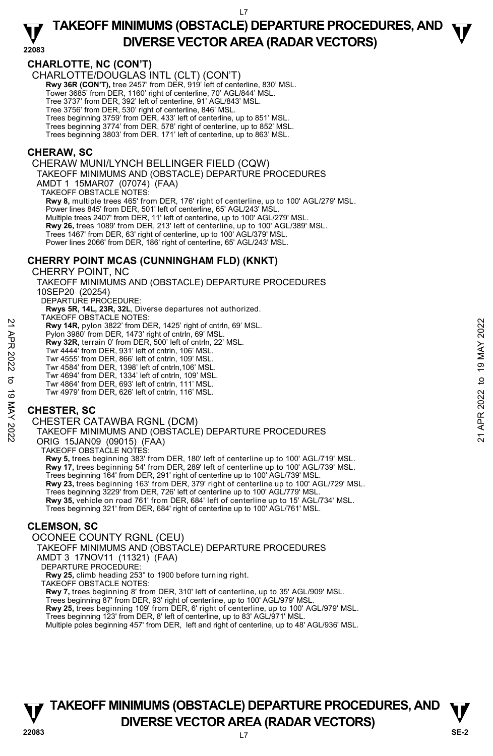## **TAKEOFF MINIMUMS (OBSTACLE) DEPARTURE PROCEDURES, AND**  $\Psi$ **DIVERSE VECTOR AREA (RADAR VECTORS) 22083**

### **CHARLOTTE, NC (CON'T)**

CHARLOTTE/DOUGLAS INTL (CLT) (CON'T)

**Rwy 36R (CON'T), tree 2457' from DER, 919' left of centerline, 830' MSL.** 

Tower 3685' from DER, 1160' right of centerline, 70' AGL/844' MSL. Tree 3737' from DER, 392' left of centerline, 91' AGL/843' MSL.

Tree 3756' from DER, 530' right of centerline, 846' MSL.

Trees beginning 3759' from DER, 433' left of centerline, up to 851' MSL.

Trees beginning 3774' from DER, 578' right of centerline, up to 852' MSL.

Trees beginning 3803' from DER, 171' left of centerline, up to 863' MSL.

#### **CHERAW, SC**

CHERAW MUNI/LYNCH BELLINGER FIELD (CQW)

TAKEOFF MINIMUMS AND (OBSTACLE) DEPARTURE PROCEDURES

AMDT 1 15MAR07 (07074) (FAA)

TAKEOFF OBSTACLE NOTES:

**Rwy 8,** multiple trees 465' from DER, 176' right of centerline, up to 100' AGL/279' MSL. Power lines 845' from DER, 501' left of centerline, 65' AGL/243' MSL. Multiple trees 2407' from DER, 11' left of centerline, up to 100' AGL/279' MSL. **Rwy 26,** trees 1089' from DER, 213' left of centerline, up to 100' AGL/389' MSL. Trees 1467' from DER, 63' right of centerline, up to 100' AGL/379' MSL. Power lines 2066' from DER, 186' right of centerline, 65' AGL/243' MSL.

### **CHERRY POINT MCAS (CUNNINGHAM FLD) (KNKT)**

CHERRY POINT, NC TAKEOFF MINIMUMS AND (OBSTACLE) DEPARTURE PROCEDURES 10SEP20 (20254) DEPARTURE PROCEDURE:  **Rwys 5R, 14L, 23R, 32L**, Diverse departures not authorized. TAKEOFF OBSTACLE NOTES: **Rwy 14R,** pylon 3822' from DER, 1425' right of cntrln, 69' MSL. Pylon 3980' from DER, 1473' right of cntrln, 69' MSL. **Rwy 32R,** terrain 0' from DER, 500' left of cntrln, 22' MSL.<br>Twr 4444' from DER, 931' left of cntrln, 106' MSL. Twr 4555' from DER, 866' left of cntrln, 109' MSL. Twr 4584' from DER, 1398' left of cntrln,106' MSL. Twr 4694' from DER, 1334' left of cntrln, 109' MSL. Twr 4864' from DER, 693' left of cntrln, 111' MSL. Twr 4979' from DER, 626' left of cntrln, 116' MSL. 22 A Rivy 14R, pylon 3822' from DER, 1425' right of cntrin, 69' MSL.<br>
22 Pylon 3820' from DER, 1473' right of cntrin, 69' MSL.<br>
22 New 32R, terrain 0' from DER, 500' left of cntrin, 22' MSL.<br>
Twr 4444' from DER, 1398' lef

## **CHESTER, SC**

CHESTER CATAWBA RGNL (DCM)

TAKEOFF MINIMUMS AND (OBSTACLE) DEPARTURE PROCEDURES ORIG 15JAN09 (09015) (FAA)

TAKEOFF OBSTACLE NOTES:

**Rwy 5,** trees beginning 383' from DER, 180' left of centerline up to 100' AGL/719' MSL. **Rwy 17,** trees beginning 54' from DER, 289' left of centerline up to 100' AGL/739' MSL. Trees beginning 164' from DER, 291' right of centerline up to 100' AGL/739' MSL. **Rwy 23,** trees beginning 163' from DER, 379' right of centerline up to 100' AGL/729' MSL. Trees beginning 3229' from DER, 726' left of centerline up to 100' AGL/779' MSL. **Rwy 35,** vehicle on road 761' from DER, 684' left of centerline up to 15' AGL/734' MSL. Trees beginning 321' from DER, 684' right of centerline up to 100' AGL/761' MSL.

### **CLEMSON, SC**

OCONEE COUNTY RGNL (CEU)

TAKEOFF MINIMUMS AND (OBSTACLE) DEPARTURE PROCEDURES

AMDT 3 17NOV11 (11321) (FAA)

DEPARTURE PROCEDURE

**Rwy 25,** climb heading 253° to 1900 before turning right.

TAKEOFF OBSTACLE NOTES:

**Rwy 7,** trees beginning 8' from DER, 310' left of centerline, up to 35' AGL/909' MSL.

Trees beginning 87' from DER, 93' right of centerline, up to 100' AGL/979' MSL.<br>**Rwy 25,** trees beginning 109' from DER, 6' right of centerline, up to 100' AGL/979' MSL.

Trees beginning 123' from DER, 8' left of centerline, up to 83' AGL/971' MSL.

Multiple poles beginning 457' from DER, left and right of centerline, up to 48' AGL/936' MSL.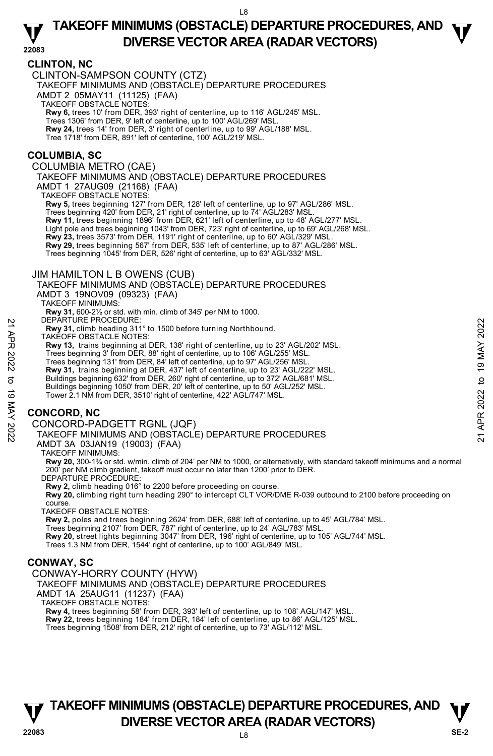## **TAKEOFF MINIMUMS (OBSTACLE) DEPARTURE PROCEDURES, AND**  $\Psi$ **DIVERSE VECTOR AREA (RADAR VECTORS) 22083**

#### **CLINTON, NC**

CLINTON-SAMPSON COUNTY (CTZ)

TAKEOFF MINIMUMS AND (OBSTACLE) DEPARTURE PROCEDURES

AMDT 2 05MAY11 (11125) (FAA)

TAKEOFF OBSTACLE NOTES:

**Rwy 6,** trees 10' from DER, 393' right of centerline, up to 116' AGL/245' MSL.

Trees 1306' from DER, 9' left of centerline, up to 100' AGL/269' MSL. **Rwy 24,** trees 14' from DER, 3' right of centerline, up to 99' AGL/188' MSL.

Tree 1718' from DER, 891' left of centerline, 100' AGL/219' MSL.

#### **COLUMBIA, SC**

COLUMBIA METRO (CAE)

TAKEOFF MINIMUMS AND (OBSTACLE) DEPARTURE PROCEDURES

AMDT 1 27AUG09 (21168) (FAA)

TAKEOFF OBSTACLE NOTES:

**Rwy 5,** trees beginning 127' from DER, 128' left of centerline, up to 97' AGL/286' MSL. Trees beginning 420' from DER, 21' right of centerline, up to 74' AGL/283' MSL. **Rwy 11,** trees beginning 1896' from DER, 621' left of centerline, up to 48' AGL/277' MSL. Light pole and trees beginning 1043' from DER, 723' right of centerline, up to 69' AGL/268' MSL.<br>**Rwy 23,** trees 3573' from DER, 1191' right of centerline, up to 60' AGL/329' MSL. **Rwy 29,** trees beginning 567' from DER, 535' left of centerline, up to 87' AGL/286' MSL. Trees beginning 1045' from DER, 526' right of centerline, up to 63' AGL/332' MSL.

#### JIM HAMILTON L B OWENS (CUB)

TAKEOFF MINIMUMS AND (OBSTACLE) DEPARTURE PROCEDURES AMDT 3 19NOV09 (09323) (FAA)

TAKEOFF MINIMUMS:

**Rwy 31,** 600-2½ or std. with min. climb of 345' per NM to 1000. DEPARTURE PROCEDURE:

**Rwy 31,** climb heading 311° to 1500 before turning Northbound.

TAKEOFF OBSTACLE NOTES:

**Rwy 13,** trains beginning at DER, 138' right of centerline, up to 23' AGL/202' MSL. 22 BEPARTURE PROCEDURES<br>
22 EWY 31, climb heading 311° to 1500 before turning Northbound.<br>
22 TAKEOFF OBSTACLE NOTES:<br>
22 Rwy 14, trains beginning at DER, 138' right of centerline, up to 23' AGL/202' MSL.<br>
22 Trees beginn

Trees beginning 3' from DER, 88' right of centerline, up to 106' AGL/255' MSL.

Trees beginning 131' from DER, 84' left of centerline, up to 97' AGL/256' MSL.

**Rwy 31,** trains beginning at DER, 437' left of centerline, up to 23' AGL/222' MSL.<br>Buildings beginning 632' from DER, 260' right of centerline, up to 372' AGL/681' MSL.

Buildings beginning 1050' from DER, 20' left of centerline, up to 50' AGL/252' MSL.

Tower 2.1 NM from DER, 3510' right of centerline, 422' AGL/747' MSL.

### **CONCORD, NC**

CONCORD-PADGETT RGNL (JQF)

TAKEOFF MINIMUMS AND (OBSTACLE) DEPARTURE PROCEDURES

AMDT 3A 03JAN19 (19003) (FAA)

TAKEOFF MINIMUMS:

**Rwy 20,** 300-1¾ or std. w/min. climb of 204' per NM to 1000, or alternatively, with standard takeoff minimums and a normal 200' per NM climb gradient, takeoff must occur no later than 1200' prior to DER.

DEPARTURE PROCEDURE:

**Rwy 2,** climb heading 016° to 2200 before proceeding on course.

**Rwy 20,** climbing right turn heading 290° to intercept CLT VOR/DME R-039 outbound to 2100 before proceeding on course.

TAKEOFF OBSTACLE NOTES:

**Rwy 2,** poles and trees beginning 2624' from DER, 688' left of centerline, up to 45' AGL/784' MSL.

Trees beginning 2107' from DER, 787' right of centerline, up to 24' AGL/783' MSL.

**Rwy 20,** street lights beginning 3047' from DER, 196' right of centerline, up to 105' AGL/744' MSL.<br>Trees 1.3 NM from DER, 1544' right of centerline, up to 100' AGL/849' MSL.

### **CONWAY, SC**

CONWAY-HORRY COUNTY (HYW)

TAKEOFF MINIMUMS AND (OBSTACLE) DEPARTURE PROCEDURES

AMDT 1A 25AUG11 (11237) (FAA)

TAKEOFF OBSTACLE NOTES:

**Rwy 4,** trees beginning 58' from DER, 393' left of centerline, up to 108' AGL/147' MSL. **Rwy 22,** trees beginning 184' from DER, 184' left of centerline, up to 86' AGL/125' MSL. Trees beginning 1508' from DER, 212' right of centerline, up to 73' AGL/112' MSL.



L8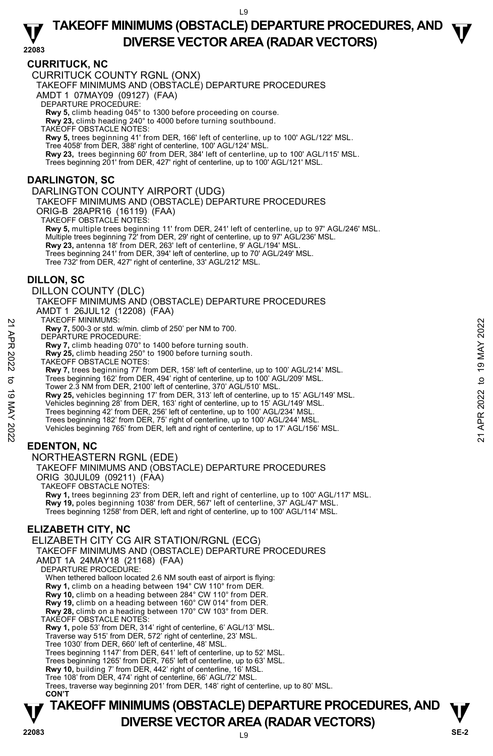# **TAKEOFF MINIMUMS (OBSTACLE) DEPARTURE PROCEDURES, AND**  $\Psi$

### **CURRITUCK, NC**

**DIVERSE VECTOR AREA (RADAR VECTORS) 22083**  CURRITUCK COUNTY RGNL (ONX) TAKEOFF MINIMUMS AND (OBSTACLE) DEPARTURE PROCEDURES AMDT 1 07MAY09 (09127) (FAA) DEPARTURE PROCEDURE: **Rwy 5,** climb heading 045° to 1300 before proceeding on course. **Rwy 23,** climb heading 240° to 4000 before turning southbound. TAKEOFF OBSTACLE NOTES: **Rwy 5,** trees beginning 41' from DER, 166' left of centerline, up to 100' AGL/122' MSL. Tree 4058' from DER, 388' right of centerline, 100' AGL/124' MSL.<br>**Rwy 23,** trees beginning 60' from DER, 384' left of centerline, up to 100' AGL/115' MSL. Trees beginning 201' from DER, 427' right of centerline, up to 100' AGL/121' MSL. **DARLINGTON, SC**  DARLINGTON COUNTY AIRPORT (UDG) TAKEOFF MINIMUMS AND (OBSTACLE) DEPARTURE PROCEDURES ORIG-B 28APR16 (16119) (FAA) TAKEOFF OBSTACLE NOTES: **Rwy 5,** multiple trees beginning 11' from DER, 241' left of centerline, up to 97' AGL/246' MSL.<br>Multiple trees beginning 72' from DER, 29' right of centerline, up to 97' AGL/236' MSL. **Rwy 23,** antenna 18' from DER, 263' left of centerline, 9' AGL/194' MSL. Trees beginning 241' from DER, 394' left of centerline, up to 70' AGL/249' MSL. Tree 732' from DER, 427' right of centerline, 33' AGL/212' MSL. **DILLON, SC**  DILLON COUNTY (DLC) TAKEOFF MINIMUMS AND (OBSTACLE) DEPARTURE PROCEDURES AMDT 1 26JUL12 (12208) (FAA) TAKEOFF MINIMUMS: **Rwy 7,** 500-3 or std. w/min. climb of 250' per NM to 700. DEPARTURE PROCEDURE **Rwy 7,** climb heading 070° to 1400 before turning south. **Rwy 25,** climb heading 250° to 1900 before turning south. TAKEOFF OBSTACLE NOTES: **Rwy 7,** trees beginning 77' from DER, 158' left of centerline, up to 100' AGL/214' MSL.<br>Trees beginning 162' from DER, 494' right of centerline, up to 100' AGL/209' MSL. Tower 2.3 NM from DER, 2100' left of centerline, 370' AGL/510' MSL. **Rwy 25,** vehicles beginning 17' from DER, 313' left of centerline, up to 15' AGL/149' MSL.<br>Vehicles beginning 28' from DER, 163' right of centerline, up to 15' AGL/149' MSL. Trees beginning 42' from DER, 256' left of centerline, up to 100' AGL/234' MSL. Trees beginning 182' from DER, 75' right of centerline, up to 100' AGL/244' MSL. Vehicles beginning 765' from DER, left and right of centerline, up to 17' AGL/156' MSL. **EDENTON, NC**  NORTHEASTERN RGNL (EDE) TAKEOFF MINIMUMS AND (OBSTACLE) DEPARTURE PROCEDURES 21 AKEOFF MINIMUMIS:<br>
22 TAWY 7, 500-3 or std. w/min. climb of 250' per NM to 700.<br>
DEPARTURE PROCEDURE:<br>
Rwy 7, climb heading 070° to 1400 before turning south.<br>
22 New 7, these beginning 250° to 1900 before turning sout

ORIG 30JUL09 (09211) (FAA)

TAKEOFF OBSTACLE NOTES:

**Rwy 1,** trees beginning 23' from DER, left and right of centerline, up to 100' AGL/117' MSL. **Rwy 19,** poles beginning 1038' from DER, 567' left of centerline, 37' AGL/47' MSL. Trees beginning 1258' from DER, left and right of centerline, up to 100' AGL/114' MSL.

## **ELIZABETH CITY, NC**

ELIZABETH CITY CG AIR STATION/RGNL (ECG) TAKEOFF MINIMUMS AND (OBSTACLE) DEPARTURE PROCEDURES AMDT 1A 24MAY18 (21168) (FAA) DEPARTURE PROCEDURE: When tethered balloon located 2.6 NM south east of airport is flying: **Rwy 1,** climb on a heading between 194° CW 110° from DER. **Rwy 10,** climb on a heading between 284° CW 110° from DER. **Rwy 19,** climb on a heading between 160° CW 014° from DER. **Rwy 28,** climb on a heading between 170° CW 103° from DER. TAKEOFF OBSTACLE NOTES: **Rwy 1,** pole 53' from DER, 314' right of centerline, 6' AGL/13' MSL. Traverse way 515' from DER, 572' right of centerline, 23' MSL. Tree 1030' from DER, 660' left of centerline, 48' MSL. Trees beginning 1147' from DER, 641' left of centerline, up to 52' MSL. Trees beginning 1265' from DER, 765' left of centerline, up to 63' MSL. **Rwy 10,** building 7' from DER, 442' right of centerline, 16' MSL. Tree 108' from DER, 474' right of centerline, 66' AGL/72' MSL. Trees, traverse way beginning 201' from DER, 148' right of centerline, up to 80' MSL. **CON'T**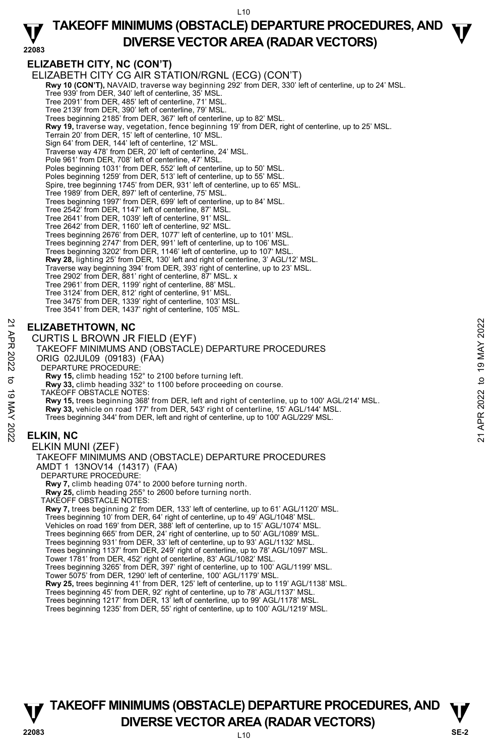## **TAKEOFF MINIMUMS (OBSTACLE) DEPARTURE PROCEDURES, AND**  $\Psi$ **DIVERSE VECTOR AREA (RADAR VECTORS) 22083**

### **ELIZABETH CITY, NC (CON'T)**

ELIZABETH CITY CG AIR STATION/RGNL (ECG) (CON'T) **Rwy 10 (CON'T),** NAVAID, traverse way beginning 292' from DER, 330' left of centerline, up to 24' MSL. Tree 939' from DER, 340' left of centerline, 35' MSL. Tree 2091' from DER, 485' left of centerline, 71' MSL. Tree 2139' from DER, 390' left of centerline, 79' MSL. Trees beginning 2185' from DER, 367' left of centerline, up to 82' MSL. **Rwy 19,** traverse way, vegetation, fence beginning 19' from DER, right of centerline, up to 25' MSL.<br>Terrain 20' from DER, 15' left of centerline, 10' MSL. Sign 64' from DER, 144' left of centerline, 12' MSL. Traverse way 478' from DER, 20' left of centerline, 24' MSL. Pole 961' from DER, 708' left of centerline, 47' MSL. Poles beginning 1031' from DER, 552' left of centerline, up to 50' MSL. Poles beginning 1259' from DER, 513' left of centerline, up to 55' MSL. Spire, tree beginning 1745' from DER, 931' left of centerline, up to 65' MSL. Tree 1989' from DER, 897' left of centerline, 75' MSL. Trees beginning 1997' from DER, 699' left of centerline, up to 84' MSL. Tree 2542' from DER, 1147' left of centerline, 87' MSL. Tree 2641' from DER, 1039' left of centerline, 91' MSL. Tree 2642' from DER, 1160' left of centerline, 92' MSL. Trees beginning 2676' from DER, 1077' left of centerline, up to 101' MSL. Trees beginning 2747' from DER, 991' left of centerline, up to 106' MSL. Trees beginning 3202' from DER, 1146' left of centerline, up to 107' MSL. **Rwy 28,** lighting 25' from DER, 130' left and right of centerline, 3' AGL/12' MSL. Traverse way beginning 394' from DER, 393' right of centerline, up to 23' MSL. Tree 2902' from DER, 881' right of centerline, 87' MSL. x Tree 2961' from DER, 1199' right of centerline, 88' MSL. Tree 3124' from DER, 812' right of centerline, 91' MSL. Tree 3475' from DER, 1339' right of centerline, 103' MSL. Tree 3541' from DER, 1437' right of centerline, 105' MSL. **ELIZABETHTOWN, NC**  CURTIS L BROWN JR FIELD (EYF) TAKEOFF MINIMUMS AND (OBSTACLE) DEPARTURE PROCEDURES ORIG 02JUL09 (09183) (FAA) DEPARTURE PROCEDURE **Rwy 15,** climb heading 152° to 2100 before turning left. **Rwy 33,** climb heading 332° to 1100 before proceeding on course. TAKEOFF OBSTACLE NOTES: **Rwy 15,** trees beginning 368' from DER, left and right of centerline, up to 100' AGL/214' MSL. **Rwy 33,** vehicle on road 177' from DER, 543' right of centerline, 15' AGL/144' MSL. Trees beginning 344' from DER, left and right of centerline, up to 100' AGL/229' MSL. **ELKIN, NC**  ELKIN MUNI (ZEF) TAKEOFF MINIMUMS AND (OBSTACLE) DEPARTURE PROCEDURES AMDT 1 13NOV14 (14317) (FAA) DEPARTURE PROCEDURE: **Rwy 7,** climb heading 074° to 2000 before turning north. **ELIZABETHTOWN, NC**<br>
22 **CURTIS L BROWN JR FIELD (EYF)**<br>
TAKEOFF MINIMUMS AND (OBSTACLE) DEPARTURE PROCEDURES<br>
23 ORIG 02JUL09 (09183) (FAA)<br>
23 DEPARTURE PROCEDURES<br>
23 ORIG 02JUL09 (09183) (FAA)<br>
26 TAKEOFF MINIMUMS AND

**Rwy 25,** climb heading 255° to 2600 before turning north. TAKEOFF OBSTACLE NOTES: **Rwy 7,** trees beginning 2' from DER, 133' left of centerline, up to 61' AGL/1120' MSL. Trees beginning 10' from DER, 64' right of centerline, up to 49' AGL/1048' MSL. Vehicles on road 169' from DER, 388' left of centerline, up to 15' AGL/1074' MSL Trees beginning 665' from DER, 24' right of centerline, up to 50' AGL/1089' MSL. Trees beginning 931' from DER, 33' left of centerline, up to 93' AGL/1132' MSL. Trees beginning 1137' from DER, 249' right of centerline, up to 78' AGL/1097' MSL. Tower 1781' from DER, 452' right of centerline, 83' AGL/1082' MSL. Trees beginning 3265' from DER, 397' right of centerline, up to 100' AGL/1199' MSL. Tower 5075' from DER, 1290' left of centerline, 100' AGL/1179' MSL. **Rwy 25,** trees beginning 41' from DER, 125' left of centerline, up to 119' AGL/1138' MSL. Trees beginning 45' from DER, 92' right of centerline, up to 78' AGL/1137' MSL.

Trees beginning 1217' from DER, 13' left of centerline, up to 99' AGL/1178' MSL.

Trees beginning 1235' from DER, 55' right of centerline, up to 100' AGL/1219' MSL.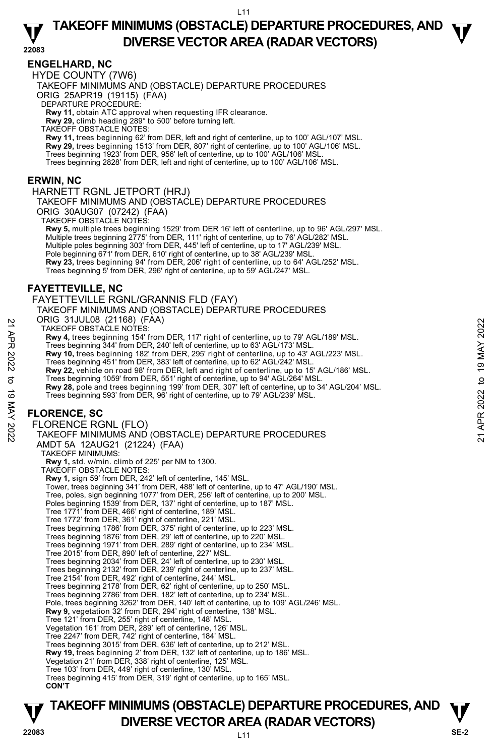**TAKEOFF MINIMUMS (OBSTACLE) DEPARTURE PROCEDURES, AND**  $\Psi$ **DIVERSE VECTOR AREA (RADAR VECTORS) 22083** 

#### **ENGELHARD, NC**

HYDE COUNTY (7W6)

TAKEOFF MINIMUMS AND (OBSTACLE) DEPARTURE PROCEDURES

ORIG 25APR19 (19115) (FAA)

DEPARTURE PROCEDURE:

**Rwy 11,** obtain ATC approval when requesting IFR clearance.

**Rwy 29,** climb heading 289° to 500' before turning left. TAKEOFF OBSTACLE NOTES:

**Rwy 11,** trees beginning 62' from DER, left and right of centerline, up to 100' AGL/107' MSL. **Rwy 29,** trees beginning 1513' from DER, 807' right of centerline, up to 100' AGL/106' MSL.<br>Trees beginning 1923' from DER, 956' left of centerline, up to 100' AGL/106' MSL. Trees beginning 2828' from DER, left and right of centerline, up to 100' AGL/106' MSL.

#### **ERWIN, NC**

#### HARNETT RGNL JETPORT (HRJ)

TAKEOFF MINIMUMS AND (OBSTACLE) DEPARTURE PROCEDURES ORIG 30AUG07 (07242) (FAA)

TAKEOFF OBSTACLE NOTES:

**Rwy 5,** multiple trees beginning 1529' from DER 16' left of centerline, up to 96' AGL/297' MSL. Multiple trees beginning 2775' from DER, 111' right of centerline, up to 76' AGL/282' MSL. Multiple poles beginning 303' from DER, 445' left of centerline, up to 17' AGL/239' MSL. Pole beginning 671' from DER, 610' right of centerline, up to 38' AGL/239' MSL. **Rwy 23,** trees beginning 94' from DER, 206' right of centerline, up to 64' AGL/252' MSL.<br>Trees beginning 5' from DER, 296' right of centerline, up to 59' AGL/247' MSL.

#### **FAYETTEVILLE, NC**

FAYETTEVILLE RGNL/GRANNIS FLD (FAY)

TAKEOFF MINIMUMS AND (OBSTACLE) DEPARTURE PROCEDURES

ORIG 31JUL08 (21168) (FAA)

TAKEOFF OBSTACLE NOTES:

**Rwy 4,** trees beginning 154' from DER, 117' right of centerline, up to 79' AGL/189' MSL.

Trees beginning 344' from DER, 240' left of centerline, up to 63' AGL/173' MSL.

**Rwy 10,** trees beginning 182' from DER, 295' right of centerline, up to 43' AGL/223' MSL.

Trees beginning 451' from DER, 383' left of centerline, up to 62' AGL/242' MSL.

**Rwy 22,** vehicle on road 98' from DER, left and right of centerline, up to 15' AGL/186' MSL.

Trees beginning 1059' from DER, 551' right of centerline, up to 94' AGL/264' MSL.<br>**Rwy 28,** pole and trees beginning 199' from DER, 307' left of centerline, up to 34' AGL/204' MSL. Trees beginning 593' from DER, 96' right of centerline, up to 79' AGL/239' MSL.

## **FLORENCE, SC**

FLORENCE RGNL (FLO) TAKEOFF MINIMUMS AND (OBSTACLE) DEPARTURE PROCEDURES AMDT 5A 12AUG21 (21224) (FAA) TAKEOFF MINIMUMS: **Rwy 1,** std. w/min. climb of 225' per NM to 1300. TAKEOFF OBSTACLE NOTES: **Rwy 1,** sign 59' from DER, 242' left of centerline, 145' MSL. Tower, trees beginning 341' from DER, 488' left of centerline, up to 47' AGL/190' MSL. Tree, poles, sign beginning 1077' from DER, 256' left of centerline, up to 200' MSL. Poles beginning 1539' from DER, 137' right of centerline, up to 187' MSL. Tree 1771' from DER, 466' right of centerline, 189' MSL. Tree 1772' from DER, 361' right of centerline, 221' MSL. Trees beginning 1786' from DER, 375' right of centerline, up to 223' MSL. Trees beginning 1876' from DER, 29' left of centerline, up to 220' MSL. Trees beginning 1971' from DER, 289' right of centerline, up to 234' MSL. Tree 2015' from DER, 890' left of centerline, 227' MSL. Trees beginning 2034' from DER, 24' left of centerline, up to 230' MSL. Trees beginning 2132' from DER, 239' right of centerline, up to 237' MSL. Tree 2154' from DER, 492' right of centerline, 244' MSL. Trees beginning 2178' from DER, 62' right of centerline, up to 250' MSL. Trees beginning 2786' from DER, 182' left of centerline, up to 234' MSL. Pole, trees beginning 3262' from DER, 140' left of centerline, up to 109' AGL/246' MSL.<br>**Rwy 9,** vegetation 32' from DER, 294' right of centerline, 138' MSL. Tree 121' from DER, 255' right of centerline, 148' MSL. Vegetation 161' from DER, 289' left of centerline, 126' MSL. Tree 2247' from DER, 742' right of centerline, 184' MSL. Trees beginning 3015' from DER, 636' left of centerline, up to 212' MSL. **Rwy 19,** trees beginning 2' from DER, 132' left of centerline, up to 186' MSL. Vegetation 21' from DER, 338' right of centerline, 125' MSL. Tree 103' from DER, 449' right of centerline, 130' MSL. Trees beginning 415' from DER, 319' right of centerline, up to 165' MSL. **CON'T** TAKEOFF OBSTACLE NOTES:<br>
TAKEOFF OBSTACLE NOTES:<br>
TRANSOFF OBSTACLE NOTES:<br>
Trees beginning 154' from DER, 210' left of centerline, up to 63' AGL/173' MSL.<br>
Trees beginning 34' from DER, 295' right of centerline, up to 43'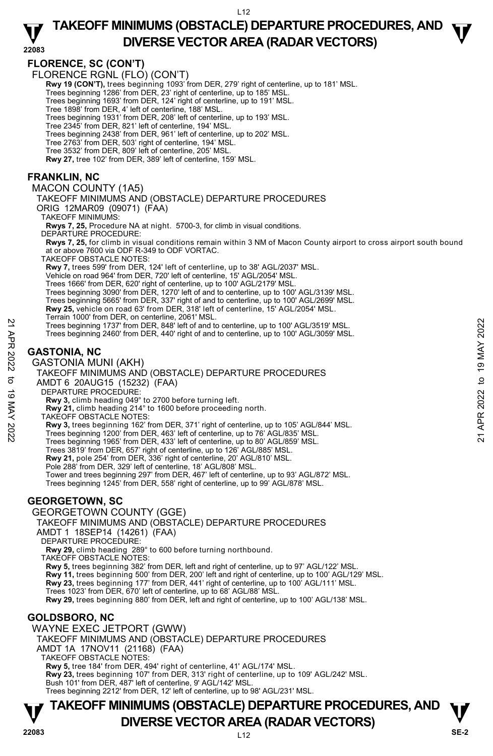## **TAKEOFF MINIMUMS (OBSTACLE) DEPARTURE PROCEDURES, AND**  $\Psi$ **DIVERSE VECTOR AREA (RADAR VECTORS) 22083**

**FLORENCE, SC (CON'T)** 

FLORENCE RGNL (FLO) (CON'T)

**Rwy 19 (CON'T),** trees beginning 1093' from DER, 279' right of centerline, up to 181' MSL.

Trees beginning 1286' from DER, 23' right of centerline, up to 185' MSL.

Trees beginning 1693' from DER, 124' right of centerline, up to 191' MSL. Tree 1898' from DER, 4' left of centerline, 188' MSL.

Trees beginning 1931' from DER, 208' left of centerline, up to 193' MSL.

Tree 2345' from DER, 821' left of centerline, 194' MSL.

Trees beginning 2438' from DER, 961' left of centerline, up to 202' MSL.

Tree 2763' from DER, 503' right of centerline, 194' MSL.

Tree 3532' from DER, 809' left of centerline, 205' MSL.

**Rwy 27,** tree 102' from DER, 389' left of centerline, 159' MSL.

## **FRANKLIN, NC**

MACON COUNTY (1A5)

TAKEOFF MINIMUMS AND (OBSTACLE) DEPARTURE PROCEDURES

ORIG 12MAR09 (09071) (FAA)

TAKEOFF MINIMUMS:

**Rwys 7, 25,** Procedure NA at night. 5700-3, for climb in visual conditions. DEPARTURE PROCEDURE:

**Rwys 7, 25,** for climb in visual conditions remain within 3 NM of Macon County airport to cross airport south bound at or above 7600 via ODF R-349 to ODF VORTAC.

TAKEOFF OBSTACLE NOTES:

**Rwy 7,** trees 599' from DER, 124' left of centerline, up to 38' AGL/2037' MSL.

Vehicle on road 964' from DER, 720' left of centerline, 15' AGL/2054' MSL.

Trees 1666' from DER, 620' right of centerline, up to 100' AGL/2179' MSL.

Trees beginning 3090' from DER, 1270' left of and to centerline, up to 100' AGL/3139' MSL.

Trees beginning 5665' from DER, 337' right of and to centerline, up to 100' AGL/2699' MSL.<br>**Rwy 25,** vehicle on road 63' from DER, 318' left of centerline, 15' AGL/2054' MSL.

Terrain 1000' from DER, on centerline, 2061' MSL.

Trees beginning 1737' from DER, 848' left of and to centerline, up to 100' AGL/3519' MSL. Trees beginning 2460' from DER, 440' right of and to centerline, up to 100' AGL/3059' MSL.

### **GASTONIA, NC**

GASTONIA MUNI (AKH)

TAKEOFF MINIMUMS AND (OBSTACLE) DEPARTURE PROCEDURES AMDT 6 20AUG15 (15232) (FAA) DEPARTURE PROCEDURE: Trees beginning 1737 from DER, 848 left of and to centerline, up to 100' AGL/3519' MSL.<br>
Trees beginning 2460' from DER, 440' right of and to centerline, up to 100' AGL/3059' MSL.<br>
Trees beginning 2460' from DER, 440' righ

**Rwy 3,** climb heading 049° to 2700 before turning left.

**Rwy 21,** climb heading 214° to 1600 before proceeding north.

TAKEOFF OBSTACLE NOTES:

**Rwy 3,** trees beginning 162' from DER, 371' right of centerline, up to 105' AGL/844' MSL.

Trees beginning 1200' from DER, 463' left of centerline, up to 76' AGL/835' MSL.

Trees beginning 1965' from DER, 433' left of centerline, up to 80' AGL/859' MSL.

Trees 3819' from DER, 657' right of centerline, up to 126' AGL/885' MSL.

**Rwy 21,** pole 254' from DER, 336' right of centerline, 20' AGL/810' MSL.

Pole 288' from DER, 329' left of centerline, 18' AGL/808' MSL. Tower and trees beginning 297' from DER, 467' left of centerline, up to 93' AGL/872' MSL.

Trees beginning 1245' from DER, 558' right of centerline, up to 99' AGL/878' MSL.

### **GEORGETOWN, SC**

GEORGETOWN COUNTY (GGE)

TAKEOFF MINIMUMS AND (OBSTACLE) DEPARTURE PROCEDURES

AMDT 1 18SEP14 (14261) (FAA)

DEPARTURE PROCEDURE

**Rwy 29,** climb heading 289° to 600 before turning northbound.

TAKEOFF OBSTACLE NOTES:

**Rwy 5,** trees beginning 382' from DER, left and right of centerline, up to 97' AGL/122' MSL.

**Rwy 11,** trees beginning 500' from DER, 200' left and right of centerline, up to 100' AGL/129' MSL.

**Rwy 23,** trees beginning 177' from DER, 441' right of centerline, up to 100' AGL/111' MSL.

Trees 1023' from DER, 670' left of centerline, up to 68' AGL/88' MSL.

**Rwy 29,** trees beginning 880' from DER, left and right of centerline, up to 100' AGL/138' MSL.

## **GOLDSBORO, NC**

WAYNE EXEC JETPORT (GWW)

TAKEOFF MINIMUMS AND (OBSTACLE) DEPARTURE PROCEDURES

AMDT 1A 17NOV11 (21168) (FAA)

TAKEOFF OBSTACLE NOTES:

**Rwy 5,** tree 184' from DER, 494' right of centerline, 41' AGL/174' MSL.

**Rwy 23,** trees beginning 107' from DER, 313' right of centerline, up to 109' AGL/242' MSL. Bush 101' from DER, 487' left of centerline, 9' AGL/142' MSL.

Trees beginning 2212' from DER, 12' left of centerline, up to 98' AGL/231' MSL.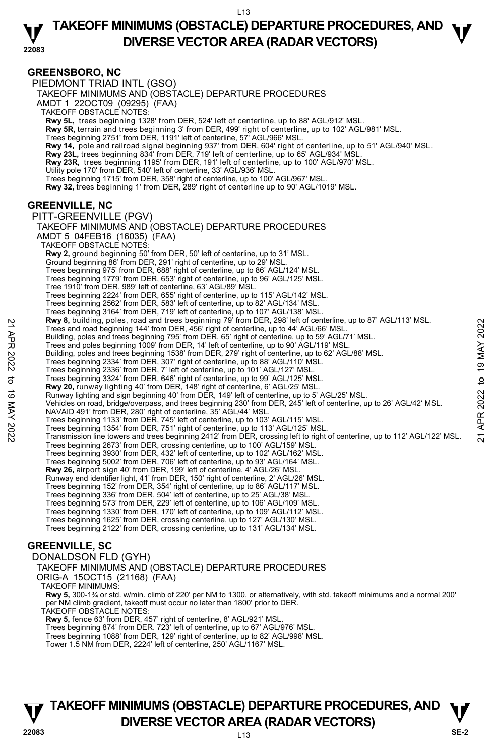## **TAKEOFF MINIMUMS (OBSTACLE) DEPARTURE PROCEDURES, AND**  $\Psi$ **DIVERSE VECTOR AREA (RADAR VECTORS) 22083**

**GREENSBORO, NC**  PIEDMONT TRIAD INTL (GSO) TAKEOFF MINIMUMS AND (OBSTACLE) DEPARTURE PROCEDURES AMDT 1 22OCT09 (09295) (FAA) TAKEOFF OBSTACLE NOTES: **Rwy 5L,** trees beginning 1328' from DER, 524' left of centerline, up to 88' AGL/912' MSL. **Rwy 5R,** terrain and trees beginning 3' from DER, 499' right of centerline, up to 102' AGL/981' MSL. Trees beginning 2751' from DER, 1191' left of centerline, 57' AGL/966' MSL. **Rwy 14,** pole and railroad signal beginning 937' from DER, 604' right of centerline, up to 51' AGL/940' MSL. <br>**Rwy 23L,** trees beginning 834' from DER, 719' left of centerline, up to 65' AGL/934' MSL. **Rwy 23R,** trees beginning 1195' from DER, 191' left of centerline, up to 100' AGL/970' MSL. Utility pole 170' from DER, 540' left of centerline, 33' AGL/936' MSL. Trees beginning 1715' from DER, 358' right of centerline, up to 100' AGL/967' MSL. **Rwy 32,** trees beginning 1' from DER, 289' right of centerline up to 90' AGL/1019' MSL. **GREENVILLE, NC**  PITT-GREENVILLE (PGV) TAKEOFF MINIMUMS AND (OBSTACLE) DEPARTURE PROCEDURES AMDT 5 04FEB16 (16035) (FAA) TAKEOFF OBSTACLE NOTES: **Rwy 2,** ground beginning 50' from DER, 50' left of centerline, up to 31' MSL. Ground beginning 86' from DER, 291' right of centerline, up to 29' MSL. Trees beginning 975' from DER, 688' right of centerline, up to 86' AGL/124' MSL. Trees beginning 1779' from DER, 653' right of centerline, up to 96' AGL/125' MSL. Tree 1910' from DER, 989' left of centerline, 63' AGL/89' MSL. Trees beginning 2224' from DER, 655' right of centerline, up to 115' AGL/142' MSL. Trees beginning 2562' from DER, 583' left of centerline, up to 82' AGL/134' MSL. Trees beginning 3164' from DER, 719' left of centerline, up to 107' AGL/138' MSL.<br>**Rwy 8,** building, poles, road and trees beginning 79' from DER, 298' left of centerline, up to 87' AGL/113' MSL. Trees and road beginning 144' from DER, 456' right of centerline, up to 44' AGL/66' MSL. Building, poles and trees beginning 795' from DER, 65' right of centerline, up to 59' AGL/71' MSL. Trees and poles beginning 1009' from DER, 14' left of centerline, up to 90' AGL/119' MSL. Building, poles and trees beginning 1538' from DER, 279' right of centerline, up to 62' AGL/88' MSL. Trees beginning 2334' from DER, 307' right of centerline, up to 88' AGL/110' MSL. Trees beginning 2336' from DER, 7' left of centerline, up to 101' AGL/127' MSL Trees beginning 3324' from DER, 646' right of centerline, up to 99' AGL/125' MSL. **Rwy 20,** runway lighting 40' from DER, 148' right of centerline, 6' AGL/25' MSL. Runway lighting and sign beginning 40' from DER, 149' left of centerline, up to 5' AGL/25' MSL. Vehicles on road, bridge/overpass, and trees beginning 230' from DER, 245' left of centerline, up to 26' AGL/42' MSL. NAVAID 491' from DER, 280' right of centerline, 35' AGL/44' MSL. Trees beginning 1133' from DER, 745' left of centerline, up to 103' AGL/115' MSL. Trees beginning 1354' from DER, 751' right of centerline, up to 113' AGL/125' MSL. Transmission line towers and trees beginning 2412' from DER, crossing left to right of centerline, up to 112' AGL/122' MSL. Trees beginning 2673' from DER, crossing centerline, up to 100' AGL/159' MSL. Trees beginning 3930' from DER, 432' left of centerline, up to 102' AGL/162' MSL. Trees beginning 5002' from DER, 706' left of centerline, up to 93' AGL/164' MSL. **Rwy 26,** airport sign 40' from DER, 199' left of centerline, 4' AGL/26' MSL. Runway end identifier light, 41' from DER, 150' right of centerline, 2' AGL/26' MSL. Trees beginning 152' from DER, 354' right of centerline, up to 86' AGL/117' MSL. Trees beginning 336' from DER, 504' left of centerline, up to 25' AGL/38' MSL. Trees beginning 573' from DER, 229' left of centerline, up to 106' AGL/109' MSL. Trees beginning 1330' from DER, 170' left of centerline, up to 109' AGL/112' MSL. Trees beginning 1625' from DER, crossing centerline, up to 127' AGL/130' MSL. Trees beginning 2122' from DER, crossing centerline, up to 131' AGL/134' MSL. **GREENVILLE, SC**  DONALDSON FLD (GYH) TAKEOFF MINIMUMS AND (OBSTACLE) DEPARTURE PROCEDURES **EVALUAT SEALUAT SEALUAT SEALUAT SEALUAT SEALUAT SEALUAT SEALUAT THES and rotation profiles and reas beginning 105' from DER, 65' right of centerline, up to 59' AGL/71' MSL.<br>
Trees and poles beginning 104' from DER, 456'** 

ORIG-A 15OCT15 (21168) (FAA)

TAKEOFF MINIMUMS:

**Rwy 5,** 300-1¾ or std. w/min. climb of 220' per NM to 1300, or alternatively, with std. takeoff minimums and a normal 200' per NM climb gradient, takeoff must occur no later than 1800' prior to DER.

TAKEOFF OBSTACLE NOTES:

**Rwy 5,** fence 63' from DER, 457' right of centerline, 8' AGL/921' MSL. Trees beginning 874' from DER, 723' left of centerline, up to 67' AGL/976' MSL.

Trees beginning 1088' from DER, 129' right of centerline, up to 82' AGL/998' MSL.

Tower 1.5 NM from DER, 2224' left of centerline, 250' AGL/1167' MSL.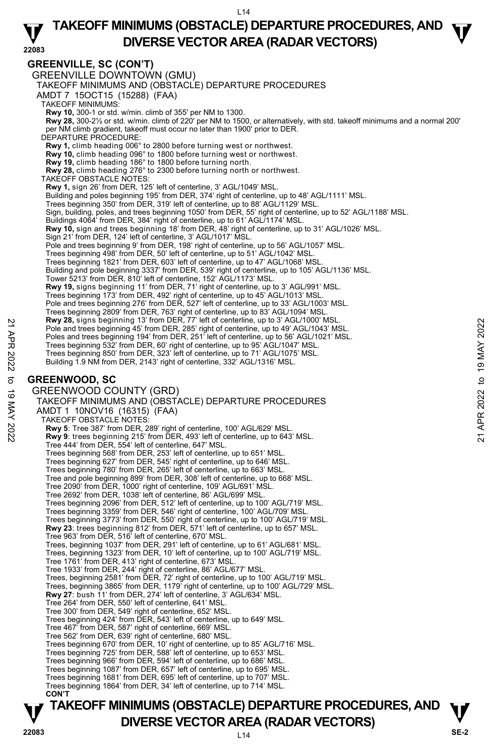## **TAKEOFF MINIMUMS (OBSTACLE) DEPARTURE PROCEDURES, AND**  $\Psi$ **DIVERSE VECTOR AREA (RADAR VECTORS) 22083**

### **GREENVILLE, SC (CON'T)**

**TAKEOFF MINIMUMS (OBSTACLE) DEPARTURE PROCEDURES, AND**  $\mathbf{V}$ GREENVILLE DOWNTOWN (GMU) TAKEOFF MINIMUMS AND (OBSTACLE) DEPARTURE PROCEDURES AMDT 7 15OCT15 (15288) (FAA) TAKEOFF MINIMUMS: **Rwy 10,** 300-1 or std. w/min. climb of 355' per NM to 1300. **Rwy 28,** 300-2½ or std. w/min. climb of 220' per NM to 1500, or alternatively, with std. takeoff minimums and a normal 200' per NM climb gradient, takeoff must occur no later than 1900' prior to DER. DEPARTURE PROCEDURE: **Rwy 1,** climb heading 006° to 2800 before turning west or northwest. **Rwy 10,** climb heading 096° to 1800 before turning west or northwest. **Rwy 19,** climb heading 186° to 1800 before turning north. **Rwy 28,** climb heading 276° to 2300 before turning north or northwest. TAKEOFF OBSTACLE NOTES: **Rwy 1,** sign 26' from DER, 125' left of centerline, 3' AGL/1049' MSL. Building and poles beginning 195' from DER, 374' right of centerline, up to 48' AGL/1111' MSL. Trees beginning 350' from DER, 319' left of centerline, up to 88' AGL/1129' MSL. Sign, building, poles, and trees beginning 1050' from DER, 55' right of centerline, up to 52' AGL/1188' MSL. Buildings 4064' from DER, 384' right of centerline, up to 61' AGL/1174' MSL. **Rwy 10,** sign and trees beginning 18' from DER, 48' right of centerline, up to 31' AGL/1026' MSL. Sign 21' from DER, 124' left of centerline, 3' AGL/1017' MSL. Pole and trees beginning 9' from DER, 198' right of centerline, up to 56' AGL/1057' MSL. Trees beginning 498' from DER, 50' left of centerline, up to 51' AGL/1042' MSL. Trees beginning 1821' from DER, 603' left of centerline, up to 47' AGL/1068' MSL. Building and pole beginning 3337' from DER, 539' right of centerline, up to 105' AGL/1136' MSL. Tower 5213' from DER, 810' left of centerline, 152' AGL/1173' MSL. **Rwy 19,** signs beginning 11' from DER, 71' right of centerline, up to 3' AGL/991' MSL.<br>Trees beginning 173' from DER, 492' right of centerline, up to 45' AGL/1013' MSL. Pole and trees beginning 276' from DER, 527' left of centerline, up to 33' AGL/1003' MSL. Trees beginning 2809' from DER, 763' right of centerline, up to 83' AGL/1094' MSL. **Rwy 28,** signs beginning 13' from DER, 77' left of centerline, up to 3' AGL/1000' MSL. Pole and trees beginning 45' from DER, 285' right of centerline, up to 49' AGL/1043' MSL. Poles and trees beginning 194' from DER, 251' left of centerline, up to 56' AGL/1021' MSL. Trees beginning 532' from DER, 60' right of centerline, up to 95' AGL/1047' MSL. Trees beginning 850' from DER, 323' left of centerline, up to 71' AGL/1075' MSL. Building 1.9 NM from DER, 2143' right of centerline, 332' AGL/1316' MSL. **GREENWOOD, SC**  GREENWOOD COUNTY (GRD) TAKEOFF MINIMUMS AND (OBSTACLE) DEPARTURE PROCEDURES AMDT 1 10NOV16 (16315) (FAA) TAKEOFF OBSTACLE NOTES: **Rwy 5**: Tree 387' from DER, 289' right of centerline, 100' AGL/629' MSL. **Rwy 9**: trees beginning 215' from DER, 493' left of centerline, up to 643' MSL. Tree 444' from DER, 554' left of centerline, 647' MSL. Trees beginning 568' from DER, 253' left of centerline, up to 651' MSL. Trees beginning 627' from DER, 545' right of centerline, up to 646' MSL. Trees beginning 780' from DER, 265' left of centerline, up to 663' MSL. Tree and pole beginning 899' from DER, 308' left of centerline, up to 668' MSL. Tree 2090' from DER, 1000' right of centerline, 109' AGL/691' MSL. Tree 2692' from DER, 1038' left of centerline, 86' AGL/699' MSL. Trees beginning 2096' from DER, 512' left of centerline, up to 100' AGL/719' MSL. Trees beginning 3359' from DER, 546' right of centerline, 100' AGL/709' MSL. Trees beginning 3773' from DER, 550' right of centerline, up to 100' AGL/719' MSL. **Rwy 23**: trees beginning 812' from DER, 571' left of centerline, up to 657' MSL. Tree 963' from DER, 516' left of centerline, 670' MSL. Trees, beginning 1037' from DER, 291' left of centerline, up to 61' AGL/681' MSL. Trees, beginning 1323' from DER, 10' left of centerline, up to 100' AGL/719' MSL. Tree 1761' from DER, 413' right of centerline, 673' MSL. Tree 1933' from DER, 244' right of centerline, 86' AGL/677' MSL. Trees, beginning 2581' from DER, 72' right of centerline, up to 100' AGL/719' MSL. Trees, beginning 3865' from DER, 1179' right of centerline, up to 100' AGL/729' MSL. **Rwy 27**: bush 11' from DER, 274' left of centerline, 3' AGL/634' MSL. Tree 264' from DER, 550' left of centerline, 641' MSL. Tree 300' from DER, 549' right of centerline, 652' MSL. Trees beginning 424' from DER, 543' left of centerline, up to 649' MSL. Tree 467' from DER, 587' right of centerline, 669' MSL. Tree 562' from DER, 639' right of centerline, 680' MSL. Trees beginning 670' from DER, 10' right of centerline, up to 85' AGL/716' MSL. Trees beginning 725' from DER, 588' left of centerline, up to 653' MSL.<br>Trees beginning 966' from DER, 594' left of centerline, up to 686' MSL.<br>Trees beginning 1087' from DER, 657' left of centerline, up to 695' MSL. Trees beginning 1681' from DER, 695' left of centerline, up to 707' MSL. Trees beginning 1864' from DER, 34' left of centerline, up to 714' MSL. **CON'T**  Pole and trees beginning 13 from DER, 285' right of centerline, up to 3 AGL/1000' MSL.<br>
Pole and trees beginning 43' from DER, 251' left of centerline, up to 49' AGL/1043' MSL.<br>
Poles and trees beginning 532' from DER, 25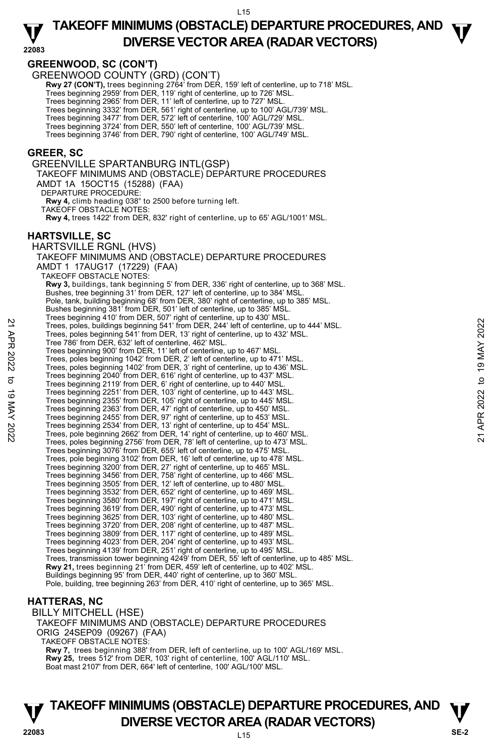## **TAKEOFF MINIMUMS (OBSTACLE) DEPARTURE PROCEDURES, AND**  $\Psi$ **DIVERSE VECTOR AREA (RADAR VECTORS) 22083**

### **GREENWOOD, SC (CON'T)**

GREENWOOD COUNTY (GRD) (CON'T)

**Rwy 27 (CON'T),** trees beginning 2764' from DER, 159' left of centerline, up to 718' MSL.

Trees beginning 2959' from DER, 119' right of centerline, up to 726' MSL.

Trees beginning 2965' from DER, 11' left of centerline, up to 727' MSL.

Trees beginning 3332' from DER, 561' right of centerline, up to 100' AGL/739' MSL.

Trees beginning 3477' from DER, 572' left of centerline, 100' AGL/729' MSL. Trees beginning 3724' from DER, 550' left of centerline, 100' AGL/739' MSL.

Trees beginning 3746' from DER, 790' right of centerline, 100' AGL/749' MSL.

#### **GREER, SC**

GREENVILLE SPARTANBURG INTL(GSP) TAKEOFF MINIMUMS AND (OBSTACLE) DEPARTURE PROCEDURES AMDT 1A 15OCT15 (15288) (FAA) DEPARTURE PROCEDURE: **Rwy 4,** climb heading 038° to 2500 before turning left. TAKEOFF OBSTACLE NOTES: **Rwy 4,** trees 1422' from DER, 832' right of centerline, up to 65' AGL/1001' MSL. **HARTSVILLE, SC**  HARTSVILLE RGNL (HVS) TAKEOFF MINIMUMS AND (OBSTACLE) DEPARTURE PROCEDURES AMDT 1 17AUG17 (17229) (FAA) TAKEOFF OBSTACLE NOTES: **Rwy 3,** buildings, tank beginning 5' from DER, 336' right of centerline, up to 368' MSL.<br>Bushes, tree beginning 31' from DER, 127' left of centerline, up to 384' MSL. Pole, tank, building beginning 68' from DER, 380' right of centerline, up to 385' MSL. Bushes beginning 381' from DER, 501' left of centerline, up to 385' MSL. Trees beginning 410' from DER, 507' right of centerline, up to 430' MSL. Trees, poles, buildings beginning 541' from DER, 244' left of centerline, up to 444' MSL. Trees, poles beginning 541' from DER, 13' right of centerline, up to 432' MSL. Tree 786' from DER, 632' left of centerline, 462' MSL. Trees beginning 900' from DER, 11' left of centerline, up to 467' MSL. Trees, poles beginning 1042' from DER, 2' left of centerline, up to 471' MSL. Trees, poles beginning 1402' from DER, 3' right of centerline, up to 436' MSL. Trees beginning 2040' from DER, 616' right of centerline, up to 437' MSL. Trees beginning 2119' from DER, 6' right of centerline, up to 440' MSL. Trees beginning 2251' from DER, 103' right of centerline, up to 443' MSL. Trees beginning 2355' from DER, 105' right of centerline, up to 445' MSL. Trees beginning 2363' from DER, 47' right of centerline, up to 450' MSL. Trees beginning 2455' from DER, 97' right of centerline, up to 453' MSL. Trees beginning 2534' from DER, 13' right of centerline, up to 454' MSL. Trees, pole beginning 2662' from DER, 14' right of centerline, up to 460' MSL. Trees, poles beginning 2756' from DER, 78' left of centerline, up to 473' MSL. Trees beginning 3076' from DER, 655' left of centerline, up to 475' MSL. Trees, pole beginning 3102' from DER, 16' left of centerline, up to 478' MSL. Trees beginning 3200' from DER, 27' right of centerline, up to 465' MSL. Trees beginning 3456' from DER, 758' right of centerline, up to 466' MSL. Trees beginning 3505' from DER, 12' left of centerline, up to 480' MSL. Trees beginning 3532' from DER, 652' right of centerline, up to 469' MSL. Trees beginning 3580' from DER, 197' right of centerline, up to 471' MSL. Trees beginning 3619' from DER, 490' right of centerline, up to 473' MSL. Trees beginning 3625' from DER, 103' right of centerline, up to 480' MSL. Trees beginning 3720' from DER, 208' right of centerline, up to 487' MSL. Trees beginning 3809' from DER, 117' right of centerline, up to 489' MSL. Trees beginning 4023' from DER, 204' right of centerline, up to 493' MSL. Trees beginning 4139' from DER, 251' right of centerline, up to 495' MSL. Trees, transmission tower beginning 4249' from DER, 55' left of centerline, up to 485' MSL. **Rwy 21,** trees beginning 21' from DER, 459' left of centerline, up to 402' MSL. Buildings beginning 95' from DER, 440' right of centerline, up to 360' MSL. Pole, building, tree beginning 263' from DER, 410' right of centerline, up to 365' MSL. 22 Trees, poles, buildings beginning 541 from DER, 244 left of centerline, up to 444' MSL.<br>
Trees, poles beginning 541 from DER, 13' right of centerline, up to 432' MSL.<br>
Trees, poles beginning 500' from DER, 13' right of

#### **HATTERAS, NC**

BILLY MITCHELL (HSE) TAKEOFF MINIMUMS AND (OBSTACLE) DEPARTURE PROCEDURES ORIG 24SEP09 (09267) (FAA) TAKEOFF OBSTACLE NOTES: **Rwy 7,** trees beginning 388' from DER, left of centerline, up to 100' AGL/169' MSL. **Rwy 25,** trees 512' from DER, 103' right of centerline, 100' AGL/110' MSL. Boat mast 2107' from DER, 664' left of centerline, 100' AGL/100' MSL.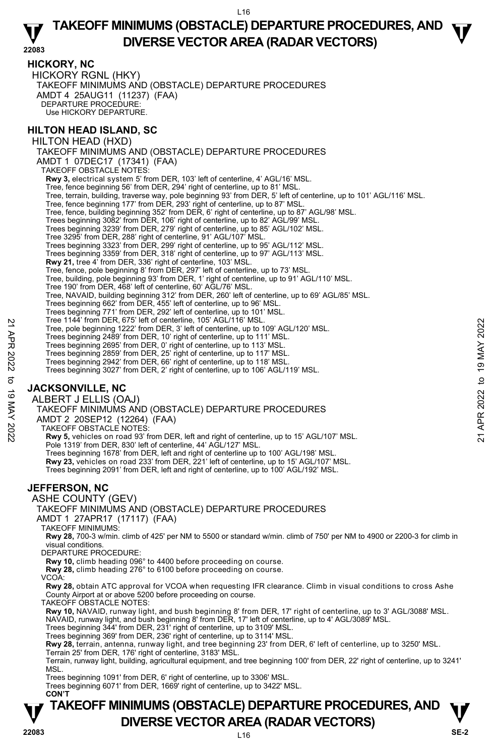## **TAKEOFF MINIMUMS (OBSTACLE) DEPARTURE PROCEDURES, AND**  $\Psi$ **DIVERSE VECTOR AREA (RADAR VECTORS) 22083**

### **HICKORY, NC**

HICKORY RGNL (HKY) TAKEOFF MINIMUMS AND (OBSTACLE) DEPARTURE PROCEDURES AMDT 4 25AUG11 (11237) (FAA) DEPARTURE PROCEDURE: Use HICKORY DEPARTURE.

### **HILTON HEAD ISLAND, SC**

HILTON HEAD (HXD) TAKEOFF MINIMUMS AND (OBSTACLE) DEPARTURE PROCEDURES AMDT 1 07DEC17 (17341) (FAA) TAKEOFF OBSTACLE NOTES: **Rwy 3,** electrical system 5' from DER, 103' left of centerline, 4' AGL/16' MSL. Tree, fence beginning 56' from DER, 294' right of centerline, up to 81' MSL. Tree, terrain, building, traverse way, pole beginning 93' from DER, 5' left of centerline, up to 101' AGL/116' MSL.<br>Tree, fence beginning 177' from DER, 293' right of centerline, up to 87' MSL. Tree, fence, building beginning 352' from DER, 6' right of centerline, up to 87' AGL/98' MSL. Trees beginning 3082' from DER, 106' right of centerline, up to 82' AGL/99' MSL. Trees beginning 3239' from DER, 279' right of centerline, up to 85' AGL/102' MSL. Tree 3295' from DER, 288' right of centerline, 91' AGL/107' MSL. Trees beginning 3323' from DER, 299' right of centerline, up to 95' AGL/112' MSL. Trees beginning 3359' from DER, 318' right of centerline, up to 97' AGL/113' MSL. **Rwy 21,** tree 4' from DER, 336' right of centerline, 103' MSL. Tree, fence, pole beginning 8' from DER, 297' left of centerline, up to 73' MSL. Tree, building, pole beginning 93' from DER, 1' right of centerline, up to 91' AGL/110' MSL. Tree 190' from DER, 468' left of centerline, 60' AGL/76' MSL. Tree, NAVAID, building beginning 312' from DER, 260' left of centerline, up to 69' AGL/85' MSL. Trees beginning 662' from DER, 455' left of centerline, up to 96' MSL. Trees beginning 771' from DER, 292' left of centerline, up to 101' MSL. Tree 1144' from DER, 675' left of centerline, 105' AGL/116' MSL. Tree, pole beginning 1222' from DER, 3' left of centerline, up to 109' AGL/120' MSL. Trees beginning 2489' from DER, 10' right of centerline, up to 111' MSL. Trees beginning 2695' from DER, 0' right of centerline, up to 113' MSL. Trees beginning 2859' from DER, 25' right of centerline, up to 117' MSL. Trees beginning 2942' from DER, 66' right of centerline, up to 118' MSL. Trees beginning 3027' from DER, 2' right of centerline, up to 106' AGL/119' MSL. **JACKSONVILLE, NC**  ALBERT J ELLIS (OAJ) TAKEOFF MINIMUMS AND (OBSTACLE) DEPARTURE PROCEDURES AMDT 2 20SEP12 (12264) (FAA) TAKEOFF OBSTACLE NOTES: **Rwy 5,** vehicles on road 93' from DER, left and right of centerline, up to 15' AGL/107' MSL. Pole 1319' from DER, 830' left of centerline, 44' AGL/127' MSL. Trees beginning 1678' from DER, left and right of centerline up to 100' AGL/198' MSL. **Rwy 23,** vehicles on road 233' from DER, 221' left of centerline, up to 15' AGL/107' MSL. Trees beginning 2091' from DER, left and right of centerline, up to 100' AGL/192' MSL. **JEFFERSON, NC**  ASHE COUNTY (GEV) TAKEOFF MINIMUMS AND (OBSTACLE) DEPARTURE PROCEDURES AMDT 1 27APR17 (17117) (FAA) TAKEOFF MINIMUMS: **Rwy 28,** 700-3 w/min. climb of 425' per NM to 5500 or standard w/min. climb of 750' per NM to 4900 or 2200-3 for climb in visual conditions. DEPARTURE PROCEDURE: **Rwy 10,** climb heading 096° to 4400 before proceeding on course. **Rwy 28,** climb heading 276° to 6100 before proceeding on course. VCOA: **Rwy 28,** obtain ATC approval for VCOA when requesting IFR clearance. Climb in visual conditions to cross Ashe County Airport at or above 5200 before proceeding on course. TAKEOFF OBSTACLE NOTES: **Rwy 10,** NAVAID, runway light, and bush beginning 8' from DER, 17' right of centerline, up to 3' AGL/3088' MSL. NAVAID, runway light, and bush beginning 8' from DER, 17' left of centerline, up to 4' AGL/3089' MSL. Trees beginning 344' from DER, 231' right of centerline, up to 3109' MSL. Tree 1144 from DER, 8/5 left of centerline, 105 AGL/110° MSL.<br>
Tree, pole beginning 1222 from DER, 3' left of centerline, up to 109' AGL/120' MSL.<br>
Trees beginning 2685' from DER, 0' right of centerline, up to 113' MSL.<br>
T

Trees beginning 369' from DER, 236' right of centerline, up to 3114' MSL.

**Rwy 28,** terrain, antenna, runway light, and tree beginning 23' from DER, 6' left of centerline, up to 3250' MSL. Terrain 25' from DER, 176' right of centerline, 3183' MSL.

Terrain, runway light, building, agricultural equipment, and tree beginning 100' from DER, 22' right of centerline, up to 3241' MSL.

Trees beginning 1091' from DER, 6' right of centerline, up to 3306' MSL.

Trees beginning 6071' from DER, 1669' right of centerline, up to 3422' MSL. **CON'T**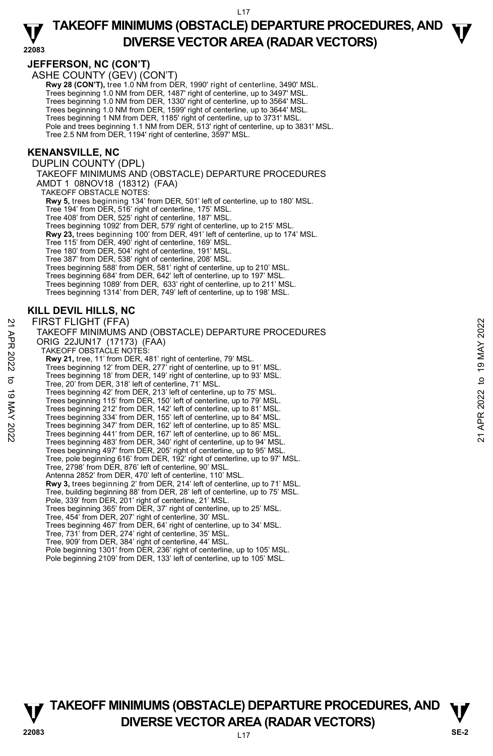## **TAKEOFF MINIMUMS (OBSTACLE) DEPARTURE PROCEDURES, AND**  $\Psi$ **DIVERSE VECTOR AREA (RADAR VECTORS) 22083**

### **JEFFERSON, NC (CON'T)**

ASHE COUNTY (GEV) (CON'T)

Rwy 28 (CON'T), tree 1.0 NM from DER, 1990' right of centerline, 3490' MSL. Trees beginning 1.0 NM from DER, 1487' right of centerline, up to 3497' MSL. Trees beginning 1.0 NM from DER, 1330' right of centerline, up to 3564' MSL. Trees beginning 1.0 NM from DER, 1599' right of centerline, up to 3644' MSL. Trees beginning 1 NM from DER, 1185' right of centerline, up to 3731' MSL. Pole and trees beginning 1.1 NM from DER, 513' right of centerline, up to 3831' MSL.

Tree 2.5 NM from DER, 1194' right of centerline, 3597' MSL.

#### **KENANSVILLE, NC**

DUPLIN COUNTY (DPL) TAKEOFF MINIMUMS AND (OBSTACLE) DEPARTURE PROCEDURES AMDT 1 08NOV18 (18312) (FAA) TAKEOFF OBSTACLE NOTES: **Rwy 5,** trees beginning 134' from DER, 501' left of centerline, up to 180' MSL.<br>Tree 194' from DER, 516' right of centerline, 175' MSL. Tree 408' from DER, 525' right of centerline, 187' MSL. Trees beginning 1092' from DER, 579' right of centerline, up to 215' MSL. **Rwy 23,** trees beginning 100' from DER, 491' left of centerline, up to 174' MSL. Tree 115' from DER, 490' right of centerline, 169' MSL. Tree 180' from DER, 504' right of centerline, 191' MSL. Tree 387' from DER, 538' right of centerline, 208' MSL. Trees beginning 588' from DER, 581' right of centerline, up to 210' MSL. Trees beginning 684' from DER, 642' left of centerline, up to 197' MSL. Trees beginning 1089' from DER, 633' right of centerline, up to 211' MSL. Trees beginning 1314' from DER, 749' left of centerline, up to 198' MSL.

#### **KILL DEVIL HILLS, NC**

FIRST FLIGHT (FFA) TAKEOFF MINIMUMS AND (OBSTACLE) DEPARTURE PROCEDURES ORIG 22JUN17 (17173) (FAA) TAKEOFF OBSTACLE NOTES: **Rwy 21,** tree, 11' from DER, 481' right of centerline, 79' MSL. Trees beginning 12' from DER, 277' right of centerline, up to 91' MSL. Trees beginning 18' from DER, 149' right of centerline, up to 93' MSL. Tree, 20' from DER, 318' left of centerline, 71' MSL. Trees beginning 42' from DER, 213' left of centerline, up to 75' MSL. Trees beginning 115' from DER, 150' left of centerline, up to 79' MSL. Trees beginning 212' from DER, 142' left of centerline, up to 81' MSL. Trees beginning 334' from DER, 155' left of centerline, up to 84' MSL. Trees beginning 347' from DER, 162' left of centerline, up to 85' MSL. Trees beginning 441' from DER, 167' left of centerline, up to 86' MSL. Trees beginning 483' from DER, 340' right of centerline, up to 94' MSL. Trees beginning 497' from DER, 205' right of centerline, up to 95' MSL. Tree, pole beginning 616' from DER, 192' right of centerline, up to 97' MSL. Tree, 2798' from DER, 876' left of centerline, 90' MSL. Antenna 2852' from DER, 470' left of centerline, 110' MSL. **Rwy 3,** trees beginning 2' from DER, 214' left of centerline, up to 71' MSL. Tree, building beginning 88' from DER, 28' left of centerline, up to 75' MSL. Pole, 339' from DER, 201' right of centerline, 21' MSL. Trees beginning 365' from DER, 37' right of centerline, up to 25' MSL. Tree, 454' from DER, 207' right of centerline, 30' MSL. Trees beginning 467' from DER, 64' right of centerline, up to 34' MSL. Tree, 731' from DER, 274' right of centerline, 35' MSL. Tree, 909' from DER, 384' right of centerline, 44' MSL. Pole beginning 1301' from DER, 236' right of centerline, up to 105' MSL. FIRST FLIGHT (FFA)<br>
TAKEOFF MINIMUMS AND (OBSTACLE) DEPARTURE PROCEDURES<br>
ORIG 22JUN17 (17173) (FAA)<br>
TAKEOFF OBSTACLE NOTES:<br>
Rwy 21, tree, 11' from DER, 481' right of centerline, 19' MSL.<br>
Trees beginning 18' from DER,

Pole beginning 2109' from DER, 133' left of centerline, up to 105' MSL.

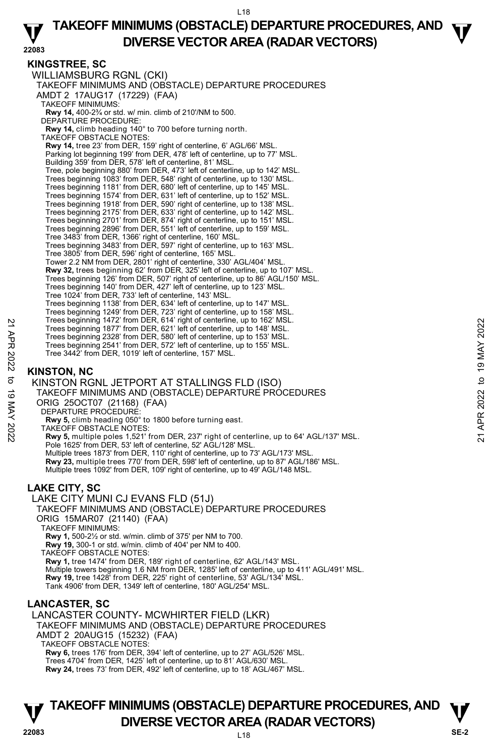## **TAKEOFF MINIMUMS (OBSTACLE) DEPARTURE PROCEDURES, AND**  $\Psi$ **DIVERSE VECTOR AREA (RADAR VECTORS) 22083**

### **KINGSTREE, SC**

WILLIAMSBURG RGNL (CKI) TAKEOFF MINIMUMS AND (OBSTACLE) DEPARTURE PROCEDURES AMDT 2 17AUG17 (17229) (FAA) TAKEOFF MINIMUMS: **Rwy 14,** 400-2¾ or std. w/ min. climb of 210'/NM to 500. DEPARTURE PROCEDURE: **Rwy 14,** climb heading 140° to 700 before turning north. TAKEOFF OBSTACLE NOTES: **Rwy 14,** tree 23' from DER, 159' right of centerline, 6' AGL/66' MSL. Parking lot beginning 199' from DER, 478' left of centerline, up to 77' MSL. Building 359' from DER, 578' left of centerline, 81' MSL. Tree, pole beginning 880' from DER, 473' left of centerline, up to 142' MSL. Trees beginning 1083' from DER, 548' right of centerline, up to 130' MSL. Trees beginning 1181' from DER, 680' left of centerline, up to 145' MSL.<br>Trees beginning 1574' from DER, 631' left of centerline, up to 152' MSL.<br>Trees beginning 1918' from DER, 590' right of centerline, up to 138' MSL. Trees beginning 2175' from DER, 633' right of centerline, up to 142' MSL. Trees beginning 2701' from DER, 874' right of centerline, up to 151' MSL. Trees beginning 2896' from DER, 551' left of centerline, up to 159' MSL. Tree 3483' from DER, 1366' right of centerline, 160' MSL. Trees beginning 3483' from DER, 597' right of centerline, up to 163' MSL. Tree 3805' from DER, 596' right of centerline, 165' MSL. Tower 2.2 NM from DER, 2801' right of centerline, 330' AGL/404' MSL. **Rwy 32,** trees beginning 62' from DER, 325' left of centerline, up to 107' MSL. Trees beginning 126' from DER, 507' right of centerline, up to 86' AGL/150' MSL. Trees beginning 140' from DER, 427' left of centerline, up to 123' MSL. Tree 1024' from DER, 733' left of centerline, 143' MSL. Trees beginning 1138' from DER, 634' left of centerline, up to 147' MSL. Trees beginning 1249' from DER, 723' right of centerline, up to 158' MSL. Trees beginning 1472' from DER, 614' right of centerline, up to 162' MSL. Trees beginning 1877' from DER, 621' left of centerline, up to 148' MSL. Trees beginning 2328' from DER, 580' left of centerline, up to 153' MSL. Trees beginning 2541' from DER, 572' left of centerline, up to 155' MSL. Tree 3442' from DER, 1019' left of centerline, 157' MSL.

## **KINSTON, NC**

KINSTON RGNL JETPORT AT STALLINGS FLD (ISO) TAKEOFF MINIMUMS AND (OBSTACLE) DEPARTURE PROCEDURES ORIG 25OCT07 (21168) (FAA) DEPARTURE PROCEDURE: **Rwy 5,** climb heading 050° to 1800 before turning east. TAKEOFF OBSTACLE NOTES: **Rwy 5,** multiple poles 1,521' from DER, 237' right of centerline, up to 64' AGL/137' MSL. Pole 1625' from DER, 53' left of centerline, 52' AGL/128' MSL. Multiple trees 1873' from DER, 110' right of centerline, up to 73' AGL/173' MSL. **Rwy 23,** multiple trees 770' from DER, 598' left of centerline, up to 87' AGL/186' MSL. Multiple trees 1092' from DER, 109' right of centerline, up to 49' AGL/148 MSL. Trees beginning 1472' from DER, 614' right of centerline, up to 148' MSL.<br>
Trees beginning 1877' from DER, 621' left of centerline, up to 148' MSL.<br>
Trees beginning 2328' from DER, 572' left of centerline, up to 153' MSL.<br>

## **LAKE CITY, SC**

LAKE CITY MUNI CJ EVANS FLD (51J) TAKEOFF MINIMUMS AND (OBSTACLE) DEPARTURE PROCEDURES ORIG 15MAR07 (21140) (FAA) TAKEOFF MINIMUMS: **Rwy 1,** 500-2½ or std. w/min. climb of 375' per NM to 700. **Rwy 19,** 300-1 or std. w/min. climb of 404' per NM to 400. TAKEOFF OBSTACLE NOTES: **Rwy 1,** tree 1474' from DER, 189' right of centerline, 62' AGL/143' MSL. Multiple towers beginning 1.6 NM from DER, 1285' left of centerline, up to 411' AGL/491' MSL.<br>**Rwy 19,** tree 1428' from DER, 225' right of centerline, 53' AGL/134' MSL. Tank 4906' from DER, 1349' left of centerline, 180' AGL/254' MSL.

## **LANCASTER, SC**

LANCASTER COUNTY- MCWHIRTER FIELD (LKR) TAKEOFF MINIMUMS AND (OBSTACLE) DEPARTURE PROCEDURES AMDT 2 20AUG15 (15232) (FAA) TAKEOFF OBSTACLE NOTES: **Rwy 6,** trees 176' from DER, 394' left of centerline, up to 27' AGL/526' MSL. Trees 4704' from DER, 1425' left of centerline, up to 81' AGL/630' MSL.

**Rwy 24,** trees 73' from DER, 492' left of centerline, up to 18' AGL/467' MSL.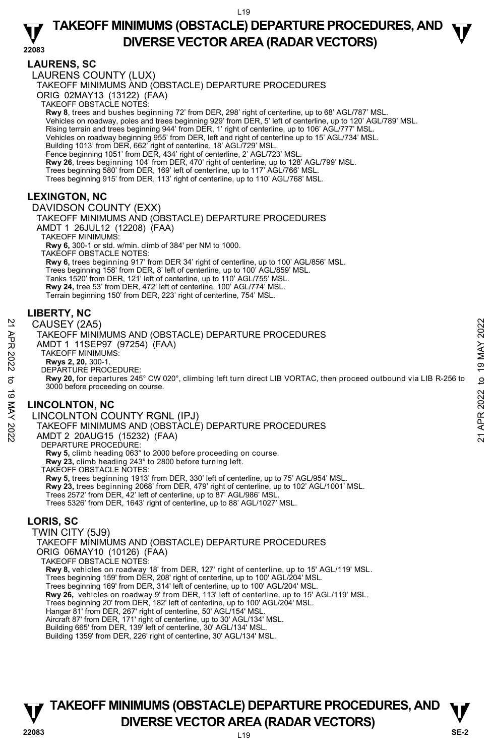## **TAKEOFF MINIMUMS (OBSTACLE) DEPARTURE PROCEDURES, AND**  $\Psi$ **DIVERSE VECTOR AREA (RADAR VECTORS) 22083**

### **LAURENS, SC**

LAURENS COUNTY (LUX) TAKEOFF MINIMUMS AND (OBSTACLE) DEPARTURE PROCEDURES ORIG 02MAY13 (13122) (FAA) TAKEOFF OBSTACLE NOTES: **Rwy 8**, trees and bushes beginning 72' from DER, 298' right of centerline, up to 68' AGL/787' MSL. Vehicles on roadway, poles and trees beginning 929' from DER, 5' left of centerline, up to 120' AGL/789' MSL. Rising terrain and trees beginning 944' from DER, 1' right of centerline, up to 106' AGL/777' MSL. Vehicles on roadway beginning 955' from DER, left and right of centerline up to 15' AGL/734' MSL. Building 1013' from DER, 662' right of centerline, 18' AGL/729' MSL. Fence beginning 1051' from DER, 434' right of centerline, 2' AGL/723' MSL. **Rwy 26**, trees beginning 104' from DER, 470' right of centerline, up to 128' AGL/799' MSL. Trees beginning 580' from DER, 169' left of centerline, up to 117' AGL/766' MSL. Trees beginning 915' from DER, 113' right of centerline, up to 110' AGL/768' MSL. **LEXINGTON, NC**  DAVIDSON COUNTY (EXX) TAKEOFF MINIMUMS AND (OBSTACLE) DEPARTURE PROCEDURES AMDT 1 26JUL12 (12208) (FAA) TAKEOFF MINIMUMS: **Rwy 6,** 300-1 or std. w/min. climb of 384' per NM to 1000. TAKEOFF OBSTACLE NOTES: **Rwy 6,** trees beginning 917' from DER 34' right of centerline, up to 100' AGL/856' MSL. Trees beginning 158' from DER, 8' left of centerline, up to 100' AGL/859' MSL. Tanks 1520' from DER, 121' left of centerline, up to 110' AGL/755' MSL. **Rwy 24,** tree 53' from DER, 472' left of centerline, 100' AGL/774' MSL. Terrain beginning 150' from DER, 223' right of centerline, 754' MSL. **LIBERTY, NC**  CAUSEY (2A5) TAKEOFF MINIMUMS AND (OBSTACLE) DEPARTURE PROCEDURES AMDT 1 11SEP97 (97254) (FAA) TAKEOFF MINIMUMS: **Rwys 2, 20,** 300-1. DEPARTURE PROCEDURE: **Rwy 20,** for departures 245° CW 020°, climbing left turn direct LIB VORTAC, then proceed outbound via LIB R-256 to 3000 before proceeding on course. **LINCOLNTON, NC**  LINCOLNTON COUNTY RGNL (IPJ) TAKEOFF MINIMUMS AND (OBSTACLE) DEPARTURE PROCEDURES AMDT 2 20AUG15 (15232) (FAA) DEPARTURE PROCEDURE: CAUSEY (2A5)<br>
TAKEOFF MINIMUMS AND (OBSTACLE) DEPARTURE PROCEDURES<br>
AMDT 1 11SEP97 (97254) (FAA)<br>
NAWS 2, 20, 300-1.<br>
RWS 2, 20, 300-1.<br>
RWS 2, 20, 300-1.<br>
DEPARTURE PROCEDURE:<br>
RWS 2, 20, 300-1.<br>
DEPARTURE LIB VORTAC, the

### **Rwy 5,** climb heading 063° to 2000 before proceeding on course. **Rwy 23,** climb heading 243° to 2800 before turning left. TAKEOFF OBSTACLE NOTES: **Rwy 5,** trees beginning 1913' from DER, 330' left of centerline, up to 75' AGL/954' MSL.

**Rwy 23,** trees beginning 2068' from DER, 479' right of centerline, up to 102' AGL/1001' MSL.

Trees 2572' from DER, 42' left of centerline, up to 87' AGL/986' MSL.

Trees 5326' from DER, 1643' right of centerline, up to 88' AGL/1027' MSL.

## **LORIS, SC**

TWIN CITY (5J9) TAKEOFF MINIMUMS AND (OBSTACLE) DEPARTURE PROCEDURES ORIG 06MAY10 (10126) (FAA) TAKEOFF OBSTACLE NOTES: **Rwy 8,** vehicles on roadway 18' from DER, 127' right of centerline, up to 15' AGL/119' MSL.<br>Trees beginning 159' from DER, 208' right of centerline, up to 100' AGL/204' MSL. Trees beginning 169' from DER, 314' left of centerline, up to 100' AGL/204' MSL. **Rwy 26,** vehicles on roadway 9' from DER, 113' left of centerline, up to 15' AGL/119' MSL.<br>Trees beginning 20' from DER, 182' left of centerline, up to 100' AGL/204' MSL. Hangar 81' from DER, 267' right of centerline, 50' AGL/154' MSL. Aircraft 87' from DER, 171' right of centerline, up to 30' AGL/134' MSL. Building 665' from DER, 139' left of centerline, 30' AGL/134' MSL. Building 1359' from DER, 226' right of centerline, 30' AGL/134' MSL.

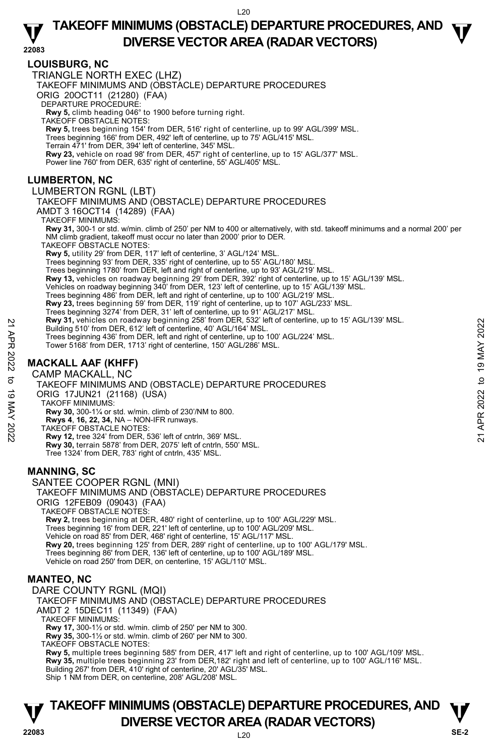## **TAKEOFF MINIMUMS (OBSTACLE) DEPARTURE PROCEDURES, AND**  $\Psi$ **DIVERSE VECTOR AREA (RADAR VECTORS) 22083**

### **LOUISBURG, NC**

TRIANGLE NORTH EXEC (LHZ)

TAKEOFF MINIMUMS AND (OBSTACLE) DEPARTURE PROCEDURES

ORIG 20OCT11 (21280) (FAA)

DEPARTURE PROCEDURE:

**Rwy 5,** climb heading 046° to 1900 before turning right. TAKEOFF OBSTACLE NOTES:

**Rwy 5,** trees beginning 154' from DER, 516' right of centerline, up to 99' AGL/399' MSL.

Trees beginning 166' from DER, 492' left of centerline, up to 75' AGL/415' MSL.

Terrain 471' from DER, 394' left of centerline, 345' MSL.

**Rwy 23,** vehicle on road 98' from DER, 457' right of centerline, up to 15' AGL/377' MSL.

Power line 760' from DER, 635' right of centerline, 55' AGL/405' MSL.

#### **LUMBERTON, NC**

#### LUMBERTON RGNL (LBT)

TAKEOFF MINIMUMS AND (OBSTACLE) DEPARTURE PROCEDURES

AMDT 3 16OCT14 (14289) (FAA)

TAKEOFF MINIMUMS:

**Rwy 31,** 300-1 or std. w/min. climb of 250' per NM to 400 or alternatively, with std. takeoff minimums and a normal 200' per NM climb gradient, takeoff must occur no later than 2000' prior to DER.

TAKEOFF OBSTACLE NOTES:

**Rwy 5,** utility 29' from DER, 117' left of centerline, 3' AGL/124' MSL.

Trees beginning 93' from DER, 335' right of centerline, up to 55' AGL/180' MSL.

Trees beginning 1780' from DER, left and right of centerline, up to 93' AGL/219' MSL.

**Rwy 13,** vehicles on roadway beginning 29' from DER, 392' right of centerline, up to 15' AGL/139' MSL.

Vehicles on roadway beginning 340' from DER, 123' left of centerline, up to 15' AGL/139' MSL.<br>Trees beginning 486' from DER, left and right of centerline, up to 100' AGL/219' MSL.

**Rwy 23,** trees beginning 59' from DER, 119' right of centerline, up to 107' AGL/233' MSL.

- Trees beginning 3274' from DER, 31' left of centerline, up to 91' AGL/217' MSL.<br>**Rwy 31,** vehicles on roadway beginning 258' from DER, 532' left of centerline, up to 15' AGL/139' MSL.
- Building 510' from DER, 612' left of centerline, 40' AGL/164' MSL.
- Trees beginning 436' from DER, left and right of centerline, up to 100' AGL/224' MSL.

Tower 5168' from DER, 1713' right of centerline, 150' AGL/286' MSL.

## **MACKALL AAF (KHFF)**

CAMP MACKALL, NC

TAKEOFF MINIMUMS AND (OBSTACLE) DEPARTURE PROCEDURES ORIG 17JUN21 (21168) (USA) TAKOFF MINIMUMS: Provides on roadway beginning 238 from DER, 522 left of centerline, 40 AGL/154 MSL.<br>
Trees beginning 436' from DER, 1913' right of centerline, up to 100' AGL/224' MSL.<br>
Trees beginning 436' from DER, 1913' right of center

 **Rwy 30,** 300-1¼ or std. w/min. climb of 230'/NM to 800.

 **Rwys 4**, **16, 22, 34,** NA – NON-IFR runways.

TAKEOFF OBSTACLE NOTES:

**Rwy 12,** tree 324' from DER, 536' left of cntrln, 369' MSL. **Rwy 30,** terrain 5878' from DER, 2075' left of cntrln, 550' MSL. Tree 1324' from DER, 783' right of cntrln, 435' MSL.

#### **MANNING, SC**

SANTEE COOPER RGNL (MNI) TAKEOFF MINIMUMS AND (OBSTACLE) DEPARTURE PROCEDURES ORIG 12FEB09 (09043) (FAA) TAKEOFF OBSTACLE NOTES: **Rwy 2,** trees beginning at DER, 480' right of centerline, up to 100' AGL/229' MSL. Trees beginning 16' from DER, 221' left of centerline, up to 100' AGL/209' MSL. Vehicle on road 85' from DER, 468' right of centerline, 15' AGL/117' MSL.<br>**Rwy 20,** trees beginning 125' from DER, 289' right of centerline, up to 100' AGL/179' MSL. Trees beginning 86' from DER, 136' left of centerline, up to 100' AGL/189' MSL. Vehicle on road 250' from DER, on centerline, 15' AGL/110' MSL.

### **MANTEO, NC**

DARE COUNTY RGNL (MQI) TAKEOFF MINIMUMS AND (OBSTACLE) DEPARTURE PROCEDURES AMDT 2 15DEC11 (11349) (FAA) TAKEOFF MINIMUMS: **Rwy 17,** 300-1½ or std. w/min. climb of 250' per NM to 300. **Rwy 35,** 300-1½ or std. w/min. climb of 260' per NM to 300. TAKEOFF OBSTACLE NOTES: **Rwy 5,** multiple trees beginning 585' from DER, 417' left and right of centerline, up to 100' AGL/109' MSL.

**Rwy 35,** multiple trees beginning 23' from DER,182' right and left of centerline, up to 100' AGL/116' MSL. Building 267' from DER, 410' right of centerline, 20' AGL/35' MSL.

Ship 1 NM from DER, on centerline, 208' AGL/208' MSL.

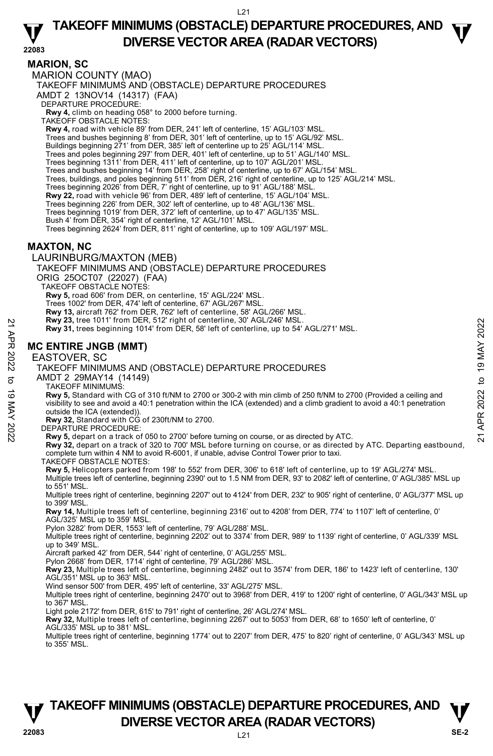## **TAKEOFF MINIMUMS (OBSTACLE) DEPARTURE PROCEDURES, AND**  $\Psi$ **DIVERSE VECTOR AREA (RADAR VECTORS) 22083**

**MARION, SC**  MARION COUNTY (MAO)

TAKEOFF MINIMUMS AND (OBSTACLE) DEPARTURE PROCEDURES

AMDT 2 13NOV14 (14317) (FAA)

DEPARTURE PROCEDURE:

**Rwy 4,** climb on heading 058° to 2000 before turning. TAKEOFF OBSTACLE NOTES:

**Rwy 4,** road with vehicle 89' from DER, 241' left of centerline, 15' AGL/103' MSL.

- Trees and bushes beginning 8' from DER, 301' left of centerline, up to 15' AGL/92' MSL.
- Buildings beginning 271' from DER, 385' left of centerline up to 25' AGL/114' MSL
- Trees and poles beginning 297' from DER, 401' left of centerline, up to 51' AGL/140' MSL.
- Trees beginning 1311' from DER, 411' left of centerline, up to 107' AGL/201' MSL.
- Trees and bushes beginning 14' from DER, 258' right of centerline, up to 67' AGL/154' MSL.
- Trees, buildings, and poles beginning 511' from DER, 216' right of centerline, up to 125' AGL/214' MSL.
- Trees beginning 2026' from DER, 7' right of centerline, up to 91' AGL/188' MSL.
- **Rwy 22,** road with vehicle 96' from DER, 489' left of centerline, 15' AGL/104' MSL.
- Trees beginning 226' from DER, 302' left of centerline, up to 48' AGL/136' MSL.
- Trees beginning 1019' from DER, 372' left of centerline, up to 47' AGL/135' MSL.
- Bush 4' from DER, 354' right of centerline, 12' AGL/101' MSL.

Trees beginning 2624' from DER, 811' right of centerline, up to 109' AGL/197' MSL.

#### **MAXTON, NC**

LAURINBURG/MAXTON (MEB)

TAKEOFF MINIMUMS AND (OBSTACLE) DEPARTURE PROCEDURES

ORIG 25OCT07 (22027) (FAA)

TAKEOFF OBSTACLE NOTES:

**Rwy 5,** road 606' from DER, on centerline, 15' AGL/224' MSL.

Trees 1002' from DER, 474' left of centerline, 67' AGL/267' MSL.

- **Rwy 13,** aircraft 762' from DER, 762' left of centerline, 58' AGL/266' MSL.
- **Rwy 23,** tree 1011' from DER, 512' right of centerline, 30' AGL/246' MSL.
- **Rwy 31,** trees beginning 1014' from DER, 58' left of centerline, up to 54' AGL/271' MSL.

#### **MC ENTIRE JNGB (MMT)**

EASTOVER, SC

#### TAKEOFF MINIMUMS AND (OBSTACLE) DEPARTURE PROCEDURES

AMDT 2 29MAY14 (14149)

TAKEOFF MINIMUMS:

**Rwy 5,** Standard with CG of 310 ft/NM to 2700 or 300-2 with min climb of 250 ft/NM to 2700 (Provided a ceiling and visibility to see and avoid a 40:1 penetration within the ICA (extended) and a climb gradient to avoid a 40:1 penetration outside the ICA (extended)). **EXAMPLE SET AND THE SET AND THE SET AND TAKE OFF MINIMUMS**<br> **221 APR 31, trees beginning 1014' from DER, 58' left of centerline, up to 54' AGL/271' MSL.**<br> **221 ACCENTIRE JNGB (MMT)**<br> **221 AVEOFF MINIMUMS** AND (OBSTACLE)

**Rwy 32,** Standard with CG of 230ft/NM to 2700.

DEPARTURE PROCEDURE:

**Rwy 5,** depart on a track of 050 to 2700' before turning on course, or as directed by ATC.

**Rwy 32,** depart on a track of 320 to 700' MSL before turning on course, or as directed by ATC. Departing eastbound, complete turn within 4 NM to avoid R-6001, if unable, advise Control Tower prior to taxi.

TAKEOFF OBSTACLE NOTES:

**Rwy 5,** Helicopters parked from 198' to 552' from DER, 306' to 618' left of centerline, up to 19' AGL/274' MSL. Multiple trees left of centerline, beginning 2390' out to 1.5 NM from DER, 93' to 2082' left of centerline, 0' AGL/385' MSL up to 551' MSL.

Multiple trees right of centerline, beginning 2207' out to 4124' from DER, 232' to 905' right of centerline, 0' AGL/377' MSL up to 399' MSL.

**Rwy 14,** Multiple trees left of centerline, beginning 2316' out to 4208' from DER, 774' to 1107' left of centerline, 0' AGL/325' MSL up to 359' MSL.

Pylon 3282' from DER, 1553' left of centerline, 79' AGL/288' MSL.

Multiple trees right of centerline, beginning 2202' out to 3374' from DER, 989' to 1139' right of centerline, 0' AGL/339' MSL up to 349' MSL.

Aircraft parked 42' from DER, 544' right of centerline, 0' AGL/255' MSL.

Pylon 2668' from DER, 1714' right of centerline, 79' AGL/286' MSL.

**Rwy 23,** Multiple trees left of centerline, beginning 2482' out to 3574' from DER, 186' to 1423' left of centerline, 130' AGL/351' MSL up to 363' MSL.

Wind sensor 500' from DER, 495' left of centerline, 33' AGL/275' MSL.

Multiple trees right of centerline, beginning 2470' out to 3968' from DER, 419' to 1200' right of centerline, 0' AGL/343' MSL up to 367' MSL.

Light pole 2172' from DER, 615' to 791' right of centerline, 26' AGL/274' MSL.

**Rwy 32,** Multiple trees left of centerline, beginning 2267' out to 5053' from DER, 68' to 1650' left of centerline, 0'<br>AGL/335' MSL up to 381' MSL.

Multiple trees right of centerline, beginning 1774' out to 2207' from DER, 475' to 820' right of centerline, 0' AGL/343' MSL up to 355' MSL.

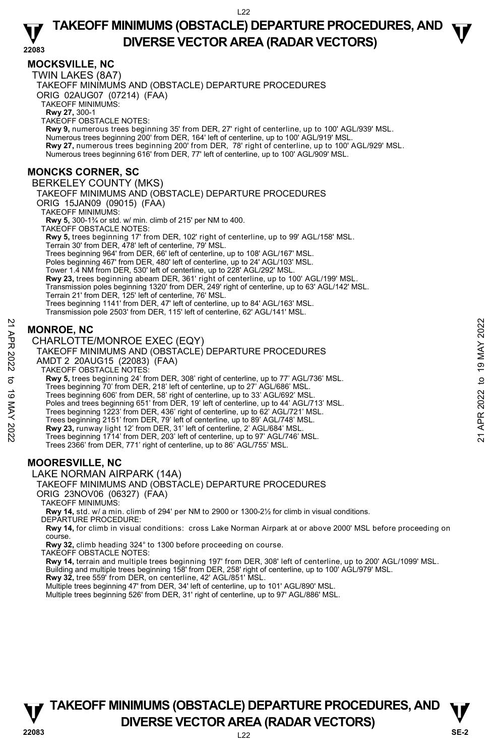## **TAKEOFF MINIMUMS (OBSTACLE) DEPARTURE PROCEDURES, AND**  $\Psi$ **DIVERSE VECTOR AREA (RADAR VECTORS) 22083**

### **MOCKSVILLE, NC**

TWIN LAKES (8A7) TAKEOFF MINIMUMS AND (OBSTACLE) DEPARTURE PROCEDURES ORIG 02AUG07 (07214) (FAA) TAKEOFF MINIMUMS: **Rwy 27,** 300-1<br>TAKEOFF OBSTACLE NOTES: **Rwy 9,** numerous trees beginning 35' from DER, 27' right of centerline, up to 100' AGL/939' MSL. Numerous trees beginning 200' from DER, 164' left of centerline, up to 100' AGL/919' MSL. **Rwy 27,** numerous trees beginning 200' from DER, 78' right of centerline, up to 100' AGL/929' MSL.<br>Numerous trees beginning 616' from DER, 77' left of centerline, up to 100' AGL/909' MSL. **MONCKS CORNER, SC**  BERKELEY COUNTY (MKS) TAKEOFF MINIMUMS AND (OBSTACLE) DEPARTURE PROCEDURES ORIG 15JAN09 (09015) (FAA) TAKEOFF MINIMUMS: **Rwy 5,** 300-1¾ or std. w/ min. climb of 215' per NM to 400. TAKEOFF OBSTACLE NOTES: **Rwy 5,** trees beginning 17' from DER, 102' right of centerline, up to 99' AGL/158' MSL. Terrain 30' from DER, 478' left of centerline, 79' MSL. Trees beginning 964' from DER, 66' left of centerline, up to 108' AGL/167' MSL. Poles beginning 467' from DER, 480' left of centerline, up to 24' AGL/103' MSL. Tower 1.4 NM from DER, 530' left of centerline, up to 228' AGL/292' MSL. **Rwy 23,** trees beginning abeam DER, 361' right of centerline, up to 100' AGL/199' MSL. Transmission poles beginning 1320' from DER, 249' right of centerline, up to 63' AGL/142' MSL. Terrain 21' from DER, 125' left of centerline, 76' MSL. Trees beginning 1141' from DER, 47' left of centerline, up to 84' AGL/163' MSL. Transmission pole 2503' from DER, 115' left of centerline, 62' AGL/141' MSL.

## **MONROE, NC**

CHARLOTTE/MONROE EXEC (EQY)

TAKEOFF MINIMUMS AND (OBSTACLE) DEPARTURE PROCEDURES AMDT 2 20AUG15 (22083) (FAA) TAKEOFF OBSTACLE NOTES: **Rwy 5,** trees beginning 24' from DER, 308' right of centerline, up to 77' AGL/736' MSL. Trees beginning 70' from DER, 218' left of centerline, up to 27' AGL/686' MSL. Trees beginning 606' from DER, 58' right of centerline, up to 33' AGL/692' MSL. Poles and trees beginning 651' from DER, 19' left of centerline, up to 44' AGL/713' MSL. Trees beginning 1223' from DER, 436' right of centerline, up to 62' AGL/721' MSL. Trees beginning 2151' from DER, 79' left of centerline, up to 89' AGL/748' MSL. **MONROE, NC**<br> **CHARLOTTE/MONROE EXEC (EQY)**<br>
TAKEOFF MINIMUMS AND (OBSTACLE) DEPARTURE PROCEDURES<br>
AMDT 2 20AUG15 (22083) (FAA)<br>
TAKEOFF MINIMUMS AND (OBSTACLE) DEPARTURE PROCEDURES<br>
AMDT 2 20AUG15 (22083) (FAA)<br>
TAKEOFF

**Rwy 23,** runway light 12' from DER, 31' left of centerline, 2' AGL/684' MSL.<br>Trees beginning 1714' from DER, 203' left of centerline, up to 97' AGL/746' MSL. Trees 2366' from DER, 771' right of centerline, up to 86' AGL/755' MSL.

## **MOORESVILLE, NC**

LAKE NORMAN AIRPARK (14A)

#### TAKEOFF MINIMUMS AND (OBSTACLE) DEPARTURE PROCEDURES

ORIG 23NOV06 (06327) (FAA)

TAKEOFF MINIMUMS:

**Rwy 14,** std. w/ a min. climb of 294' per NM to 2900 or 1300-2½ for climb in visual conditions. DEPARTURE PROCEDURE:

**Rwy 14,** for climb in visual conditions: cross Lake Norman Airpark at or above 2000' MSL before proceeding on course.

**Rwy 32,** climb heading 324° to 1300 before proceeding on course.

TAKEOFF OBSTACLE NOTES:

**Rwy 14,** terrain and multiple trees beginning 197' from DER, 308' left of centerline, up to 200' AGL/1099' MSL. Building and multiple trees beginning 158' from DER, 258' right of centerline, up to 100' AGL/979' MSL.<br>**Rwy 32,** tree 559' from DER, on centerline, 42' AGL/851' MSL.

Multiple trees beginning 47' from DER, 34' left of centerline, up to 101' AGL/890' MSL.

Multiple trees beginning 526' from DER, 31' right of centerline, up to 97' AGL/886' MSL.

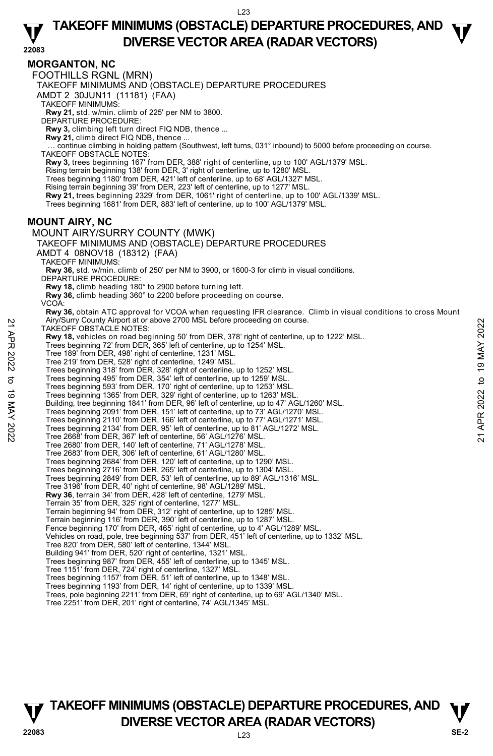# **TAKEOFF MINIMUMS (OBSTACLE) DEPARTURE PROCEDURES, AND**  $\Psi$

**DIVERSE VECTOR AREA (RADAR VECTORS) 22083 MORGANTON, NC**  FOOTHILLS RGNL (MRN) TAKEOFF MINIMUMS AND (OBSTACLE) DEPARTURE PROCEDURES AMDT 2 30JUN11 (11181) (FAA) TAKEOFF MINIMUMS: **Rwy 21,** std. w/min. climb of 225' per NM to 3800. DEPARTURE PROCEDURE: **Rwy 3,** climbing left turn direct FIQ NDB, thence ... **Rwy 21,** climb direct FIQ NDB, thence ... … continue climbing in holding pattern (Southwest, left turns, 031° inbound) to 5000 before proceeding on course. TAKEOFF OBSTACLE NOTES: **Rwy 3,** trees beginning 167' from DER, 388' right of centerline, up to 100' AGL/1379' MSL. Rising terrain beginning 138' from DER, 3' right of centerline, up to 1280' MSL. Trees beginning 1180' from DER, 421' left of centerline, up to 68' AGL/1327' MSL. Rising terrain beginning 39' from DER, 223' left of centerline, up to 1277' MSL. **Rwy 21,** trees beginning 2329' from DER, 1061' right of centerline, up to 100' AGL/1339' MSL. Trees beginning 1681' from DER, 883' left of centerline, up to 100' AGL/1379' MSL. **MOUNT AIRY, NC**  MOUNT AIRY/SURRY COUNTY (MWK) TAKEOFF MINIMUMS AND (OBSTACLE) DEPARTURE PROCEDURES AMDT 4 08NOV18 (18312) (FAA) TAKEOFF MINIMUMS: **Rwy 36,** std. w/min. climb of 250' per NM to 3900, or 1600-3 for climb in visual conditions. DEPARTURE PROCEDURE: **Rwy 18,** climb heading 180° to 2900 before turning left. **Rwy 36,** climb heading 360° to 2200 before proceeding on course. VCOA: **Rwy 36,** obtain ATC approval for VCOA when requesting IFR clearance. Climb in visual conditions to cross Mount Airy/Surry County Airport at or above 2700 MSL before proceeding on course. TAKEOFF OBSTACLE NOTES: **Rwy 18,** vehicles on road beginning 50' from DER, 378' right of centerline, up to 1222' MSL. Trees beginning 72' from DER, 365' left of centerline, up to 1254' MSL. Tree 189' from DER, 498' right of centerline, 1231' MSL. Tree 219' from DER, 528' right of centerline, 1249' MSL. Trees beginning 318' from DER, 328' right of centerline, up to 1252' MSL. Trees beginning 495' from DER, 354' left of centerline, up to 1259' MSL. Trees beginning 593' from DER, 170' right of centerline, up to 1253' MSL. Trees beginning 1365' from DER, 329' right of centerline, up to 1263' MSL. Building, tree beginning 1841' from DER, 96' left of centerline, up to 47' AGL/1260' MSL. Trees beginning 2091' from DER, 151' left of centerline, up to 73' AGL/1270' MSL. Trees beginning 2110' from DER, 166' left of centerline, up to 77' AGL/1271' MSL. Trees beginning 2134' from DER, 95' left of centerline, up to 81' AGL/1272' MSL. Tree 2668' from DER, 367' left of centerline, 56' AGL/1276' MSL. Tree 2680' from DER, 140' left of centerline, 71' AGL/1278' MSL. Tree 2683' from DER, 306' left of centerline, 61' AGL/1280' MSL. Trees beginning 2684' from DER, 120' left of centerline, up to 1290' MSL. Trees beginning 2716' from DER, 265' left of centerline, up to 1304' MSL. Trees beginning 2849' from DER, 53' left of centerline, up to 89' AGL/1316' MSL. Tree 3196' from DER, 40' right of centerline, 98' AGL/1289' MSL. Airly Surry Courty Amport at or above 2700 MSL before proceeding on course.<br> **Property 18,** vehicles on road beginning 50' from DER, 378' right of centerline, up to 1222' MSL.<br>
Trees beginning 72' from DER, 36' left of cen

**Rwy 36**, terrain 34' from DER, 428' left of centerline, 1279' MSL.

Terrain 35' from DER, 325' right of centerline, 1277' MSL.

Terrain beginning 94' from DER, 312' right of centerline, up to 1285' MSL. Terrain beginning 116' from DER, 390' left of centerline, up to 1287' MSL.

Fence beginning 170' from DER, 465' right of centerline, up to 4' AGL/1289' MSL.

Vehicles on road, pole, tree beginning 537' from DER, 451' left of centerline, up to 1332' MSL. Tree 820' from DER, 580' left of centerline, 1344' MSL.

Building 941' from DER, 520' right of centerline, 1321' MSL.

Trees beginning 987' from DER, 455' left of centerline, up to 1345' MSL.

Tree 1151' from DER, 724' right of centerline, 1327' MSL. Trees beginning 1157' from DER, 51' left of centerline, up to 1348' MSL.

Trees beginning 1193' from DER, 14' right of centerline, up to 1339' MSL.

Trees, pole beginning 2211' from DER, 69' right of centerline, up to 69' AGL/1340' MSL. Tree 2251' from DER, 201' right of centerline, 74' AGL/1345' MSL.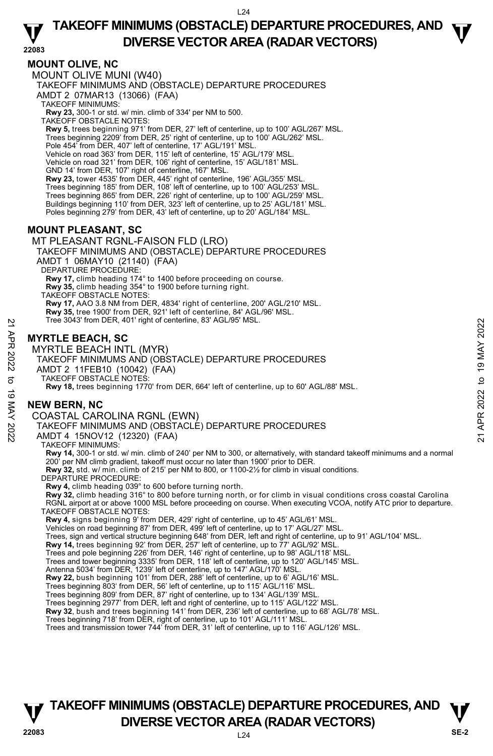**TAKEOFF MINIMUMS (OBSTACLE) DEPARTURE PROCEDURES, AND**  $\Psi$ **DIVERSE VECTOR AREA (RADAR VECTORS) 22083** 

#### **MOUNT OLIVE, NC**

MOUNT OLIVE MUNI (W40) TAKEOFF MINIMUMS AND (OBSTACLE) DEPARTURE PROCEDURES AMDT 2 07MAR13 (13066) (FAA) TAKEOFF MINIMUMS: **Rwy 23,** 300-1 or std. w/ min. climb of 334' per NM to 500. TAKEOFF OBSTACLE NOTES: **Rwy 5,** trees beginning 971' from DER, 27' left of centerline, up to 100' AGL/267' MSL. Trees beginning 2209' from DER, 25' right of centerline, up to 100' AGL/262' MSL. Pole 454' from DER, 407' left of centerline, 17' AGL/191' MSL Vehicle on road 363' from DER, 115' left of centerline, 15' AGL/179' MSL. Vehicle on road 321' from DER, 106' right of centerline, 15' AGL/181' MSL. GND 14' from DER, 107' right of centerline, 167' MSL. **Rwy 23,** tower 4535' from DER, 445' right of centerline, 196' AGL/355' MSL. Trees beginning 185' from DER, 108' left of centerline, up to 100' AGL/253' MSL. Trees beginning 865' from DER, 226' right of centerline, up to 100' AGL/259' MSL. Buildings beginning 110' from DER, 323' left of centerline, up to 25' AGL/181' MSL. Poles beginning 279' from DER, 43' left of centerline, up to 20' AGL/184' MSL.

### **MOUNT PLEASANT, SC**

MT PLEASANT RGNL-FAISON FLD (LRO) TAKEOFF MINIMUMS AND (OBSTACLE) DEPARTURE PROCEDURES AMDT 1 06MAY10 (21140) (FAA) DEPARTURE PROCEDURE: **Rwy 17,** climb heading 174° to 1400 before proceeding on course. **Rwy 35,** climb heading 354° to 1900 before turning right. TAKEOFF OBSTACLE NOTES: **Rwy 17,** AAO 3.8 NM from DER, 4834' right of centerline, 200' AGL/210' MSL. **Rwy 35,** tree 1900' from DER, 921' left of centerline, 84' AGL/96' MSL. Tree 3043' from DER, 401' right of centerline, 83' AGL/95' MSL.

### **MYRTLE BEACH, SC**

MYRTLE BEACH INTL (MYR) TAKEOFF MINIMUMS AND (OBSTACLE) DEPARTURE PROCEDURES AMDT 2 11FEB10 (10042) (FAA) TAKEOFF OBSTACLE NOTES: **Rwy 18,** trees beginning 1770' from DER, 664' left of centerline, up to 60' AGL/88' MSL. Tree 3043' from DER, 401' right of centerline, 83' AGL/95' MSL.<br>
22<br> **MYRTLE BEACH INTL (MYR)**<br>
TAKEOFF MINIMUMS AND (OBSTACLE) DEPARTURE PROCEDURES<br>
AMDT 2 11FE810 (10042) (FAA)<br>
32<br>
TAKEOFF MINIMUMS AND (OBSTACLE) DEPAR

### **NEW BERN, NC**

COASTAL CAROLINA RGNL (EWN)

TAKEOFF MINIMUMS AND (OBSTACLE) DEPARTURE PROCEDURES

AMDT 4 15NOV12 (12320) (FAA)

TAKEOFF MINIMUMS:

**Rwy 14,** 300-1 or std. w/ min. climb of 240' per NM to 300, or alternatively, with standard takeoff minimums and a normal 200' per NM climb gradient, takeoff must occur no later than 1900' prior to DER. **Rwy 32,** std. w/ min. climb of 215' per NM to 800, or 1100-2½ for climb in visual conditions.

DEPARTURE PROCEDURE

**Rwy 4,** climb heading 039° to 600 before turning north.

**Rwy 32,** climb heading 316° to 800 before turning north, or for climb in visual conditions cross coastal Carolina RGNL airport at or above 1000 MSL before proceeding on course. When executing VCOA, notify ATC prior to departure. TAKEOFF OBSTACLE NOTES:

**Rwy 4,** signs beginning 9' from DER, 429' right of centerline, up to 45' AGL/61' MSL.

Vehicles on road beginning 87' from DER, 499' left of centerline, up to 17' AGL/27' MSL.

Trees, sign and vertical structure beginning 648' from DER, left and right of centerline, up to 91' AGL/104' MSL.<br>**Rwy 14,** trees beginning 92' from DER, 257' left of centerline, up to 77' AGL/92' MSL.

Trees and pole beginning 226' from DER, 146' right of centerline, up to 98' AGL/118' MSL.

Trees and tower beginning 3335' from DER, 118' left of centerline, up to 120' AGL/145' MSL.

Antenna 5034' from DER, 1239' left of centerline, up to 147' AGL/170' MSL.<br>**Rwy 22,** bush beginning 101' from DER, 288' left of centerline, up to 6' AGL/16' MSL.

Trees beginning 803' from DER, 56' left of centerline, up to 115' AGL/116' MSL.

Trees beginning 809' from DER, 87' right of centerline, up to 134' AGL/139' MSL.

Trees beginning 2977' from DER, left and right of centerline, up to 115' AGL/122' MSL.

**Rwy 32**, bush and trees beginning 141' from DER, 236' left of centerline, up to 68' AGL/78' MSL.

Trees beginning 718' from DER, right of centerline, up to 101' AGL/111' MSL.<br>Trees and transmission tower 744' from DER, 31' left of centerline, up to 116' AGL/126' MSL.

## **TAKEOFF MINIMUMS (OBSTACLE) DEPARTURE PROCEDURES, AND**  $\mathbf{V}$ **V** DIVERSE VECTOR AREA (RADAR VECTORS) **V**<br>22083 SE-2

 $L24$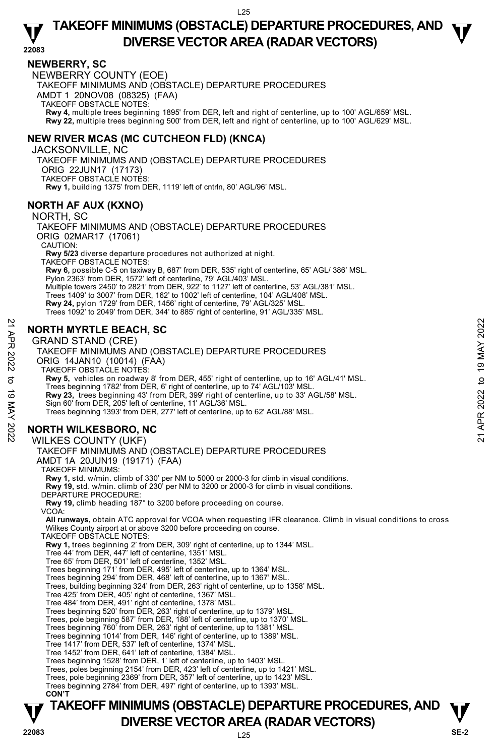## **TAKEOFF MINIMUMS (OBSTACLE) DEPARTURE PROCEDURES, AND**  $\Psi$ **DIVERSE VECTOR AREA (RADAR VECTORS) 22083**

#### **NEWBERRY, SC**

NEWBERRY COUNTY (EOE) TAKEOFF MINIMUMS AND (OBSTACLE) DEPARTURE PROCEDURES AMDT 1 20NOV08 (08325) (FAA) TAKEOFF OBSTACLE NOTES: **Rwy 4,** multiple trees beginning 1895' from DER, left and right of centerline, up to 100' AGL/659' MSL. **Rwy 22,** multiple trees beginning 500' from DER, left and right of centerline, up to 100' AGL/629' MSL.

### **NEW RIVER MCAS (MC CUTCHEON FLD) (KNCA)**

JACKSONVILLE, NC TAKEOFF MINIMUMS AND (OBSTACLE) DEPARTURE PROCEDURES ORIG 22JUN17 (17173) TAKEOFF OBSTACLE NOTES: **Rwy 1,** building 1375' from DER, 1119' left of cntrln, 80' AGL/96' MSL.

### **NORTH AF AUX (KXNO)**

NORTH, SC

TAKEOFF MINIMUMS AND (OBSTACLE) DEPARTURE PROCEDURES ORIG 02MAR17 (17061) CAUTION: **Rwy 5/23** diverse departure procedures not authorized at night. TAKEOFF OBSTACLE NOTES: **Rwy 6,** possible C-5 on taxiway B, 687' from DER, 535' right of centerline, 65' AGL/ 386' MSL. Pylon 2363' from DER, 1572' left of centerline, 79' AGL/403' MSL. Multiple towers 2450' to 2821' from DER, 922' to 1127' left of centerline, 53' AGL/381' MSL. Trees 1409' to 3007' from DER, 162' to 1002' left of centerline, 104' AGL/408' MSL. **Rwy 24,** pylon 1729' from DER, 1456' right of centerline, 79' AGL/325' MSL. Trees 1092' to 2049' from DER, 344' to 885' right of centerline, 91' AGL/335' MSL.

### **NORTH MYRTLE BEACH, SC**

GRAND STAND (CRE)

**TAKEOFF MINIMUMS (OBSTACLE) DEPARTURE PROCEDURES, AND**  $\mathbf{V}$ **V** DIVERSE VECTOR AREA (RADAR VECTORS) **V**<br>22083 SE-2 TAKEOFF MINIMUMS AND (OBSTACLE) DEPARTURE PROCEDURES ORIG 14JAN10 (10014) (FAA) TAKEOFF OBSTACLE NOTES: **Rwy 5,** vehicles on roadway 8' from DER, 455' right of centerline, up to 16' AGL/41' MSL. Trees beginning 1782' from DER, 6' right of centerline, up to 74' AGL/103' MSL. **Rwy 23,** trees beginning 43' from DER, 399' right of centerline, up to 33' AGL/58' MSL. Sign 60' from DER, 205' left of centerline, 11' AGL/36' MSL. Trees beginning 1393' from DER, 277' left of centerline, up to 62' AGL/88' MSL. **NORTH WILKESBORO, NC**  WILKES COUNTY (UKF) TAKEOFF MINIMUMS AND (OBSTACLE) DEPARTURE PROCEDURES AMDT 1A 20JUN19 (19171) (FAA) TAKEOFF MINIMUMS: **Rwy 1,** std. w/min. climb of 330' per NM to 5000 or 2000-3 for climb in visual conditions. **Rwy 19,** std. w/min. climb of 230' per NM to 3200 or 2000-3 for climb in visual conditions. DEPARTURE PROCEDURE: **Rwy 19,** climb heading 187° to 3200 before proceeding on course. VCOA: **All runways,** obtain ATC approval for VCOA when requesting IFR clearance. Climb in visual conditions to cross Wilkes County airport at or above 3200 before proceeding on course. TAKEOFF OBSTACLE NOTES: **Rwy 1,** trees beginning 2' from DER, 309' right of centerline, up to 1344' MSL. Tree 44' from DER, 447' left of centerline, 1351' MSL. Tree 65' from DER, 501' left of centerline, 1352' MSL. Trees beginning 171' from DER, 495' left of centerline, up to 1364' MSL. Trees beginning 294' from DER, 468' left of centerline, up to 1367' MSL. Trees, building beginning 324' from DER, 263' right of centerline, up to 1358' MSL. Tree 425' from DER, 405' right of centerline, 1367' MSL. Tree 484' from DER, 491' right of centerline, 1378' MSL. Trees beginning 520' from DER, 263' right of centerline, up to 1379' MSL. Trees, pole beginning 587' from DER, 188' left of centerline, up to 1370' MSL. Trees beginning 760' from DER, 263' right of centerline, up to 1381' MSL. Trees beginning 1014' from DER, 146' right of centerline, up to 1389' MSL. Tree 1417' from DER, 537' left of centerline, 1374' MSL. Tree 1452' from DER, 641' left of centerline, 1384' MSL. Trees beginning 1528' from DER, 1' left of centerline, up to 1403' MSL. Trees, poles beginning 2154' from DER, 423' left of centerline, up to 1421' MSL. Trees, pole beginning 2369' from DER, 357' left of centerline, up to 1423' MSL. Trees beginning 2784' from DER, 497' right of centerline, up to 1393' MSL. **CON'T EXAMPLE BEACH, SC**<br> **EXAMPLE BEACH, SC**<br>
GRAND STAND (CRE)<br>
TAKEOFF MINIMUMS AND (OBSTACLE) DEPARTURE PROCEDURES<br>
ORIG 14JAN10 (10014) (FAA)<br>
TAKEOFF MINIMUMS AND (OBSTACLE) DEPARTURE PROCEDURES<br>
ORIG 14JAN10 (10014) (FA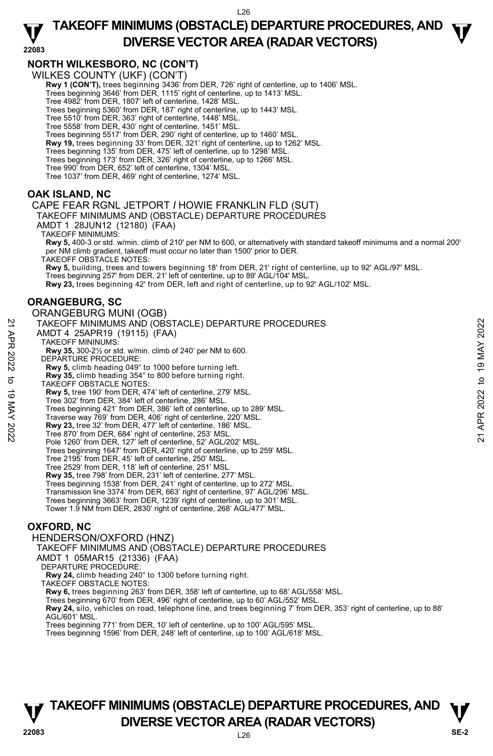## **TAKEOFF MINIMUMS (OBSTACLE) DEPARTURE PROCEDURES, AND**  $\Psi$ **DIVERSE VECTOR AREA (RADAR VECTORS) 22083**

### **NORTH WILKESBORO, NC (CON'T)**

WILKES COUNTY (UKF) (CON'T)

**Rwy 1 (CON'T),** trees beginning 3436' from DER, 726' right of centerline, up to 1406' MSL.

Trees beginning 3646' from DER, 1115' right of centerline, up to 1413' MSL.

Tree 4982' from DER, 1807' left of centerline, 1428' MSL. Trees beginning 5360' from DER, 187' right of centerline, up to 1443' MSL.

Tree 5510' from DER, 363' right of centerline, 1448' MSL.

Tree 5558' from DER, 430' right of centerline, 1451' MSL. Trees beginning 5517' from DER, 290' right of centerline, up to 1460' MSL.

**Rwy 19,** trees beginning 33' from DER, 321' right of centerline, up to 1262' MSL.

Trees beginning 135' from DER, 475' left of centerline, up to 1298' MSL.

Trees beginning 173' from DER, 326' right of centerline, up to 1266' MSL.

Tree 990' from DER, 652' left of centerline, 1304' MSL.

Tree 1037' from DER, 469' right of centerline, 1274' MSL.

### **OAK ISLAND, NC**

CAPE FEAR RGNL JETPORT *I* HOWIE FRANKLIN FLD (SUT)

TAKEOFF MINIMUMS AND (OBSTACLE) DEPARTURE PROCEDURES

AMDT 1 28JUN12 (12180) (FAA)

TAKEOFF MINIMUMS:

**Rwy 5,** 400-3 or std. w/min. climb of 210' per NM to 600, or alternatively with standard takeoff minimums and a normal 200' per NM climb gradient, takeoff must occur no later than 1500' prior to DER.

TAKEOFF OBSTACLE NOTES:

**Rwy 5,** building, trees and towers beginning 18' from DER, 21' right of centerline, up to 92' AGL/97' MSL. Trees beginning 257' from DER, 21' left of centerline, up to 89' AGL/104' MSL. **Rwy 23,** trees beginning 42' from DER, left and right of centerline, up to 92' AGL/102' MSL.

#### **ORANGEBURG, SC**

ORANGEBURG MUNI (OGB) TAKEOFF MINIMUMS AND (OBSTACLE) DEPARTURE PROCEDURES AMDT 4 25APR19 (19115) (FAA) TAKEOFF MININUMS: **Rwy 35,** 300-2½ or std. w/min. climb of 240' per NM to 600. DEPARTURE PROCEDURE: **Rwy 5,** climb heading 049° to 1000 before turning left. **Rwy 35,** climb heading 354° to 800 before turning right. TAKEOFF OBSTACLE NOTES: **Rwy 5,** tree 190' from DER, 474' left of centerline, 279' MSL. Tree 302' from DER, 384' left of centerline, 286' MSL. Trees beginning 421' from DER, 386' left of centerline, up to 289' MSL. Traverse way 769' from DER, 406' right of centerline, 220' MSL. **Rwy 23,** tree 32' from DER, 477' left of centerline, 186' MSL. Tree 870' from DER, 684' right of centerline, 253' MSL. Pole 1260' from DER, 127' left of centerline, 52' AGL/202' MSL. Trees beginning 1647' from DER, 420' right of centerline, up to 259' MSL. Tree 2195' from DER, 45' left of centerline, 250' MSL. Tree 2529' from DER, 118' left of centerline, 251' MSL. **Rwy 35,** tree 798' from DER, 231' left of centerline, 277' MSL. Trees beginning 1538' from DER, 241' right of centerline, up to 272' MSL. Transmission line 3374' from DER, 663' right of centerline, 97' AGL/296' MSL. Trees beginning 3663' from DER, 1239' right of centerline, up to 301' MSL. Tower 1.9 NM from DER, 2830' right of centerline, 268' AGL/477' MSL. **OXFORD, NC**  21 TAKEOFF MINIMUMS AND (OBSTACLE) DEPARTURE PROCEDURES<br>
22 AMDT 4 25APR19 (19115) (FAA)<br>
22 TAKEOFF MININIMS:<br>
22 Rwy 35, 300-2½ or std. w/min. climb of 240' per NM to 600.<br>
DEPARTURE PROCEDURE:<br>
23 DEPARTURE PROCEDURE:<br>

#### HENDERSON/OXFORD (HNZ)

TAKEOFF MINIMUMS AND (OBSTACLE) DEPARTURE PROCEDURES

AMDT 1 05MAR15 (21336) (FAA)

DEPARTURE PROCEDURE:

**Rwy 24,** climb heading 240° to 1300 before turning right.

TAKEOFF OBSTACLE NOTES:

**Rwy 6,** trees beginning 263' from DER, 358' left of centerline, up to 68' AGL/558' MSL.

Trees beginning 670' from DER, 496' right of centerline, up to 60' AGL/552' MSL.

**Rwy 24,** silo, vehicles on road, telephone line, and trees beginning 7' from DER, 353' right of centerline, up to 88' AGL/601' MSL.

Trees beginning 771' from DER, 10' left of centerline, up to 100' AGL/595' MSI Trees beginning 1596' from DER, 248' left of centerline, up to 100' AGL/618' MSL.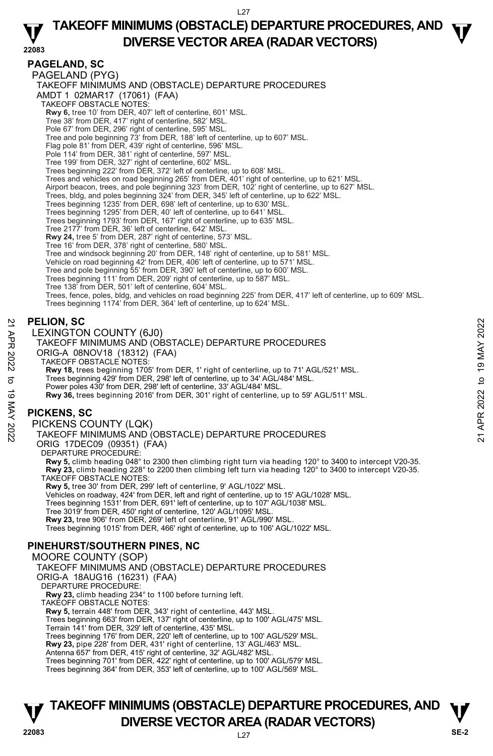## **TAKEOFF MINIMUMS (OBSTACLE) DEPARTURE PROCEDURES, AND**  $\Psi$ **DIVERSE VECTOR AREA (RADAR VECTORS) 22083**

### **PAGELAND, SC**

PAGELAND (PYG) TAKEOFF MINIMUMS AND (OBSTACLE) DEPARTURE PROCEDURES AMDT 1 02MAR17 (17061) (FAA) TAKEOFF OBSTACLE NOTES: **Rwy 6,** tree 10' from DER, 407' left of centerline, 601' MSL. Tree 38' from DER, 417' right of centerline, 582' MSL. Pole 67' from DER, 296' right of centerline, 595' MSL. Tree and pole beginning 73' from DER, 188' left of centerline, up to 607' MSL. Flag pole 81' from DER, 439' right of centerline, 596' MSL. Pole 114' from DER, 381' right of centerline, 597' MSL. Tree 199' from DER, 327' right of centerline, 602' MSL. Trees beginning 222' from DER, 372' left of centerline, up to 608' MSL. Trees and vehicles on road beginning 265' from DER, 401' right of centerline, up to 621' MSL. Airport beacon, trees, and pole beginning 323' from DER, 102' right of centerline, up to 627' MSL. Trees, bldg, and poles beginning 324' from DER, 345' left of centerline, up to 622' MSL. Trees beginning 1235' from DER, 698' left of centerline, up to 630' MSL. Trees beginning 1295' from DER, 40' left of centerline, up to 641' MSL. Trees beginning 1793' from DER, 167' right of centerline, up to 635' MSL. Tree 2177' from DER, 36' left of centerline, 642' MSL. **Rwy 24,** tree 5' from DER, 287' right of centerline, 573' MSL. Tree 16' from DER, 378' right of centerline, 580' MSL. Tree and windsock beginning 20' from DER, 148' right of centerline, up to 581' MSL. Vehicle on road beginning 42' from DER, 406' left of centerline, up to 571' MSL. Tree and pole beginning 55' from DER, 390' left of centerline, up to 600' MSL. Trees beginning 111' from DER, 209' right of centerline, up to 587' MSL. Tree 138' from DER, 501' left of centerline, 604' MSL. Trees, fence, poles, bldg, and vehicles on road beginning 225' from DER, 417' left of centerline, up to 609' MSL. Trees beginning 1174' from DER, 364' left of centerline, up to 624' MSL. **PELION, SC**  LEXINGTON COUNTY (6J0) TAKEOFF MINIMUMS AND (OBSTACLE) DEPARTURE PROCEDURES ORIG-A 08NOV18 (18312) (FAA) TAKEOFF OBSTACLE NOTES: **Rwy 18,** trees beginning 1705' from DER, 1' right of centerline, up to 71' AGL/521' MSL.<br>Trees beginning 429' from DER, 298' left of centerline, up to 34' AGL/484' MSL.<br>Power poles 430' from DER, 298' left of centerline, **Rwy 36,** trees beginning 2016' from DER, 301' right of centerline, up to 59' AGL/511' MSL. **PICKENS, SC**  PICKENS COUNTY (LQK) TAKEOFF MINIMUMS AND (OBSTACLE) DEPARTURE PROCEDURES ORIG 17DEC09 (09351) (FAA) DEPARTURE PROCEDURE: **Rwy 5,** climb heading 048° to 2300 then climbing right turn via heading 120° to 3400 to intercept V20-35. **Rwy 23,** climb heading 228° to 2200 then climbing left turn via heading 120° to 3400 to intercept V20-35. TAKEOFF OBSTACLE NOTES: **Rwy 5,** tree 30' from DER, 299' left of centerline, 9' AGL/1022' MSL. Vehicles on roadway, 424' from DER, left and right of centerline, up to 15' AGL/1028' MSL. Trees beginning 1531' from DER, 691' left of centerline, up to 107' AGL/1038' MSL. Tree 3019' from DER, 450' right of centerline, 120' AGL/1095' MSL. **Rwy 23,** tree 906' from DER, 269' left of centerline, 91' AGL/990' MSL. Trees beginning 1015' from DER, 466' right of centerline, up to 106' AGL/1022' MSL. **PINEHURST/SOUTHERN PINES, NC**  MOORE COUNTY (SOP) TAKEOFF MINIMUMS AND (OBSTACLE) DEPARTURE PROCEDURES ORIG-A 18AUG16 (16231) (FAA) DEPARTURE PROCEDURE: **Rwy 23,** climb heading 234° to 1100 before turning left. TAKEOFF OBSTACLE NOTES: **Rwy 5,** terrain 448' from DER, 343' right of centerline, 443' MSL. Trees beginning 663' from DER, 137' right of centerline, up to 100' AGL/475' MSL. Terrain 141' from DER, 329' left of centerline, 435' MSL. Trees beginning 176' from DER, 220' left of centerline, up to 100' AGL/529' MSL. **Rwy 23,** pipe 228' from DER, 431' right of centerline, 13' AGL/463' MSL. PELION, SC<br>
22 LEXINGTON COUNTY (6J0)<br>
TAKEOFF MINIMUMS AND (OBSTACLE) DEPARTURE PROCEDURES<br>
ORIG-A 08NOV18 (18312) (FAA)<br>
TAKEOFF OBSTACLE NOTES:<br>
RW 18, trees beginning 170<sup>5</sup> from DER, 1' right of centerline, up to 1'1

Antenna 657' from DER, 415' right of centerline, 32' AGL/482' MSL.

Trees beginning 701' from DER, 422' right of centerline, up to 100' AGL/579' MSL.

Trees beginning 364' from DER, 353' left of centerline, up to 100' AGL/569' MSL.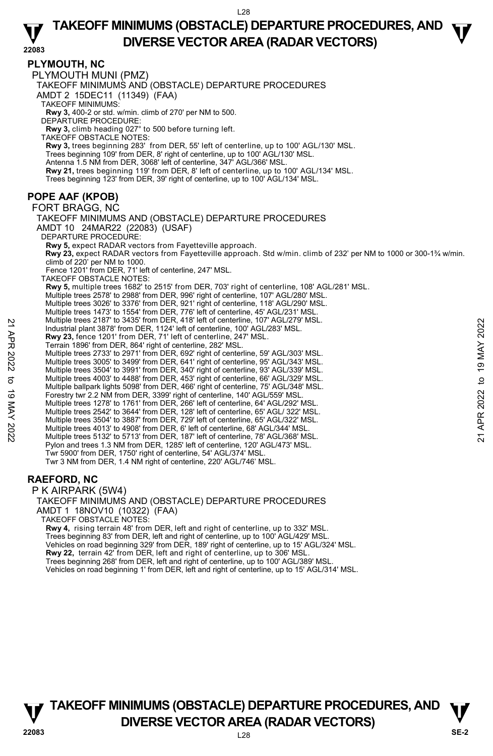**TAKEOFF MINIMUMS (OBSTACLE) DEPARTURE PROCEDURES, AND**  $\Psi$ **DIVERSE VECTOR AREA (RADAR VECTORS) 22083** 

#### **PLYMOUTH, NC**

PLYMOUTH MUNI (PMZ) TAKEOFF MINIMUMS AND (OBSTACLE) DEPARTURE PROCEDURES AMDT 2 15DEC11 (11349) (FAA) TAKEOFF MINIMUMS: **Rwy 3,** 400-2 or std. w/min. climb of 270' per NM to 500. DEPARTURE PROCEDURE: **Rwy 3,** climb heading 027° to 500 before turning left. TAKEOFF OBSTACLE NOTES: **Rwy 3,** trees beginning 283' from DER, 55' left of centerline, up to 100' AGL/130' MSL.<br>Trees beginning 109' from DER, 8' right of centerline, up to 100' AGL/130' MSL. Antenna 1.5 NM from DER, 3068' left of centerline, 347' AGL/366' MSL. **Rwy 21,** trees beginning 119' from DER, 8' left of centerline, up to 100' AGL/134' MSL. Trees beginning 123' from DER, 39' right of centerline, up to 100' AGL/134' MSL. **POPE AAF (KPOB)**  FORT BRAGG, NC TAKEOFF MINIMUMS AND (OBSTACLE) DEPARTURE PROCEDURES AMDT 10 24MAR22 (22083) (USAF) DEPARTURE PROCEDURE: **Rwy 5,** expect RADAR vectors from Fayetteville approach. **Rwy 23,** expect RADAR vectors from Fayetteville approach. Std w/min. climb of 232' per NM to 1000 or 300-1¾ w/min. climb of 220' per NM to 1000. Fence 1201' from DER, 71' left of centerline, 247' MSL. TAKEOFF OBSTACLE NOTES: **Rwy 5,** multiple trees 1682' to 2515' from DER, 703' right of centerline, 108' AGL/281' MSL. Multiple trees 2578' to 2988' from DER, 996' right of centerline, 107' AGL/280' MSL. Multiple trees 3026' to 3376' from DER, 921' right of centerline, 118' AGL/290' MSL. Multiple trees 1473' to 1554' from DER, 776' left of centerline, 45' AGL/231' MSL. Multiple trees 2187' to 3435' from DER, 418' left of centerline, 107' AGL/279' MSL. Industrial plant 3878' from DER, 1124' left of centerline, 100' AGL/283' MSL. **Rwy 23,** fence 1201' from DER, 71' left of centerline, 247' MSL. Terrain 1896' from DER, 864' right of centerline, 282' MSL. Multiple trees 2733' to 2971' from DER, 692' right of centerline, 59' AGL/303' MSL. Multiple trees 3005' to 3499' from DER, 641' right of centerline, 95' AGL/343' MSL. Multiple trees 3504' to 3991' from DER, 340' right of centerline, 93' AGL/339' MSL. Multiple trees 4003' to 4488' from DER, 453' right of centerline, 66' AGL/329' MSL. Multiple ballpark lights 5098' from DER, 466' right of centerline, 75' AGL/348' MSL. Forestry twr 2.2 NM from DER, 3399' right of centerline, 140' AGL/559' MSL. Multiple trees 1278' to 1761' from DER, 266' left of centerline, 64' AGL/292' MSL. Multiple trees 2542' to 3644' from DER, 128' left of centerline, 65' AGL/ 322' MSL. Multiple trees 3504' to 3887' from DER, 729' left of centerline, 65' AGL/322' MSL. Multiple trees 4013' to 4908' from DER, 6' left of centerline, 68' AGL/344' MSL. Multiple trees 5132' to 5713' from DER, 187' left of centerline, 78' AGL/368' MSL. Pylon and trees 1.3 NM from DER, 1285' left of centerline, 120' AGL/473' MSL. Twr 5900' from DER, 1750' right of centerline, 54' AGL/374' MSL. Twr 3 NM from DER, 1.4 NM right of centerline, 220' AGL/746' MSL. Multiple trees 2018' to 3435' from DER, 128' left of centerline, 10' AGL/283' MSL.<br>
Threas the 1201' from DER, 1124' left of centerline, 247' MSL.<br>
Terrain 18976' from DER, 71' left of centerline, 247' MSL.<br>
Terrain 1896'

### **RAEFORD, NC**

P K AIRPARK (5W4) TAKEOFF MINIMUMS AND (OBSTACLE) DEPARTURE PROCEDURES AMDT 1 18NOV10 (10322) (FAA) TAKEOFF OBSTACLE NOTES:

**Rwy 4,** rising terrain 48' from DER, left and right of centerline, up to 332' MSL. Trees beginning 83' from DER, left and right of centerline, up to 100' AGL/429' MSL. Vehicles on road beginning 329' from DER, 189' right of centerline, up to 15' AGL/324' MSL. **Rwy 22,** terrain 42' from DER, left and right of centerline, up to 306' MSL. Trees beginning 268' from DER, left and right of centerline, up to 100' AGL/389' MSL. Vehicles on road beginning 1' from DER, left and right of centerline, up to 15' AGL/314' MSL.

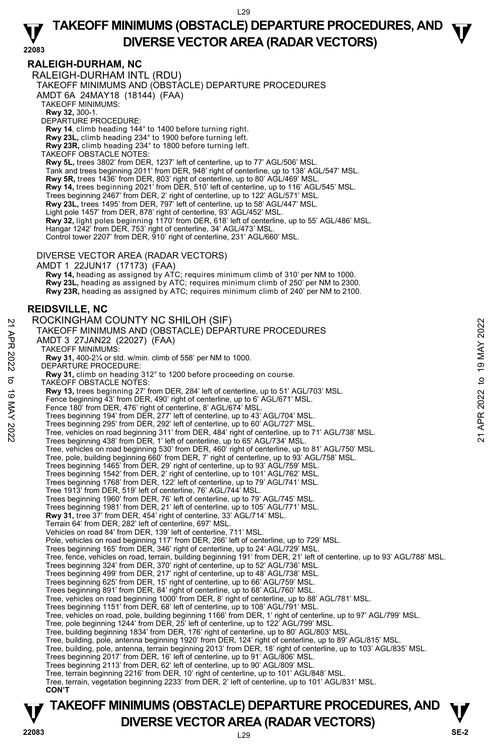## **TAKEOFF MINIMUMS (OBSTACLE) DEPARTURE PROCEDURES, AND**  $\Psi$ **DIVERSE VECTOR AREA (RADAR VECTORS) 22083**

### **RALEIGH-DURHAM, NC**

RALEIGH-DURHAM INTL (RDU)

TAKEOFF MINIMUMS AND (OBSTACLE) DEPARTURE PROCEDURES

AMDT 6A 24MAY18 (18144) (FAA)

TAKEOFF MINIMUMS:

**Rwy 32,** 300-1. DEPARTURE PROCEDURE:

**Rwy 14**, climb heading 144° to 1400 before turning right.

**Rwy 23L,** climb heading 234° to 1900 before turning left.

**Rwy 23R,** climb heading 234° to 1800 before turning left. TAKEOFF OBSTACLE NOTES:

**Rwy 5L,** trees 3802' from DER, 1237' left of centerline, up to 77' AGL/506' MSL. Tank and trees beginning 2011' from DER, 948' right of centerline, up to 138' AGL/547' MSL. **Rwy 5R,** trees 1436' from DER, 803' right of centerline, up to 80' AGL/469' MSL. **Rwy 14,** trees beginning 2021' from DER, 510' left of centerline, up to 116' AGL/545' MSL. Trees beginning 2467' from DER, 2' right of centerline, up to 122' AGL/571' MSL. **Rwy 23L,** trees 1495' from DER, 797' left of centerline, up to 58' AGL/447' MSL. Light pole 1457' from DER, 878' right of centerline, 93' AGL/452' MSL. **Rwy 32,** light poles beginning 1170' from DER, 618' left of centerline, up to 55' AGL/486' MSL. Hangar 1242' from DER, 753' right of centerline, 34' AGL/473' MSL. Control tower 2207' from DER, 910' right of centerline, 231' AGL/660' MSL.

#### DIVERSE VECTOR AREA (RADAR VECTORS)

AMDT 1 22JUN17 (17173) (FAA)  **Rwy 14,** heading as assigned by ATC; requires minimum climb of 310' per NM to 1000. **Rwy 23L,** heading as assigned by ATC; requires minimum climb of 250' per NM to 2300. **Rwy 23R,** heading as assigned by ATC; requires minimum climb of 240' per NM to 2100.

### **REIDSVILLE, NC**

ROCKINGHAM COUNTY NC SHILOH (SIF) TAKEOFF MINIMUMS AND (OBSTACLE) DEPARTURE PROCEDURES AMDT 3 27JAN22 (22027) (FAA) TAKEOFF MINIMUMS: **Rwy 31,** 400-2¼ or std. w/min. climb of 558' per NM to 1000. DEPARTURE PROCEDURE:  **Rwy 31,** climb on heading 312° to 1200 before proceeding on course. TAKEOFF OBSTACLE NOTES: **Rwy 13,** trees beginning 27' from DER, 284' left of centerline, up to 51' AGL/703' MSL. Fence beginning 43' from DER, 490' right of centerline, up to 6' AGL/671' MSL. Fence 180' from DER, 476' right of centerline, 8' AGL/674' MSL. Trees beginning 194' from DER, 277' left of centerline, up to 43' AGL/704' MSL. Trees beginning 295' from DER, 292' left of centerline, up to 60' AGL/727' MSL. Tree, vehicles on road beginning 311' from DER, 484' right of centerline, up to 71' AGL/738' MSL. Trees beginning 438' from DER, 1' left of centerline, up to 65' AGL/734' MSL.<br>Tree, vehicles on road beginning 530' from DER, 460' right of centerline, up to 81' AGL/750' MSL. Tree, pole, building beginning 660' from DER, 7' right of centerline, up to 93' AGL/758' MSL. Trees beginning 1465' from DER, 29' right of centerline, up to 93' AGL/759' MSL. Trees beginning 1542' from DER, 2' right of centerline, up to 101' AGL/762' MSL. Trees beginning 1768' from DER, 122' left of centerline, up to 79' AGL/741' MSL. Tree 1913' from DER, 519' left of centerline, 76' AGL/744' MSL. Trees beginning 1960' from DER, 76' left of centerline, up to 79' AGL/745' MSL. Trees beginning 1981' from DER, 21' left of centerline, up to 105' AGL/771' MSL. **Rwy 31,** tree 37' from DER, 454' right of centerline, 33' AGL/714' MSL. Terrain 64' from DER, 282' left of centerline, 697' MSL. Vehicles on road 84' from DER, 139' left of centerline, 711' MSL. Pole, vehicles on road beginning 117' from DER, 266' left of centerline, up to 729' MSL. Trees beginning 165' from DER, 346' right of centerline, up to 24' AGL/729' MSL. Tree, fence, vehicles on road, terrain, building beginning 191' from DER, 21' left of centerline, up to 93' AGL/788' MSL. Trees beginning 324' from DER, 370' right of centerline, up to 52' AGL/736' MSL. Trees beginning 499' from DER, 217' right of centerline, up to 48' AGL/738' MSL. Trees beginning 625' from DER, 15' right of centerline, up to 66' AGL/759' MSL. Trees beginning 891' from DER, 84' right of centerline, up to 68' AGL/760' MSL. Tree, vehicles on road beginning 1000' from DER, 8' right of centerline, up to 88' AGL/781' MSL. Trees beginning 1151' from DER, 68' left of centerline, up to 108' AGL/791' MSL. Tree, vehicles on road, pole, building beginning 1166' from DER, 1' right of centerline, up to 97' AGL/799' MSL.<br>Tree, pole beginning 1244' from DER, 25' left of centerline, up to 122' AGL/799' MSL. Tree, building beginning 1834' from DER, 176' right of centerline, up to 80' AGL/803' MSL. Tree, building, pole, antenna beginning 1920' from DER, 124' right of centerline, up to 89' AGL/815' MSL. Tree, building, pole, antenna, terrain beginning 2013' from DER, 18' right of centerline, up to 103' AGL/835' MSL. Trees beginning 2017' from DER, 16' left of centerline, up to 91' AGL/806' MSL. Trees beginning 2113' from DER, 62' left of centerline, up to 90' AGL/809' MSL. Tree, terrain beginning 2216' from DER, 10' right of centerline, up to 101' AGL/848' MSL. Tree, terrain, vegetation beginning 2233' from DER, 2' left of centerline, up to 101' AGL/831' MSL.  **CON'T**  NOCKINGHAMM COUNTTY NC SHILOH (SIF)<br>
TAKEOFF MINIMUMS AND (DBSTACLE) DEPARTURE PROCEDURES<br>
AMDT 3 27JAN22 (22027) (FAA)<br>
TAKEOFF MINIMUMS:<br>
RW 31, 400-2% or std. w/min. climb of 558' per NM to 1000.<br>
RW 31, climb on headi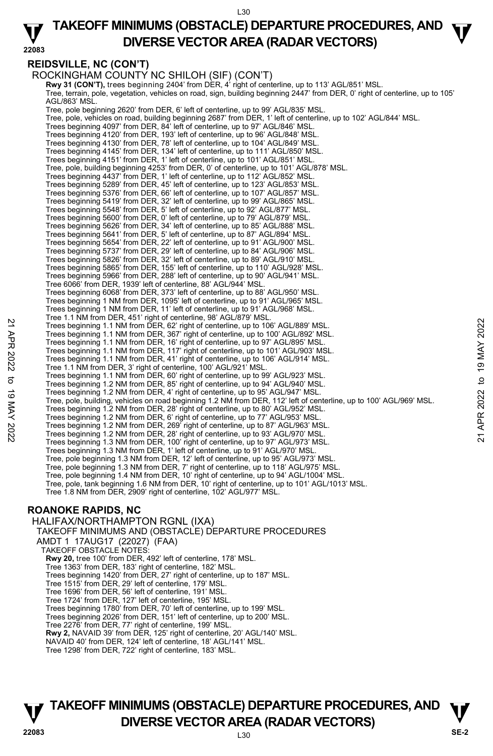L30 **TAKEOFF MINIMUMS (OBSTACLE) DEPARTURE PROCEDURES, AND**  $\Psi$ **DIVERSE VECTOR AREA (RADAR VECTORS) 22083** 

#### **REIDSVILLE, NC (CON'T)**

ROCKINGHAM COUNTY NC SHILOH (SIF) (CON'T)

**Rwy 31 (CON'T),** trees beginning 2404' from DER, 4' right of centerline, up to 113' AGL/851' MSL. Tree, terrain, pole, vegetation, vehicles on road, sign, building beginning 2447' from DER, 0' right of centerline, up to 105' AGL/863' MSL. Tree, pole beginning 2620' from DER, 6' left of centerline, up to 99' AGL/835' MSL. Tree, pole, vehicles on road, building beginning 2687' from DER, 1' left of centerline, up to 102' AGL/844' MSL. Trees beginning 4097' from DER, 84' left of centerline, up to 97' AGL/846' MSL. Trees beginning 4120' from DER, 193' left of centerline, up to 96' AGL/848' MSL. Trees beginning 4130' from DER, 78' left of centerline, up to 104' AGL/849' MSL. Trees beginning 4145' from DER, 134' left of centerline, up to 111' AGL/850' MSL. Trees beginning 4151' from DER, 1' left of centerline, up to 101' AGL/851' MSL. Tree, pole, building beginning 4253' from DER, 0' of centerline, up to 101' AGL/878' MSL.<br>Trees beginning 4437' from DER, 1' left of centerline, up to 112' AGL/852' MSL. Trees beginning 5289' from DER, 45' left of centerline, up to 123' AGL/853' MSL. Trees beginning 5376' from DER, 66' left of centerline, up to 107' AGL/857' MSL. Trees beginning 5419' from DER, 32' left of centerline, up to 99' AGL/865' MSL. Trees beginning 5548' from DER, 5' left of centerline, up to 92' AGL/877' MSL. Trees beginning 5600' from DER, 0' left of centerline, up to 79' AGL/879' MSL. Trees beginning 5626' from DER, 34' left of centerline, up to 85' AGL/888' MSL. Trees beginning 5641' from DER, 5' left of centerline, up to 87' AGL/894' MSL. Trees beginning 5654' from DER, 22' left of centerline, up to 91' AGL/900' MSL. Trees beginning 5737' from DER, 29' left of centerline, up to 84' AGL/906' MSL. Trees beginning 5826' from DER, 32' left of centerline, up to 89' AGL/910' MSL. Trees beginning 5865' from DER, 155' left of centerline, up to 110' AGL/928' MSL. Trees beginning 5966' from DER, 288' left of centerline, up to 90' AGL/941' MSL. Tree 6066' from DER, 1939' left of centerline, 88' AGL/944' MSL. Trees beginning 6068' from DER, 373' left of centerline, up to 88' AGL/950' MSL. Trees beginning 1 NM from DER, 1095' left of centerline, up to 91' AGL/965' MSL. Trees beginning 1 NM from DER, 11' left of centerline, up to 91' AGL/968' MSL. Tree 1.1 NM from DER, 451' right of centerline, 98' AGL/879' MSL. Trees beginning 1.1 NM from DER, 62' right of centerline, up to 106' AGL/889' MSL. Trees beginning 1.1 NM from DER, 367' right of centerline, up to 100' AGL/892' MSL. Trees beginning 1.1 NM from DER, 16' right of centerline, up to 97' AGL/895' MSL. Trees beginning 1.1 NM from DER, 117' right of centerline, up to 101' AGL/903' MSL. Trees beginning 1.1 NM from DER, 41' right of centerline, up to 106' AGL/914' MSL. Tree 1.1 NM from DER, 3' right of centerline, 100' AGL/921' MSL. Trees beginning 1.1 NM from DER, 60' right of centerline, up to 99' AGL/923' MSL. Trees beginning 1.2 NM from DER, 85' right of centerline, up to 94' AGL/940' MSL. Trees beginning 1.2 NM from DER, 4' right of centerline, up to 95' AGL/947' MSL. Tree, pole, building, vehicles on road beginning 1.2 NM from DER, 112' left of centerline, up to 100' AGL/969' MSL.<br>Trees beginning 1.2 NM from DER, 28' right of centerline, up to 80' AGL/952' MSL. Trees beginning 1.2 NM from DER, 6' right of centerline, up to 77' AGL/953' MSL. Trees beginning 1.2 NM from DER, 269' right of centerline, up to 87' AGL/963' MSL. Trees beginning 1.2 NM from DER, 28' right of centerline, up to 93' AGL/970' MSL. Trees beginning 1.3 NM from DER, 100' right of centerline, up to 97' AGL/973' MSL. Trees beginning 1.3 NM from DER, 1' left of centerline, up to 91' AGL/970' MSL. Tree, pole beginning 1.3 NM from DER, 12' left of centerline, up to 95' AGL/973' MSL.<br>Tree, pole beginning 1.3 NM from DER, 7' right of centerline, up to 118' AGL/975' MSL. Tree, pole beginning 1.4 NM from DER, 10' right of centerline, up to 94' AGL/1004' MSL. Tree, pole, tank beginning 1.6 NM from DER, 10' right of centerline, up to 101' AGL/1013' MSL. Tree 1.8 NM from DER, 2909' right of centerline, 102' AGL/977' MSL. 22 Trees beginning 1.1 NM from DER, 82 iright of centerline, up to 106' AGL/889' MSL.<br>
Trees beginning 1.1 NM from DER, 187' right of centerline, up to 197' AGL/895' MSL.<br>
Trees beginning 1.1 NM from DER, 187' right of ce

### **ROANOKE RAPIDS, NC**

HALIFAX/NORTHAMPTON RGNL (IXA) TAKEOFF MINIMUMS AND (OBSTACLE) DEPARTURE PROCEDURES AMDT 1 17AUG17 (22027) (FAA) TAKEOFF OBSTACLE NOTES: **Rwy 20,** tree 100' from DER, 492' left of centerline, 178' MSL. Tree 1363' from DER, 183' right of centerline, 182' MSL. Trees beginning 1420' from DER, 27' right of centerline, up to 187' MSL. Tree 1515' from DER, 29' left of centerline, 179' MSL. Tree 1696' from DER, 56' left of centerline, 191' MSL. Tree 1724' from DER, 127' left of centerline, 195' MSL. Trees beginning 1780' from DER, 70' left of centerline, up to 199' MSL. Trees beginning 2026' from DER, 151' left of centerline, up to 200' MSL. Tree 2276' from DER, 77' right of centerline, 199' MSL. **Rwy 2,** NAVAID 39' from DER, 125' right of centerline, 20' AGL/140' MSL. NAVAID 40' from DER, 124' left of centerline, 18' AGL/141' MSL. Tree 1298' from DER, 722' right of centerline, 183' MSL.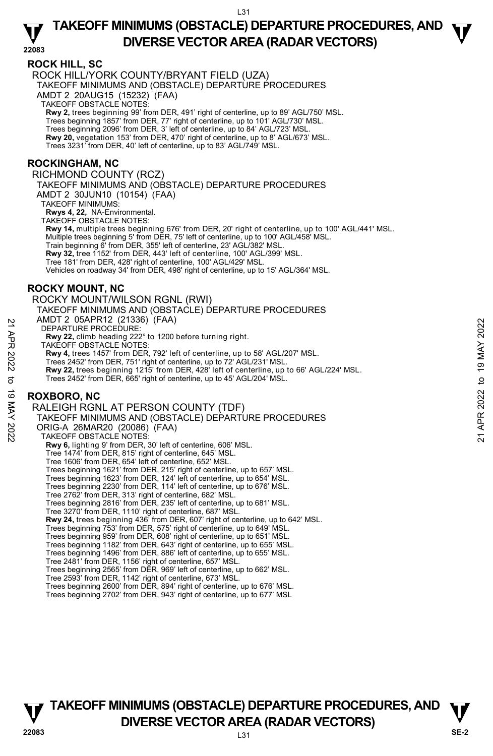## **TAKEOFF MINIMUMS (OBSTACLE) DEPARTURE PROCEDURES, AND**  $\Psi$ **DIVERSE VECTOR AREA (RADAR VECTORS) 22083**

#### **ROCK HILL, SC**

ROCK HILL/YORK COUNTY/BRYANT FIELD (UZA) TAKEOFF MINIMUMS AND (OBSTACLE) DEPARTURE PROCEDURES AMDT 2 20AUG15 (15232) (FAA) TAKEOFF OBSTACLE NOTES: **Rwy 2,** trees beginning 99' from DER, 491' right of centerline, up to 89' AGL/750' MSL. Trees beginning 1857' from DER, 77' right of centerline, up to 101' AGL/730' MSL. Trees beginning 2096' from DER, 3' left of centerline, up to 84' AGL/723' MSL. **Rwy 20,** vegetation 153' from DER, 470' right of centerline, up to 8' AGL/673' MSL. Trees 3231' from DER, 40' left of centerline, up to 83' AGL/749' MSL.

#### **ROCKINGHAM, NC**

RICHMOND COUNTY (RCZ)

TAKEOFF MINIMUMS AND (OBSTACLE) DEPARTURE PROCEDURES AMDT 2 30JUN10 (10154) (FAA)

TAKEOFF MINIMUMS:

**Rwys 4, 22,** NA-Environmental.

TAKEOFF OBSTACLE NOTES:

**Rwy 14,** multiple trees beginning 676' from DER, 20' right of centerline, up to 100' AGL/441' MSL.<br>Multiple trees beginning 5' from DER, 75' left of centerline, up to 100' AGL/458' MSL. Train beginning 6' from DER, 355' left of centerline, 23' AGL/382' MSL.

**Rwy 32,** tree 1152' from DER, 443' left of centerline, 100' AGL/399' MSL.

Tree 181' from DER, 428' right of centerline, 100' AGL/429' MSL.

Vehicles on roadway 34' from DER, 498' right of centerline, up to 15' AGL/364' MSL.

### **ROCKY MOUNT, NC**

ROCKY MOUNT/WILSON RGNL (RWI) TAKEOFF MINIMUMS AND (OBSTACLE) DEPARTURE PROCEDURES AMDT 2 05APR12 (21336) (FAA) DEPARTURE PROCEDURE: **Rwy 22,** climb heading 222° to 1200 before turning right. TAKEOFF OBSTACLE NOTES: **Rwy 4,** trees 1457' from DER, 792' left of centerline, up to 58' AGL/207' MSL. Trees 2452' from DER, 751' right of centerline, up to 72' AGL/231' MSL. **Rwy 22,** trees beginning 1215' from DER, 428' left of centerline, up to 66' AGL/224' MSL. Trees 2452' from DER, 665' right of centerline, up to 45' AGL/204' MSL. **ROXBORO, NC**  RALEIGH RGNL AT PERSON COUNTY (TDF) TAKEOFF MINIMUMS AND (OBSTACLE) DEPARTURE PROCEDURES ORIG-A 26MAR20 (20086) (FAA) TAKEOFF OBSTACLE NOTES: **Rwy 6,** lighting 9' from DER, 30' left of centerline, 606' MSL. Tree 1474' from DER, 815' right of centerline, 645' MSL. Tree 1606' from DER, 654' left of centerline, 652' MSL. Trees beginning 1621' from DER, 215' right of centerline, up to 657' MSL. Trees beginning 1623' from DER, 124' left of centerline, up to 654' MSL. Trees beginning 2230' from DER, 114' left of centerline, up to 676' MSL. Tree 2762' from DER, 313' right of centerline, 682' MSL. Trees beginning 2816' from DER, 235' left of centerline, up to 681' MSL. Tree 3270' from DER, 1110' right of centerline, 687' MSL. **Rwy 24,** trees beginning 436' from DER, 607' right of centerline, up to 642' MSL. Trees beginning 753' from DER, 575' right of centerline, up to 649' MSL. Trees beginning 959' from DER, 608' right of centerline, up to 651' MSL. Trees beginning 1182' from DER, 643' right of centerline, up to 655' MSL. Trees beginning 1496' from DER, 886' left of centerline, up to 655' MSL. Tree 2481' from DER, 1156' right of centerline, 657' MSL. Trees beginning 2565' from DER, 969' left of centerline, up to 662' MSL. Tree 2593' from DER, 1142' right of centerline, 673' MSL. 21 AWD 1 2 USAP ROCEDURE:<br>
22 APR 2022 TARTIJE PROCEDURE:<br>
22 APR 2022 TAKEOFF OBSTACLE NOTES.<br>
22 APR 2022 TAKEOFF OBSTACLE NOTES.<br>
22 APR 2022 from DER, 751' right of centerline, up to 58' AGL/207' MSL.<br>
22 APR 20452' f

Trees beginning 2600' from DER, 894' right of centerline, up to 676' MSL.

Trees beginning 2702' from DER, 943' right of centerline, up to 677' MSL

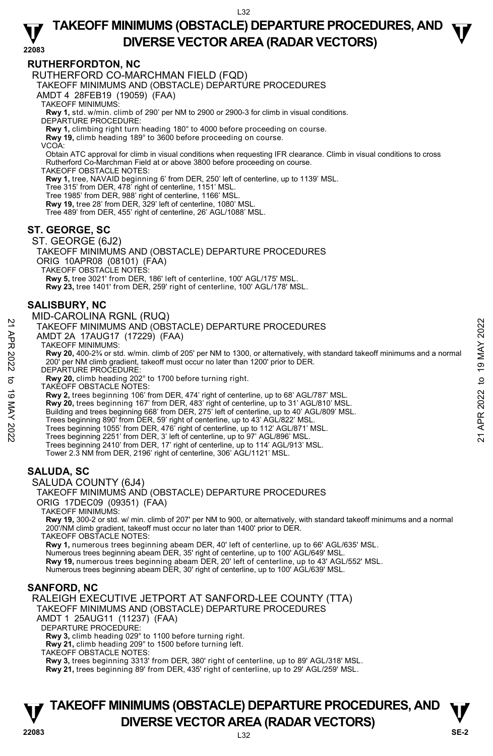## **TAKEOFF MINIMUMS (OBSTACLE) DEPARTURE PROCEDURES, AND**  $\Psi$ **DIVERSE VECTOR AREA (RADAR VECTORS) 22083**

### **RUTHERFORDTON, NC**

RUTHERFORD CO-MARCHMAN FIELD (FQD)

TAKEOFF MINIMUMS AND (OBSTACLE) DEPARTURE PROCEDURES

AMDT 4 28FEB19 (19059) (FAA)

TAKEOFF MINIMUMS:

**Rwy 1,** std. w/min. climb of 290' per NM to 2900 or 2900-3 for climb in visual conditions. DEPARTURE PROCEDURE:

**Rwy 1,** climbing right turn heading 180° to 4000 before proceeding on course.

**Rwy 19,** climb heading 189° to 3600 before proceeding on course.

VCOA:

Obtain ATC approval for climb in visual conditions when requesting IFR clearance. Climb in visual conditions to cross Rutherford Co-Marchman Field at or above 3800 before proceeding on course.

TAKEOFF OBSTACLE NOTES:

**Rwy 1,** tree, NAVAID beginning 6' from DER, 250' left of centerline, up to 1139' MSL.

Tree 315' from DER, 478' right of centerline, 1151' MSL.

Tree 1985' from DER, 988' right of centerline, 1166' MSL. **Rwy 19,** tree 28' from DER, 329' left of centerline, 1080' MSL.

Tree 489' from DER, 455' right of centerline, 26' AGL/1088' MSL.

### **ST. GEORGE, SC**

ST. GEORGE (6J2)

TAKEOFF MINIMUMS AND (OBSTACLE) DEPARTURE PROCEDURES ORIG 10APR08 (08101) (FAA)

TAKEOFF OBSTACLE NOTES:

**Rwy 5,** tree 3021' from DER, 186' left of centerline, 100' AGL/175' MSL.

**Rwy 23,** tree 1401' from DER, 259' right of centerline, 100' AGL/178' MSL.

### **SALISBURY, NC**

#### MID-CAROLINA RGNL (RUQ)

TAKEOFF MINIMUMS AND (OBSTACLE) DEPARTURE PROCEDURES

AMDT 2A 17AUG17 (17229) (FAA)

TAKEOFF MINIMUMS:

**Rwy 20,** 400-2¾ or std. w/min. climb of 205' per NM to 1300, or alternatively, with standard takeoff minimums and a normal 200' per NM climb gradient, takeoff must occur no later than 1200' prior to DER. TAKEOFF MINIMUMS AND (OBSTACLE) DEPARTURE PROCEDURES<br>
22 TAKEOFF MINIMUMS AND (OBSTACLE) DEPARTURE PROCEDURES<br>
22 TAKEOFF MINIMUMS AND (OBSTACLE) THAN<br>
22 TAKEOFF MINIMUMS AND (OBSTACLE) THAN<br>
22 TAKEOFF MINIMUMS AND (OBS

DEPARTURE PROCEDURE:

**Rwy 20,** climb heading 202° to 1700 before turning right.

TAKEOFF OBSTACLE NOTES:

**Rwy 2,** trees beginning 106' from DER, 474' right of centerline, up to 68' AGL/787' MSL.

- **Rwy 20,** trees beginning 167' from DER, 483' right of centerline, up to 31' AGL/810' MSL.
- Building and trees beginning 668' from DER, 275' left of centerline, up to 40' AGL/809' MSL.
- Trees beginning 890' from DER, 59' right of centerline, up to 43' AGL/822' MSL.

Trees beginning 1055' from DER, 476' right of centerline, up to 112' AGL/871' MSL. Trees beginning 2251' from DER, 3' left of centerline, up to 97' AGL/896' MSL.

Trees beginning 2410' from DER, 17' right of centerline, up to 114' AGL/913' MSL.

Tower 2.3 NM from DER, 2196' right of centerline, 306' AGL/1121' MSL.

### **SALUDA, SC**

SALUDA COUNTY (6J4)

ORIG 17DEC09 (09351) (FAA)

TAKEOFF MINIMUMS:

**Rwy 19,** 300-2 or std. w/ min. climb of 207' per NM to 900, or alternatively, with standard takeoff minimums and a normal 200'/NM climb gradient, takeoff must occur no later than 1400' prior to DER.

TAKEOFF OBSTACLE NOTES:

**Rwy 1,** numerous trees beginning abeam DER, 40' left of centerline, up to 66' AGL/635' MSL.

Numerous trees beginning abeam DER, 35' right of centerline, up to 100' AGL/649' MSL.

**Rwy 19,** numerous trees beginning abeam DER, 20' left of centerline, up to 43' AGL/552' MSL.

Numerous trees beginning abeam DER, 30' right of centerline, up to 100' AGL/639' MSL.

### **SANFORD, NC**

RALEIGH EXECUTIVE JETPORT AT SANFORD-LEE COUNTY (TTA) TAKEOFF MINIMUMS AND (OBSTACLE) DEPARTURE PROCEDURES

AMDT 1 25AUG11 (11237) (FAA)

DEPARTURE PROCEDURE:

**Rwy 3,** climb heading 029° to 1100 before turning right.

**Rwy 21,** climb heading 209° to 1500 before turning left.

TAKEOFF OBSTACLE NOTES:

**Rwy 3,** trees beginning 3313' from DER, 380' right of centerline, up to 89' AGL/318' MSL. **Rwy 21,** trees beginning 89' from DER, 435' right of centerline, up to 29' AGL/259' MSL.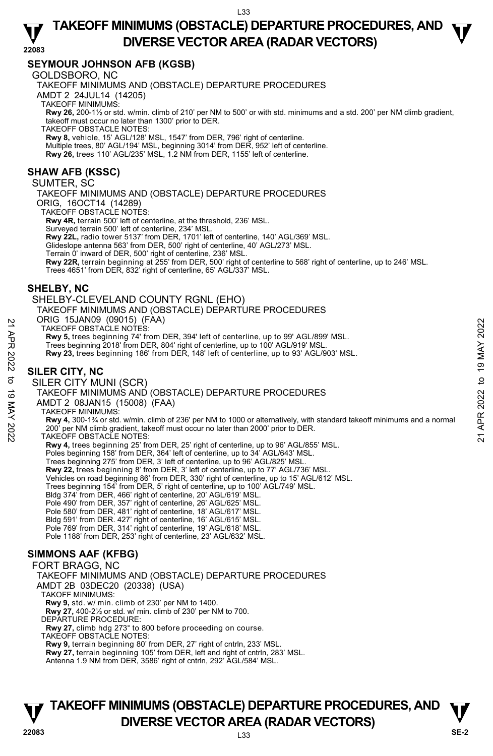## **TAKEOFF MINIMUMS (OBSTACLE) DEPARTURE PROCEDURES, AND**  $\Psi$ **DIVERSE VECTOR AREA (RADAR VECTORS) 22083**

### **SEYMOUR JOHNSON AFB (KGSB)**

GOLDSBORO, NC

TAKEOFF MINIMUMS AND (OBSTACLE) DEPARTURE PROCEDURES

AMDT 2 24JUL14 (14205)

TAKEOFF MINIMUMS:

**Rwy 26,** 200-1½ or std. w/min. climb of 210' per NM to 500' or with std. minimums and a std. 200' per NM climb gradient, takeoff must occur no later than 1300' prior to DER.

TAKEOFF OBSTACLE NOTES:

**Rwy 8,** vehicle, 15' AGL/128' MSL, 1547' from DER, 796' right of centerline. Multiple trees, 80' AGL/194' MSL, beginning 3014' from DER, 952' left of centerline.<br>**Rwy 26,** trees 110' AGL/235' MSL, 1.2 NM from DER, 1155' left of centerline.

### **SHAW AFB (KSSC)**

SUMTER, SC

TAKEOFF MINIMUMS AND (OBSTACLE) DEPARTURE PROCEDURES ORIG, 16OCT14 (14289) TAKEOFF OBSTACLE NOTES: **Rwy 4R,** terrain 500' left of centerline, at the threshold, 236' MSL. Surveyed terrain 500' left of centerline, 234' MSL. **Rwy 22L,** radio tower 5137' from DER, 1701' left of centerline, 140' AGL/369' MSL. Glideslope antenna 563' from DER, 500' right of centerline, 40' AGL/273' MSL.

Terrain 0' inward of DER, 500' right of centerline, 236' MSL.<br>**Rwy 22R,** terrain beginning at 255' from DER, 500' right of centerline to 568' right of centerline, up to 246' MSL. Trees 4651' from DER, 832' right of centerline, 65' AGL/337' MSL.

### **SHELBY, NC**

SHELBY-CLEVELAND COUNTY RGNL (EHO) TAKEOFF MINIMUMS AND (OBSTACLE) DEPARTURE PROCEDURES ORIG 15JAN09 (09015) (FAA) TAKEOFF OBSTACLE NOTES: **Rwy 5,** trees beginning 74' from DER, 394' left of centerline, up to 99' AGL/899' MSL. Trees beginning 2018' from DER, 804' right of centerline, up to 100' AGL/919' MSL. **Rwy 23,** trees beginning 186' from DER, 148' left of centerline, up to 93' AGL/903' MSL. **SILER CITY, NC**  SILER CITY MUNI (SCR) TAKEOFF MINIMUMS AND (OBSTACLE) DEPARTURE PROCEDURES AMDT 2 08JAN15 (15008) (FAA) TAKEOFF MINIMUMS: **Rwy 4,** 300-1¾ or std. w/min. climb of 236' per NM to 1000 or alternatively, with standard takeoff minimums and a normal 200' per NM climb gradient, takeoff must occur no later than 2000' prior to DER. TAKEOFF OBSTACLE NOTES: **Rwy 4,** trees beginning 25' from DER, 25' right of centerline, up to 96' AGL/855' MSL. Poles beginning 158' from DER, 364' left of centerline, up to 34' AGL/643' MSL. Trees beginning 275' from DER, 3' left of centerline, up to 96' AGL/825' MSL. **Rwy 22,** trees beginning 8' from DER, 3' left of centerline, up to 77' AGL/736' MSL. Vehicles on road beginning 86' from DER, 330' right of centerline, up to 15' AGL/612' MSL. Trees beginning 154' from DER, 5' right of centerline, up to 100' AGL/749' MSL. Bldg 374' from DER, 466' right of centerline, 20' AGL/619' MSL. Pole 490' from DER, 357' right of centerline, 26' AGL/625' MSL. Pole 580' from DER, 481' right of centerline, 18' AGL/617' MSL. Bldg 591' from DER. 427' right of centerline, 16' AGL/615' MSL. Pole 769' from DER, 314' right of centerline, 19' AGL/618' MSL. Pole 1188' from DER, 253' right of centerline, 23' AGL/632' MSL. TAKEOFF OBSTACLE NOTES:<br>
TAKEOFF OBSTACLE NOTES:<br>
Trees beginning 74' from DER, 394' left of centerline, up to 99' AGL/899' MSL.<br>
Trees beginning 2018' from DER, 304' right of centerline, up to 100' AGL/919' MSL.<br>
Rwy 23,

### **SIMMONS AAF (KFBG)**

FORT BRAGG, NC TAKEOFF MINIMUMS AND (OBSTACLE) DEPARTURE PROCEDURES AMDT 2B 03DEC20 (20338) (USA) TAKOFF MINIMUMS:  **Rwy 9,** std. w/ min. climb of 230' per NM to 1400. **Rwy 27,** 400-2½ or std. w/ min. climb of 230' per NM to 700. DEPARTURE PROCEDURE: **Rwy 27,** climb hdg 273° to 800 before proceeding on course. TAKEOFF OBSTACLE NOTES: **Rwy 9,** terrain beginning 80' from DER, 27' right of cntrln, 233' MSL. **Rwy 27,** terrain beginning 105' from DER, left and right of cntrln, 283' MSL.<br>Antenna 1.9 NM from DER, 3586' right of cntrln, 292' AGL/584' MSL.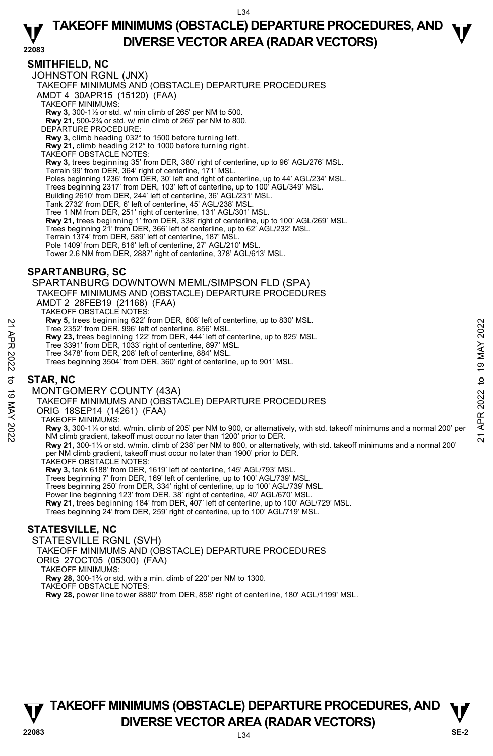## **TAKEOFF MINIMUMS (OBSTACLE) DEPARTURE PROCEDURES, AND**  $\Psi$ **DIVERSE VECTOR AREA (RADAR VECTORS) 22083**

### **SMITHFIELD, NC**

JOHNSTON RGNL (JNX) TAKEOFF MINIMUMS AND (OBSTACLE) DEPARTURE PROCEDURES AMDT 4 30APR15 (15120) (FAA) TAKEOFF MINIMUMS: **Rwy 3,** 300-1½ or std. w/ min climb of 265' per NM to 500. **Rwy 21,** 500-2¾ or std. w/ min climb of 265' per NM to 800. DEPARTURE PROCEDURE: **Rwy 3,** climb heading 032° to 1500 before turning left. **Rwy 21,** climb heading 212° to 1000 before turning right. TAKEOFF OBSTACLE NOTES: **Rwy 3,** trees beginning 35' from DER, 380' right of centerline, up to 96' AGL/276' MSL. Terrain 99' from DER, 364' right of centerline, 171' MSL. Poles beginning 1236' from DER, 30' left and right of centerline, up to 44' AGL/234' MSL. Trees beginning 2317' from DER, 103' left of centerline, up to 100' AGL/349' MSL. Building 2610' from DER, 244' left of centerline, 36' AGL/231' MSL. Tank 2732' from DER, 6' left of centerline, 45' AGL/238' MSL. Tree 1 NM from DER, 251' right of centerline, 131' AGL/301' MSL. **Rwy 21,** trees beginning 1' from DER, 338' right of centerline, up to 100' AGL/269' MSL. Trees beginning 21' from DER, 366' left of centerline, up to 62' AGL/232' MSL.<br>Terrain 1374' from DER, 859' left of centerline, 187' MSL.<br>Pole 1409' from DER, 816' left of centerline, 27' AGL/210' MSL. Tower 2.6 NM from DER, 2887' right of centerline, 378' AGL/613' MSL.

### **SPARTANBURG, SC**

SPARTANBURG DOWNTOWN MEML/SIMPSON FLD (SPA)

TAKEOFF MINIMUMS AND (OBSTACLE) DEPARTURE PROCEDURES

AMDT 2 28FEB19 (21168) (FAA)

TAKEOFF OBSTACLE NOTES:

**Rwy 5,** trees beginning 622' from DER, 608' left of centerline, up to 830' MSL.

Tree 2352' from DER, 996' left of centerline, 856' MSL.

**Rwy 23,** trees beginning 122' from DER, 444' left of centerline, up to 825' MSL.

- Tree 3391' from DER, 1033' right of centerline, 897' MSL.
- Tree 3478' from DER, 208' left of centerline, 884' MSL.
- Trees beginning 3504' from DER, 360' right of centerline, up to 901' MSL.

### **STAR, NC**

#### MONTGOMERY COUNTY (43A)

TAKEOFF MINIMUMS AND (OBSTACLE) DEPARTURE PROCEDURES

ORIG 18SEP14 (14261) (FAA)

TAKEOFF MINIMUMS:

Now 5, tree beginning 622' from DER, 996' left of centerline, 856' MSL.<br>
Tree 3352' from DER, 996' left of centerline, 856' MSL.<br>
Tree 3391' from DER, 1033' right of centerline, 894' MSL.<br>
Tree 3478' from DER, 208' left o

**Rwy 21,** 300-1¼ or std. w/min. climb of 238' per NM to 800, or alternatively, with std. takeoff minimums and a normal 200' per NM climb gradient, takeoff must occur no later than 1900' prior to DER. TAKEOFF OBSTACLE NOTES:

**Rwy 3,** tank 6188' from DER, 1619' left of centerline, 145' AGL/793' MSL.

Trees beginning 7' from DER, 169' left of centerline, up to 100' AGL/739' MSL.

Trees beginning 250' from DER, 334' right of centerline, up to 100' AGL/739' MSL. Power line beginning 123' from DER, 38' right of centerline, 40' AGL/670' MSL.

**Rwy 21,** trees beginning 184' from DER, 407' left of centerline, up to 100' AGL/729' MSL.

Trees beginning 24' from DER, 259' right of centerline, up to 100' AGL/719' MSL.

### **STATESVILLE, NC**

STATESVILLE RGNL (SVH)

TAKEOFF MINIMUMS AND (OBSTACLE) DEPARTURE PROCEDURES

ORIG 27OCT05 (05300) (FAA)

TAKEOFF MINIMUMS:

**Rwy 28,** 300-1¾ or std. with a min. climb of 220' per NM to 1300.

TAKEOFF OBSTACLE NOTES:

**Rwy 28,** power line tower 8880' from DER, 858' right of centerline, 180' AGL/1199' MSL.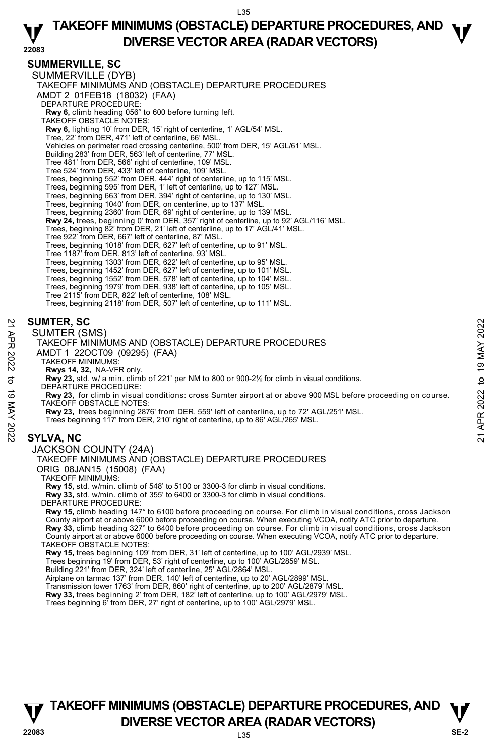## **TAKEOFF MINIMUMS (OBSTACLE) DEPARTURE PROCEDURES, AND**  $\Psi$ **DIVERSE VECTOR AREA (RADAR VECTORS) 22083**

### **SUMMERVILLE, SC**

SUMMERVILLE (DYB) TAKEOFF MINIMUMS AND (OBSTACLE) DEPARTURE PROCEDURES AMDT 2 01FEB18 (18032) (FAA) DEPARTURE PROCEDURE: **Rwy 6,** climb heading 056° to 600 before turning left. TAKEOFF OBSTACLE NOTES: **Rwy 6,** lighting 10' from DER, 15' right of centerline, 1' AGL/54' MSL. Tree, 22' from DER, 471' left of centerline, 66' MSL. Vehicles on perimeter road crossing centerline, 500' from DER, 15' AGL/61' MSL. Building 283' from DER, 563' left of centerline, 77' MSL. Tree 481' from DER, 566' right of centerline, 109' MSL. Tree 524' from DER, 433' left of centerline, 109' MSL. Trees, beginning 552' from DER, 444' right of centerline, up to 115' MSL. Trees, beginning 595' from DER, 1' left of centerline, up to 127' MSL. Trees, beginning 663' from DER, 394' right of centerline, up to 130' MSL. Trees, beginning 1040' from DER, on centerline, up to 137' MSL. Trees, beginning 2360' from DER, 69' right of centerline, up to 139' MSL. **Rwy 24,** trees, beginning 0' from DER, 357' right of centerline, up to 92' AGL/116' MSL. Trees, beginning 82' from DER, 21' left of centerline, up to 17' AGL/41' MSL. Tree 922' from DER, 667' left of centerline, 87' MSL. Trees, beginning 1018' from DER, 627' left of centerline, up to 91' MSL. Tree 1187' from DER, 813' left of centerline, 93' MSL. Trees, beginning 1303' from DER, 622' left of centerline, up to 95' MSL. Trees, beginning 1452' from DER, 627' left of centerline, up to 101' MSL. Trees, beginning 1552' from DER, 578' left of centerline, up to 104' MSL. Trees, beginning 1979' from DER, 938' left of centerline, up to 105' MSL. Tree 2115' from DER, 822' left of centerline, 108' MSL. Trees, beginning 2118' from DER, 507' left of centerline, up to 111' MSL.

### **SUMTER, SC**

SUMTER (SMS)

TAKEOFF MINIMUMS AND (OBSTACLE) DEPARTURE PROCEDURES

- AMDT 1 22OCT09 (09295) (FAA)
	- TAKEOFF MINIMUMS:

**Rwys 14, 32,** NA-VFR only. **Rwy 23,** std. w/ a min. climb of 221' per NM to 800 or 900-2½ for climb in visual conditions.

DEPARTURE PROCEDURE:

**Rwy 23,** for climb in visual conditions: cross Sumter airport at or above 900 MSL before proceeding on course. TAKEOFF OBSTACLE NOTES: **SUMTER, SC**<br>
21 **SUMTER (SMS)**<br>
21 TAKEOFF MINIMUMS AND (OBSTACLE) DEPARTURE PROCEDURES<br>
22 TAKEOFF MINIMUMS:<br>
22 APR 2022 to 199295) (FAA)<br>
22 AND T 1 22OCT09 (09295) (FAA)<br>
22 AND TAKEOFF MINIMUMS:<br>
23 APR 2023, to cli

**Rwy 23,** trees beginning 2876' from DER, 559' left of centerline, up to 72' AGL/251' MSL.

Trees beginning 117' from DER, 210' right of centerline, up to 86' AGL/265' MSL.

### **SYLVA, NC**

#### JACKSON COUNTY (24A)

TAKEOFF MINIMUMS AND (OBSTACLE) DEPARTURE PROCEDURES

ORIG 08JAN15 (15008) (FAA)

TAKEOFF MINIMUMS:

**Rwy 15,** std. w/min. climb of 548' to 5100 or 3300-3 for climb in visual conditions. **Rwy 33,** std. w/min. climb of 355' to 6400 or 3300-3 for climb in visual conditions.

DEPARTURE PROCEDURE:

**Rwy 15,** climb heading 147° to 6100 before proceeding on course. For climb in visual conditions, cross Jackson County airport at or above 6000 before proceeding on course. When executing VCOA, notify ATC prior to departure. **Rwy 33,** climb heading 327° to 6400 before proceeding on course. For climb in visual conditions, cross Jackson County airport at or above 6000 before proceeding on course. When executing VCOA, notify ATC prior to departure. TAKEOFF OBSTACLE NOTES:

**Rwy 15,** trees beginning 109' from DER, 31' left of centerline, up to 100' AGL/2939' MSL.

Trees beginning 19' from DER, 53' right of centerline, up to 100' AGL/2859' MSL.

Building 221' from DER, 324' left of centerline, 25' AGL/2864' MSL. Airplane on tarmac 137' from DER, 140' left of centerline, up to 20' AGL/2899' MSL.

Transmission tower 1763' from DER, 860' right of centerline, up to 200' AGL/2879' MSL.

**Rwy 33,** trees beginning 2' from DER, 182' left of centerline, up to 100' AGL/2979' MSL.<br>Trees beginning 6' from DER, 27' right of centerline, up to 100' AGL/2979' MSL.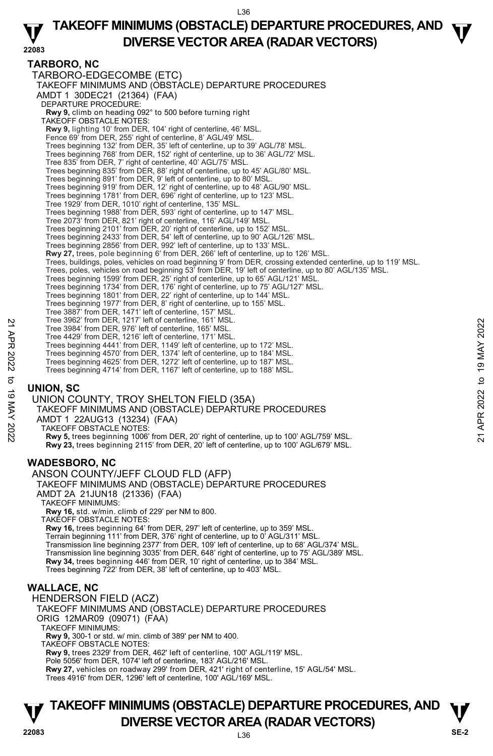## **TAKEOFF MINIMUMS (OBSTACLE) DEPARTURE PROCEDURES, AND**  $\Psi$ **DIVERSE VECTOR AREA (RADAR VECTORS) 22083**

### **TARBORO, NC**

TARBORO-EDGECOMBE (ETC) TAKEOFF MINIMUMS AND (OBSTACLE) DEPARTURE PROCEDURES AMDT 1 30DEC21 (21364) (FAA) DEPARTURE PROCEDURE: **Rwy 9,** climb on heading 092° to 500 before turning right TAKEOFF OBSTACLE NOTES: **Rwy 9,** lighting 10' from DER, 104' right of centerline, 46' MSL. Fence 69' from DER, 255' right of centerline, 8' AGL/49' MSL. Trees beginning 132' from DER, 35' left of centerline, up to 39' AGL/78' MSL. Trees beginning 768' from DER, 152' right of centerline, up to 36' AGL/72' MSL. Tree 835' from DER, 7' right of centerline, 40' AGL/75' MSL. Trees beginning 835' from DER, 88' right of centerline, up to 45' AGL/80' MSL. Trees beginning 891' from DER, 9' left of centerline, up to 80' MSL. Trees beginning 919' from DER, 12' right of centerline, up to 48' AGL/90' MSL. Trees beginning 1781' from DER, 696' right of centerline, up to 123' MSL. Tree 1929' from DER, 1010' right of centerline, 135' MSL. Trees beginning 1988' from DER, 593' right of centerline, up to 147' MSL. Tree 2073' from DER, 821' right of centerline, 116' AGL/149' MSL. Trees beginning 2101' from DER, 20' right of centerline, up to 152' MSL. Trees beginning 2433' from DER, 54' left of centerline, up to 90' AGL/126' MSL. Trees beginning 2856' from DER, 992' left of centerline, up to 133' MSL. **Rwy 27,** trees, pole beginning 6' from DER, 266' left of centerline, up to 126' MSL. Trees, buildings, poles, vehicles on road beginning 9' from DER, crossing extended centerline, up to 119' MSL.<br>Trees, poles, vehicles on road beginning 53' from DER, 19' left of centerline, up to 80' AGL/135' MSL. Trees beginning 1599' from DER, 25' right of centerline, up to 65' AGL/121' MSL. Trees beginning 1734' from DER, 176' right of centerline, up to 75' AGL/127' MSL. Trees beginning 1801' from DER, 22' right of centerline, up to 144' MSL. Trees beginning 1977' from DER, 8' right of centerline, up to 155' MSL. Tree 3887' from DER, 1471' left of centerline, 157' MSL. Tree 3962' from DER, 1217' left of centerline, 161' MSL. Tree 3984' from DER, 976' left of centerline, 165' MSL. Tree 4429' from DER, 1216' left of centerline, 171' MSL. Trees beginning 4441' from DER, 1149' left of centerline, up to 172' MSL. Trees beginning 4570' from DER, 1374' left of centerline, up to 184' MSL. Trees beginning 4625' from DER, 1272' left of centerline, up to 187' MSL. Trees beginning 4714' from DER, 1167' left of centerline, up to 188' MSL. **UNION, SC**  UNION COUNTY, TROY SHELTON FIELD (35A) TAKEOFF MINIMUMS AND (OBSTACLE) DEPARTURE PROCEDURES AMDT 1 22AUG13 (13234) (FAA) TAKEOFF OBSTACLE NOTES: **Rwy 5,** trees beginning 1006' from DER, 20' right of centerline, up to 100' AGL/759' MSL. **Rwy 23,** trees beginning 2115' from DER, 20' left of centerline, up to 100' AGL/679' MSL. **WADESBORO, NC**  ANSON COUNTY/JEFF CLOUD FLD (AFP) TAKEOFF MINIMUMS AND (OBSTACLE) DEPARTURE PROCEDURES AMDT 2A 21JUN18 (21336) (FAA) TAKEOFF MINIMUMS: **Rwy 16,** std. w/min. climb of 229' per NM to 800. TAKEOFF OBSTACLE NOTES: **Rwy 16,** trees beginning 64' from DER, 297' left of centerline, up to 359' MSL. Terrain beginning 111' from DER, 376' right of centerline, up to 0' AGL/311' MSL. Transmission line beginning 2377' from DER, 109' left of centerline, up to 68' AGL/374' MSL. Transmission line beginning 3035' from DER, 648' right of centerline, up to 75' AGL/389' MSL. **Rwy 34,** trees beginning 446' from DER, 10' right of centerline, up to 384' MSL. Trees beginning 722' from DER, 38' left of centerline, up to 403' MSL. **WALLACE, NC**  HENDERSON FIELD (ACZ) TAKEOFF MINIMUMS AND (OBSTACLE) DEPARTURE PROCEDURES ORIG 12MAR09 (09071) (FAA) TAKEOFF MINIMUMS: **Rwy 9,** 300-1 or std. w/ min. climb of 389' per NM to 400. TAKEOFF OBSTACLE NOTES: **Rwy 9,** trees 2329' from DER, 462' left of centerline, 100' AGL/119' MSL. Tree 3982 from DER, 121<sup>7</sup> lett of centerline, 165<sup>'</sup> MSL.<br>
Tree 3984' from DER, 176' left of centerline, 165' MSL.<br>
Trees beginning 4441' from DER, 1149' left of centerline, up to 172' MSL.<br>
Trees beginning 4470' from DER

Pole 5056' from DER, 1074' left of centerline, 183' AGL/216' MSL. **Rwy 27,** vehicles on roadway 299' from DER, 421' right of centerline, 15' AGL/54' MSL. Trees 4916' from DER, 1296' left of centerline, 100' AGL/169' MSL.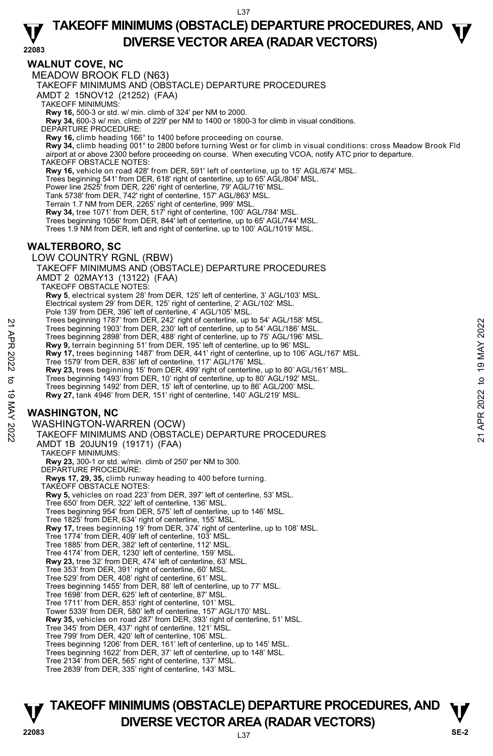## **TAKEOFF MINIMUMS (OBSTACLE) DEPARTURE PROCEDURES, AND**  $\Psi$ **DIVERSE VECTOR AREA (RADAR VECTORS) 22083**

#### **WALNUT COVE, NC**

MEADOW BROOK FLD (N63)

TAKEOFF MINIMUMS AND (OBSTACLE) DEPARTURE PROCEDURES

AMDT 2 15NOV12 (21252) (FAA)

TAKEOFF MINIMUMS:

**Rwy 16,** 500-3 or std. w/ min. climb of 324' per NM to 2000. **Rwy 34,** 600-3 w/ min. climb of 229' per NM to 1400 or 1800-3 for climb in visual conditions.

DEPARTURE PROCEDURE:

**Rwy 16,** climb heading 166° to 1400 before proceeding on course.

**Rwy 34,** climb heading 001° to 2800 before turning West or for climb in visual conditions: cross Meadow Brook Fld<br>airport at or above 2300 before proceeding on course. When executing VCOA, notify ATC prior to departure. TAKEOFF OBSTACLE NOTES:

**Rwy 16,** vehicle on road 428' from DER, 591' left of centerline, up to 15' AGL/674' MSL.

Trees beginning 541' from DER, 618' right of centerline, up to 65' AGL/804' MSL.

Power line 2525' from DER, 226' right of centerline, 79' AGL/716' MSL.

Tank 5738' from DER, 742' right of centerline, 157' AGL/863' MSL. Terrain 1.7 NM from DER, 2265' right of centerline, 999' MSL.

**Rwy 34,** tree 1071' from DER, 517' right of centerline, 100' AGL/784' MSL.

Trees beginning 1056' from DER, 844' left of centerline, up to 65' AGL/744' MSL.

Trees 1.9 NM from DER, left and right of centerline, up to 100' AGL/1019' MSL.

#### **WALTERBORO, SC**

LOW COUNTRY RGNL (RBW)

TAKEOFF MINIMUMS AND (OBSTACLE) DEPARTURE PROCEDURES AMDT 2 02MAY13 (13122) (FAA)

TAKEOFF OBSTACLE NOTES:

**Rwy 5**, electrical system 28' from DER, 125' left of centerline, 3' AGL/103' MSL. Electrical system 29' from DER, 125' right of centerline, 2' AGL/102' MSL.

Pole 139' from DER, 396' left of centerline, 4' AGL/105' MSL.

Trees beginning 1787' from DER, 242' right of centerline, up to 54' AGL/158' MSL.

Trees beginning 1903' from DER, 230' left of centerline, up to 54' AGL/186' MSL.

Trees beginning 2898' from DER, 488' right of centerline, up to 75' AGL/196' MSL. **Rwy 9,** terrain beginning 51' from DER, 195' left of centerline, up to 96' MSL.

**Rwy 17,** trees beginning 1487' from DER, 441' right of centerline, up to 106' AGL/167' MSL. Tree 1579' from DER, 836' left of centerline, 117' AGL/176' MSL. Trees beginning 1497 from DER, 242 right of centerline, up to 54' AGL/186' MSL.<br>
Trees beginning 2898' from DER, 488' right of centerline, up to 54' AGL/186' MSL.<br> **EVALUATE APP 3** Trees beginning 1403' from DER, 488' righ

**Rwy 23,** trees beginning 15' from DER, 499' right of centerline, up to 80' AGL/161' MSL.

Trees beginning 1493' from DER, 10' right of centerline, up to 80' AGL/192' MSL. Trees beginning 1492' from DER, 15' left of centerline, up to 86' AGL/200' MSL.

**Rwy 27,** tank 4946' from DER, 151' right of centerline, 140' AGL/219' MSL.

### **WASHINGTON, NC**

WASHINGTON-WARREN (OCW) TAKEOFF MINIMUMS AND (OBSTACLE) DEPARTURE PROCEDURES

AMDT 1B 20JUN19 (19171) (FAA)

TAKEOFF MINIMUMS: **Rwy 23,** 300-1 or std. w/min. climb of 250' per NM to 300. DEPARTURE PROCEDURE:

**Rwys 17, 29, 35,** climb runway heading to 400 before turning.

- TAKEOFF OBSTACLE NOTES:
- **Rwy 5,** vehicles on road 223' from DER, 397' left of centerline, 53' MSL. Tree 650' from DER, 322' left of centerline, 136' MSL.
- 
- Trees beginning 954' from DER, 575' left of centerline, up to 146' MSL. Tree 1825' from DER, 634' right of centerline, 155' MSL.

**Rwy 17,** trees beginning 19' from DER, 374' right of centerline, up to 108' MSL.

- 
- Tree 1774' from DER, 409' left of centerline, 103' MSL. Tree 1885' from DER, 382' left of centerline, 112' MSL.
- Tree 4174' from DER, 1230' left of centerline, 159' MSL.

**Rwy 23,** tree 32' from DER, 474' left of centerline, 63' MSL.

- Tree 353' from DER, 391' right of centerline, 60' MSL. Tree 529' from DER, 408' right of centerline, 61' MSL.
- 
- Trees beginning 1455' from DER, 88' left of centerline, up to 77' MSL.
- Tree 1698' from DER, 625' left of centerline, 87' MSL. Tree 1711' from DER, 853' right of centerline, 101' MSL.
- 
- Tower 5339' from DER, 580' left of centerline, 157' AGL/170' MSL.

**Rwy 35,** vehicles on road 287' from DER, 393' right of centerline, 51' MSL.

Tree 345' from DER, 437' right of centerline, 121' MSL. Tree 799' from DER, 420' left of centerline, 106' MSL.

Trees beginning 1206' from DER, 161' left of centerline, up to 145' MSL.

Trees beginning 1622' from DER, 37' left of centerline, up to 148' MSL. Tree 2134' from DER, 565' right of centerline, 137' MSL.

Tree 2839' from DER, 335' right of centerline, 143' MSL.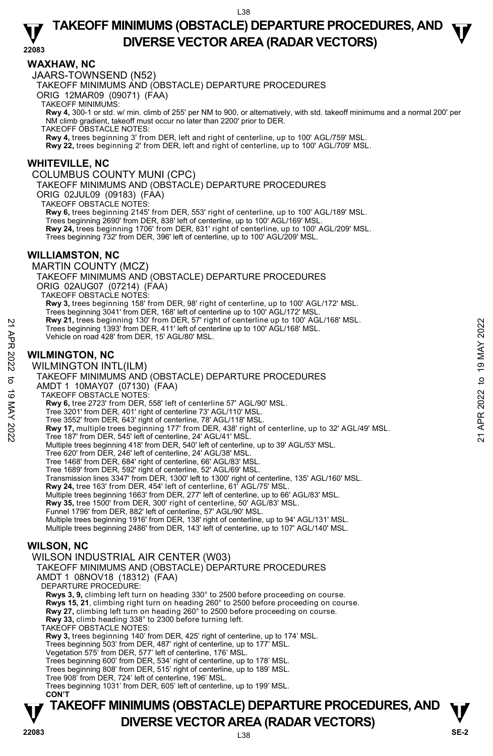## **TAKEOFF MINIMUMS (OBSTACLE) DEPARTURE PROCEDURES, AND**  $\Psi$ **DIVERSE VECTOR AREA (RADAR VECTORS) 22083**

#### **WAXHAW, NC**

JAARS-TOWNSEND (N52)

TAKEOFF MINIMUMS AND (OBSTACLE) DEPARTURE PROCEDURES

ORIG 12MAR09 (09071) (FAA)

TAKEOFF MINIMUMS:

**Rwy 4,** 300-1 or std. w/ min. climb of 255' per NM to 900, or alternatively, with std. takeoff minimums and a normal 200' per NM climb gradient, takeoff must occur no later than 2200' prior to DER.

TAKEOFF OBSTACLE NOTES:

**Rwy 4,** trees beginning 3' from DER, left and right of centerline, up to 100' AGL/759' MSL.

**Rwy 22,** trees beginning 2' from DER, left and right of centerline, up to 100' AGL/709' MSL.

#### **WHITEVILLE, NC**

COLUMBUS COUNTY MUNI (CPC)

TAKEOFF MINIMUMS AND (OBSTACLE) DEPARTURE PROCEDURES

ORIG 02JUL09 (09183) (FAA)

TAKEOFF OBSTACLE NOTES:

**Rwy 6,** trees beginning 2145' from DER, 553' right of centerline, up to 100' AGL/189' MSL.

Trees beginning 2690' from DER, 838' left of centerline, up to 100' AGL/169' MSL.

**Rwy 24,** trees beginning 1706' from DER, 831' right of centerline, up to 100' AGL/209' MSL. Trees beginning 732' from DER, 396' left of centerline, up to 100' AGL/209' MSL.

#### **WILLIAMSTON, NC**

MARTIN COUNTY (MCZ) TAKEOFF MINIMUMS AND (OBSTACLE) DEPARTURE PROCEDURES ORIG 02AUG07 (07214) (FAA) TAKEOFF OBSTACLE NOTES: **Rwy 3,** trees beginning 158' from DER, 98' right of centerline, up to 100' AGL/172' MSL. Trees beginning 3041' from DER, 168' left of centerline up to 100' AGL/172' MSL. **Rwy 21,** trees beginning 130' from DER, 57' right of centerline up to 100' AGL/168' MSL. Trees beginning 1393' from DER, 411' left of centerline up to 100' AGL/168' MSL. Vehicle on road 428' from DER, 15' AGL/80' MSL.

#### **WILMINGTON, NC**

WILMINGTON INTL(ILM) TAKEOFF MINIMUMS AND (OBSTACLE) DEPARTURE PROCEDURES AMDT 1 10MAY07 (07130) (FAA) TAKEOFF OBSTACLE NOTES: **Rwy 6,** tree 2723' from DER, 558' left of centerline 57' AGL/90' MSL. Tree 3201' from DER, 401' right of centerline 73' AGL/110' MSL. Tree 3552' from DER, 643' right of centerline, 78' AGL/118' MSL. **Rwy 21, trees beginning 1730' from DER, 45° right of centerline up to 100' AGL/168' MSL.**<br>
Trees beginning 1793' from DER, 15' AGL/80' MSL.<br>
Vehicle on road 428' from DER, 15' AGL/80' MSL.<br> **WILMINGTON INTL(ILM)**<br>
TAKEOF Multiple trees beginning 418' from DER, 540' left of centerline, up to 39' AGL/53' MSL. Tree 620' from DER, 246' left of centerline, 24' AGL/38' MSL. Tree 1468' from DER, 684' right of centerline, 66' AGL/83' MSL. Tree 1689' from DER, 592' right of centerline, 52' AGL/69' MSL. Transmission lines 3347' from DER, 1300' left to 1300' right of centerline, 135' AGL/160' MSL. **Rwy 24,** tree 163' from DER, 454' left of centerline, 61' AGL/75' MSL. Multiple trees beginning 1663' from DER, 277' left of centerline, up to 66' AGL/83' MSL. **Rwy 35,** tree 1500' from DER, 300' right of centerline, 50' AGL/83' MSL. Funnel 1796' from DER, 882' left of centerline, 57' AGL/90' MSL. Multiple trees beginning 1916' from DER, 138' right of centerline, up to 94' AGL/131' MSL. Multiple trees beginning 2486' from DER, 143' left of centerline, up to 107' AGL/140' MSL. **WILSON, NC**  WILSON INDUSTRIAL AIR CENTER (W03) TAKEOFF MINIMUMS AND (OBSTACLE) DEPARTURE PROCEDURES AMDT 1 08NOV18 (18312) (FAA) DEPARTURE PROCEDURE: **Rwys 3, 9,** climbing left turn on heading 330° to 2500 before proceeding on course. **Rwys 15, 21**, climbing right turn on heading 260° to 2500 before proceeding on course. **Rwy 27,** climbing left turn on heading 260° to 2500 before proceeding on course.

**Rwy 33,** climb heading 338° to 2300 before turning left.

TAKEOFF OBSTACLE NOTES:

**Rwy 3,** trees beginning 140' from DER, 425' right of centerline, up to 174' MSL.

Trees beginning 503' from DER, 487' right of centerline, up to 177' MSL.

Vegetation 575' from DER, 577' left of centerline, 176' MSL.

Trees beginning 600' from DER, 534' right of centerline, up to 178' MSL.

Trees beginning 808' from DER, 515' right of centerline, up to 189' MSL.

Tree 908' from DER, 724' left of centerline, 196' MSL.

Trees beginning 1031' from DER, 605' left of centerline, up to 199' MSL.  **CON'T**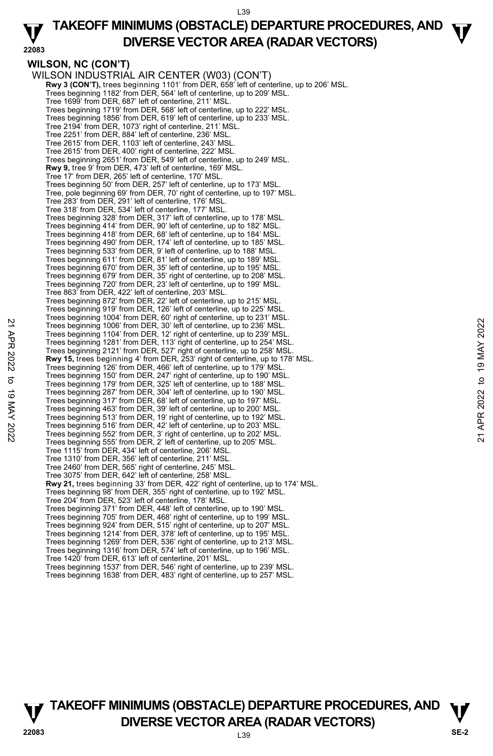## **TAKEOFF MINIMUMS (OBSTACLE) DEPARTURE PROCEDURES, AND**  $\Psi$ **DIVERSE VECTOR AREA (RADAR VECTORS) 22083**

**WILSON, NC (CON'T)**  WILSON INDUSTRIAL AIR CENTER (W03) (CON'T) **Rwy 3 (CON'T),** trees beginning 1101' from DER, 658' left of centerline, up to 206' MSL.<br>Trees beginning 1182' from DER, 564' left of centerline, up to 209' MSL. Tree 1699' from DER, 687' left of centerline, 211' MSL. Trees beginning 1719' from DER, 568' left of centerline, up to 222' MSL. Trees beginning 1856' from DER, 619' left of centerline, up to 233' MSL. Tree 2194' from DER, 1073' right of centerline, 211' MSL. Tree 2251' from DER, 884' left of centerline, 236' MSL. Tree 2615' from DER, 1103' left of centerline, 243' MSL. Tree 2615' from DER, 400' right of centerline, 222' MSL. Trees beginning 2651' from DER, 549' left of centerline, up to 249' MSL. **Rwy 9,** tree 9' from DER, 473' left of centerline, 169' MSL. Tree 17' from DER, 265' left of centerline, 170' MSL. Trees beginning 50' from DER, 257' left of centerline, up to 173' MSL. Tree, pole beginning 69' from DER, 70' right of centerline, up to 197' MSL. Tree 283' from DER, 291' left of centerline, 176' MSL. Tree 318' from DER, 534' left of centerline, 177' MSL. Trees beginning 328' from DER, 317' left of centerline, up to 178' MSL. Trees beginning 414' from DER, 90' left of centerline, up to 182' MSL. Trees beginning 418' from DER, 68' left of centerline, up to 184' MSL. Trees beginning 490' from DER, 174' left of centerline, up to 185' MSL. Trees beginning 533' from DER, 9' left of centerline, up to 188' MSL. Trees beginning 611' from DER, 81' left of centerline, up to 189' MSL. Trees beginning 670' from DER, 35' left of centerline, up to 195' MSL. Trees beginning 679' from DER, 35' right of centerline, up to 208' MSL. Trees beginning 720' from DER, 23' left of centerline, up to 199' MSL. Tree 863' from DER, 422' left of centerline, 203' MSL. Trees beginning 872' from DER, 22' left of centerline, up to 215' MSL. Trees beginning 919' from DER, 126' left of centerline, up to 225' MSL. Trees beginning 1004' from DER, 60' right of centerline, up to 231' MSL. Trees beginning 1006' from DER, 30' left of centerline, up to 236' MSL. Trees beginning 1104' from DER, 12' right of centerline, up to 239' MSL. Trees beginning 1281' from DER, 113' right of centerline, up to 254' MSL. Trees beginning 2121' from DER, 527' right of centerline, up to 258' MSL. **Rwy 15,** trees beginning 4' from DER, 253' right of centerline, up to 178' MSL. Trees beginning 126' from DER, 466' left of centerline, up to 179' MSL. Trees beginning 150' from DER, 247' right of centerline, up to 190' MSL. Trees beginning 179' from DER, 325' left of centerline, up to 188' MSL. Trees beginning 287' from DER, 304' left of centerline, up to 190' MSL. Trees beginning 317' from DER, 68' left of centerline, up to 197' MSL. Trees beginning 463' from DER, 39' left of centerline, up to 200' MSL. Trees beginning 513' from DER, 19' right of centerline, up to 192' MSL. Trees beginning 516' from DER, 42' left of centerline, up to 203' MSL.<br>Trees beginning 552' from DER, 3' right of centerline, up to 202' MSL.<br>Trees beginning 555' from DER, 2' left of centerline, up to 205' MSL. Tree 1115' from DER, 434' left of centerline, 206' MSL. Tree 1310' from DER, 356' left of centerline, 211' MSL. Tree 2460' from DER, 565' right of centerline, 245' MSL. Tree 3075' from DER, 642' left of centerline, 258' MSL. **Rwy 21,** trees beginning 33' from DER, 422' right of centerline, up to 174' MSL.<br>Trees beginning 98' from DER, 355' right of centerline, up to 192' MSL. Tree 204' from DER, 523' left of centerline, 178' MSL. Trees beginning 371' from DER, 448' left of centerline, up to 190' MSL. Trees beginning 705' from DER, 468' right of centerline, up to 199' MSL. Trees beginning 924' from DER, 515' right of centerline, up to 207' MSL. Trees beginning 1214' from DER, 378' left of centerline, up to 195' MSL. Trees beginning 1269' from DER, 536' right of centerline, up to 213' MSL. Trees beginning 1316' from DER, 574' left of centerline, up to 196' MSL. Tree 1420' from DER, 613' left of centerline, 201' MSL. Trees beginning 1537' from DER, 546' right of centerline, up to 239' MSL. Trees beginning 1638' from DER, 483' right of centerline, up to 257' MSL. 22 Trees beginning 100° from DER, 30' left of centerline, up to 238° MSL.<br>
Trees beginning 1006' from DER, 13' right of centerline, up to 236' MSL.<br>
Trees beginning 1281' from DER, 13' right of centerline, up to 258' MSL.<br>